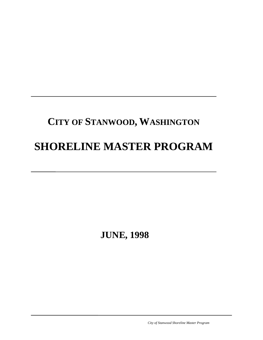# **CITY OF STANWOOD, WASHINGTON SHORELINE MASTER PROGRAM**

 **JUNE, 1998**

*City of Stanwood Shoreline Master Program*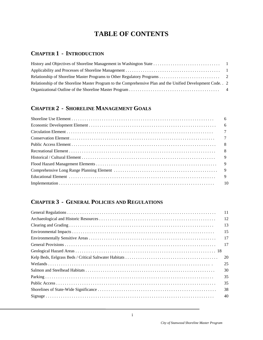# **TABLE OF CONTENTS**

# **CHAPTER 1 - INTRODUCTION**

| Relationship of the Shoreline Master Program to the Comprehensive Plan and the Unified Development Code. . 2 |  |
|--------------------------------------------------------------------------------------------------------------|--|
|                                                                                                              |  |

# **CHAPTER 2 - SHORELINE MANAGEMENT GOALS**

| 9 |
|---|
|   |

# **CHAPTER 3 - GENERAL POLICIES AND REGULATIONS**

| 11 |
|----|
| 12 |
| 13 |
| 15 |
| 17 |
| 17 |
|    |
| 20 |
| 25 |
| 30 |
| 35 |
| 35 |
| 38 |
| 40 |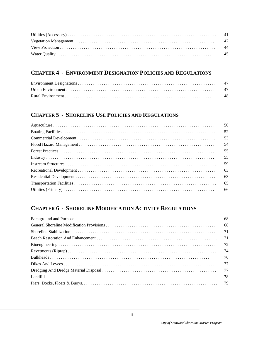# **CHAPTER 4 - ENVIRONMENT DESIGNATION POLICIES AND REGULATIONS**

# **CHAPTER 5 - SHORELINE USE POLICIES AND REGULATIONS**

| 50 |
|----|
| 52 |
| 53 |
| 54 |
| 55 |
| 55 |
| 59 |
| 63 |
| 63 |
| 65 |
|    |

# **CHAPTER 6 - SHORELINE MODIFICATION ACTIVITY REGULATIONS**

| 68   |
|------|
| - 68 |
| 71   |
|      |
|      |
| 74   |
| 76   |
| 77   |
|      |
| 78   |
|      |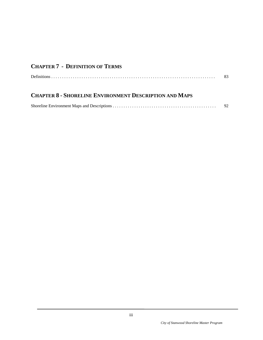# **CHAPTER 7 - DEFINITION OF TERMS**

|  | (2.2) |
|--|-------|
|--|-------|

# **CHAPTER 8 - SHORELINE ENVIRONMENT DESCRIPTION AND MAPS**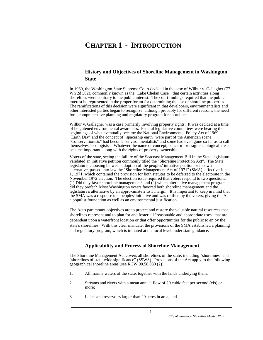# **CHAPTER 1 - INTRODUCTION**

## **History and Objectives of Shoreline Management in Washington State**

In 1969, the Washington State Supreme Court decided in the case of Wilbur v. Gallagher (77 Wn 2d 302), commonly known as the "Lake Chelan Case", that certain activities along shorelines were contrary to the public interest. The court findings required that the public interest be represented in the proper forum for determining the use of shoreline properties. The ramifications of this decision were significant in that developers, environmentalists and other interested parties began to recognize, although probably for different reasons, the need for a comprehensive planning and regulatory program for shorelines.

Wilbur v. Gallagher was a case primarily involving property rights. It was decided at a time of heightened environmental awareness. Federal legislative committees were hearing the beginnings of what eventually became the National Environmental Policy Act of 1969. "Earth Day" and the concept of "spaceship earth" were part of the American scene. "Conservationists" had become "environmentalists" and some had even gone so far as to call themselves "ecologists". Whatever the name or concept, concern for fragile ecological areas became important, along with the rights of property ownership.

Voters of the state, seeing the failure of the Seacoast Management Bill in the State legislature, validated an initiative petition commonly titled the "Shoreline Protection Act". The State legislature, choosing between adoption of the peoples' initiative petition or its own alternative, passed into law the "Shoreline Management Act of 1971" (SMA), effective June 1, 1971, which contained the provision for both statutes to be deferred to the electorate in the November 1972 election. The election issue required that voters respond to two questions: (1) Did they favor shoreline management? and (2) which alternative management program did they prefer? Most Washington voters favored both shoreline management and the legislature's alternative by an approximate 2 to 1 margin. It is important to keep in mind that the SMA was a response to a peoples' initiative and was ratified by the voters, giving the Act a populist foundation as well as an environmental justification.

The Act's paramount objectives are to protect and restore the valuable natural resources that shorelines represent and to plan for and foster all "reasonable and appropriate uses" that are dependent upon a waterfront location or that offer opportunities for the public to enjoy the state's shorelines. With this clear mandate, the provisions of the SMA established a planning and regulatory program, which is initiated at the local level under state guidance.

## **Applicability and Process of Shoreline Management**

The Shoreline Management Act covers all shorelines of the state, including "shorelines" and "shorelines of state-wide significance" (SSWS). Provisions of the Act apply to the following geographical shoreline areas (see RCW 90.58.030 (2)):

- 1. All marine waters of the state, together with the lands underlying them;
- 2. Streams and rivers with a mean annual flow of 20 cubic feet per second (cfs) or more;
- 3. Lakes and reservoirs larger than 20 acres in area; and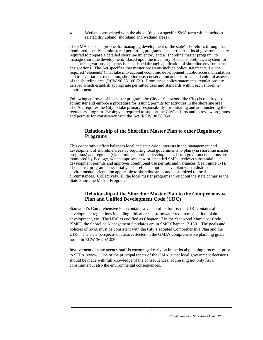4. Wetlands associated with the above (this is a specific SMA term which includes related dry upland, shoreland and wetland areas).

The SMA sets up a process for managing development of the state's shorelines through statemonitored, locally-administered permitting programs. Under the Act, local governments are required to prepare a detailed shoreline inventory and a "shoreline master program" to manage shoreline development. Based upon the inventory of local shorelines, a system for categorizing various segments is established through application of shoreline environment designations. The Act specifies that master programs include policy statements (i.e. the required "elements") that take into account economic development, public access, circulation and transportation, recreation, shoreline use, conservation and historical and cultural aspects of the shoreline area (RCW 90.58.100 (2)). From these policy statements, regulations are derived which establish appropriate permitted uses and standards within each shoreline environment.

Following approval of its master program, the City of Stanwood (the City) is required to administer and enforce a procedure for issuing permits for activities in the shoreline area. The Act requires the City to take primary responsibility for initiating and administering the regulatory program. Ecology is required to support the City's efforts and to review programs and permits for consistency with the Act (RCW 90.58.050).

#### **Relationship of the Shoreline Master Plan to other Regulatory Programs**

This cooperative effort balances local and state-wide interests in the management and development of shoreline areas by requiring local governments to plan (via shoreline master programs) and regulate (via permits) shoreline development. Local government actions are monitored by Ecology, which approves new or amended SMPs, reviews substantial development permits and approves conditional use permits and variances (See Figure 1-1). The master program is essentially a shoreline comprehensive plan with a distinct environmental orientation applicable to shoreline areas and customized to local circumstances. Collectively, all the local master programs throughout the state comprise the State Shoreline Master Program.

#### **Relationship of the Shoreline Master Plan to the Comprehensive Plan and Unified Development Code (UDC)**

Stanwood's Comprehensive Plan contains a vision of its future; the UDC contains all development regulations including critical areas, stormwater requirements, floodplain development, etc. The UDC is codified as Chapter 17 in the Stanwood Municipal Code (SMC); the Shoreline Management Standards are in SMC Chapter 17.150. The goals and policies of SMA must be consistent with the City's adopted Comprehensive Plan and the UDC. The state perspective is also reflected in the GMA's comprehensive planning goals found in RCW 36.70A.020.

Involvement of state agency staff is encouraged early on in the local planning process − prior to SEPA review. One of the principal tenets of the GMA is that local government decisions should be made with full knowledge of the consequences, addressing not only fiscal constraints but also the environmental consequences.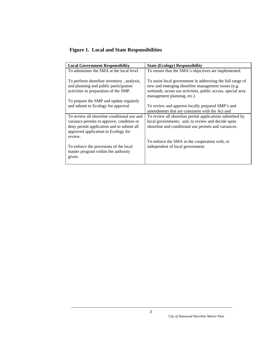# **Figure 1. Local and State Responsibilities**

| <b>Local Government Responsibility</b>                                                                                      | <b>State (Ecology) Responsibility</b>                                                                                                                                                                         |
|-----------------------------------------------------------------------------------------------------------------------------|---------------------------------------------------------------------------------------------------------------------------------------------------------------------------------------------------------------|
| To administer the SMA at the local level.                                                                                   | To ensure that the SMA's objectives are implemented.                                                                                                                                                          |
| To perform shoreline inventory, analysis,<br>and planning and public participation<br>activities in preparation of the SMP. | To assist local government in addressing the full range of<br>new and emerging shoreline management issues (e.g.<br>wetlands, ocean use activities, public access, special area<br>management planning, etc.) |
| To prepare the SMP and update regularly                                                                                     |                                                                                                                                                                                                               |
| and submit to Ecology for approval                                                                                          | To review and approve locally prepared SMP's and                                                                                                                                                              |
|                                                                                                                             | amendments that are consistent with the Act and                                                                                                                                                               |
| To review all shoreline conditional use and                                                                                 | To review all shoreline permit applications submitted by                                                                                                                                                      |
| variance permits to approve, condition or                                                                                   | local governments; and, to review and decide upon                                                                                                                                                             |
| deny permit application and to submit all<br>approved application to Ecology for                                            | shoreline and conditional use permits and variances.                                                                                                                                                          |
| review.                                                                                                                     | To enforce the SMA in the cooperation with, or                                                                                                                                                                |
|                                                                                                                             |                                                                                                                                                                                                               |
| To enforce the provisions of the local<br>master program within the authority                                               | independent of local government.                                                                                                                                                                              |
| given.                                                                                                                      |                                                                                                                                                                                                               |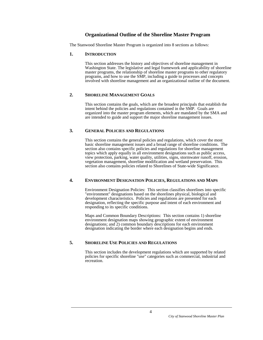## **Organizational Outline of the Shoreline Master Program**

The Stanwood Shoreline Master Program is organized into 8 sections as follows:

#### **1. INTRODUCTION**

 This section addresses the history and objectives of shoreline management in Washington State. The legislative and legal framework and applicability of shoreline master programs, the relationship of shoreline master programs to other regulatory programs, and how to use the SMP, including a guide to processes and concepts involved with shoreline management and an organizational outline of the document.

#### **2. SHORELINE MANAGEMENT GOALS**

 This section contains the goals, which are the broadest principals that establish the intent behind the policies and regulations contained in the SMP. Goals are organized into the master program elements, which are mandated by the SMA and are intended to guide and support the major shoreline management issues.

#### **3. GENERAL POLICIES AND REGULATIONS**

 This section contains the general policies and regulations, which cover the most basic shoreline management issues and a broad range of shoreline conditions. The section also contains specific policies and regulations for shoreline management topics which apply equally in all environment designations such as public access, view protection, parking, water quality, utilities, signs, stormwater runoff, erosion, vegetation management, shoreline modification and wetland preservation. This section also contains policies related to Shorelines of State-wide Significance.

#### **4. ENVIRONMENT DESIGNATION POLICIES, REGULATIONS AND MAPS**

 Environment Designation Policies: This section classifies shorelines into specific "environment" designations based on the shorelines physical, biological and development characteristics. Policies and regulations are presented for each designation, reflecting the specific purpose and intent of each environment and responding to its specific conditions.

 Maps and Common Boundary Descriptions: This section contains 1) shoreline environment designation maps showing geographic extent of environment designations; and 2) common boundary descriptions for each environment designation indicating the border where each designation begins and ends.

#### **5. SHORELINE USE POLICIES AND REGULATIONS**

 This section includes the development regulations which are supported by related policies for specific shoreline "use" categories such as commercial, industrial and recreation.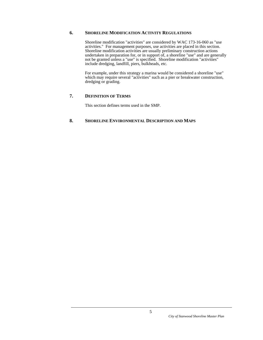#### **6. SHORELINE MODIFICATION ACTIVITY REGULATIONS**

 Shoreline modification "activities" are considered by WAC 173-16-060 as "use activities." For management purposes, use activities are placed in this section. Shoreline modification activities are usually preliminary construction actions undertaken in preparation for, or in support of, a shoreline "use" and are generally not be granted unless a "use" is specified. Shoreline modification "activities" include dredging, landfill, piers, bulkheads, etc.

 For example, under this strategy a marina would be considered a shoreline "use" which may require several "activities" such as a pier or breakwater construction, dredging or grading.

#### **7. DEFINITION OF TERMS**

This section defines terms used in the SMP.

#### **8. SHORELINE ENVIRONMENTAL DESCRIPTION AND MAPS**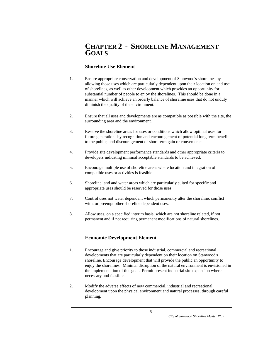# **CHAPTER 2 - SHORELINE MANAGEMENT GOALS**

# **Shoreline Use Element**

- 1. Ensure appropriate conservation and development of Stanwood's shorelines by allowing those uses which are particularly dependent upon their location on and use of shorelines, as well as other development which provides an opportunity for substantial number of people to enjoy the shorelines. This should be done in a manner which will achieve an orderly balance of shoreline uses that do not unduly diminish the quality of the environment.
- 2. Ensure that all uses and developments are as compatible as possible with the site, the surrounding area and the environment.
- 3. Reserve the shoreline areas for uses or conditions which allow optimal uses for future generations by recognition and encouragement of potential long term benefits to the public, and discouragement of short term gain or convenience.
- 4. Provide site development performance standards and other appropriate criteria to developers indicating minimal acceptable standards to be achieved.
- 5. Encourage multiple use of shoreline areas where location and integration of compatible uses or activities is feasible.
- 6. Shoreline land and water areas which are particularly suited for specific and appropriate uses should be reserved for those uses.
- 7. Control uses not water dependent which permanently alter the shoreline, conflict with, or preempt other shoreline dependent uses.
- 8. Allow uses, on a specified interim basis, which are not shoreline related, if not permanent and if not requiring permanent modifications of natural shorelines.

## **Economic Development Element**

- 1. Encourage and give priority to those industrial, commercial and recreational developments that are particularly dependent on their location on Stanwood's shoreline. Encourage development that will provide the public an opportunity to enjoy the shorelines. Minimal disruption of the natural environment is envisioned in the implementation of this goal. Permit present industrial site expansion where necessary and feasible.
- 2. Modify the adverse effects of new commercial, industrial and recreational development upon the physical environment and natural processes, through careful planning.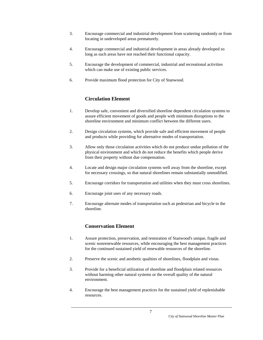- 3. Encourage commercial and industrial development from scattering randomly or from locating in undeveloped areas prematurely.
- 4. Encourage commercial and industrial development in areas already developed so long as such areas have not reached their functional capacity.
- 5. Encourage the development of commercial, industrial and recreational activities which can make use of existing public services.
- 6. Provide maximum flood protection for City of Stanwood.

# **Circulation Element**

- 1. Develop safe, convenient and diversified shoreline dependent circulation systems to assure efficient movement of goods and people with minimum disruptions to the shoreline environment and minimum conflict between the different users.
- 2. Design circulation systems, which provide safe and efficient movement of people and products while providing for alternative modes of transportation.
- 3. Allow only those circulation activities which do not produce undue pollution of the physical environment and which do not reduce the benefits which people derive from their property without due compensation.
- 4. Locate and design major circulation systems well away from the shoreline, except for necessary crossings, so that natural shorelines remain substantially unmodified.
- 5. Encourage corridors for transportation and utilities when they must cross shorelines.
- 6. Encourage joint uses of any necessary roads.
- 7. Encourage alternate modes of transportation such as pedestrian and bicycle to the shoreline.

# **Conservation Element**

- 1. Assure protection, preservation, and restoration of Stanwood's unique, fragile and scenic nonrenewable resources, while encouraging the best management practices for the continued sustained yield of renewable resources of the shoreline.
- 2. Preserve the scenic and aesthetic qualities of shorelines, floodplain and vistas.
- 3. Provide for a beneficial utilization of shoreline and floodplain related resources without harming other natural systems or the overall quality of the natural environment.
- 4. Encourage the best management practices for the sustained yield of replenishable resources.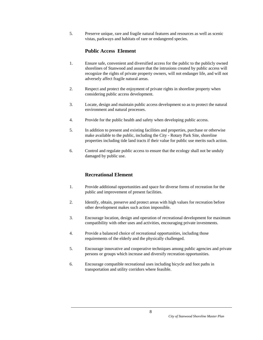5. Preserve unique, rare and fragile natural features and resources as well as scenic vistas, parkways and habitats of rare or endangered species.

## **Public Access Element**

- 1. Ensure safe, convenient and diversified access for the public to the publicly owned shorelines of Stanwood and assure that the intrusions created by public access will recognize the rights of private property owners, will not endanger life, and will not adversely affect fragile natural areas.
- 2. Respect and protect the enjoyment of private rights in shoreline property when considering public access development.
- 3. Locate, design and maintain public access development so as to protect the natural environment and natural processes.
- 4. Provide for the public health and safety when developing public access.
- 5. In addition to present and existing facilities and properties, purchase or otherwise make available to the public, including the City - Rotary Park Site, shoreline properties including tide land tracts if their value for public use merits such action.
- 6. Control and regulate public access to ensure that the ecology shall not be unduly damaged by public use.

# **Recreational Element**

- 1. Provide additional opportunities and space for diverse forms of recreation for the public and improvement of present facilities.
- 2. Identify, obtain, preserve and protect areas with high values for recreation before other development makes such action impossible.
- 3. Encourage location, design and operation of recreational development for maximum compatibility with other uses and activities, encouraging private investments.
- 4. Provide a balanced choice of recreational opportunities, including those requirements of the elderly and the physically challenged.
- 5. Encourage innovative and cooperative techniques among public agencies and private persons or groups which increase and diversify recreation opportunities.
- 6. Encourage compatible recreational uses including bicycle and foot paths in transportation and utility corridors where feasible.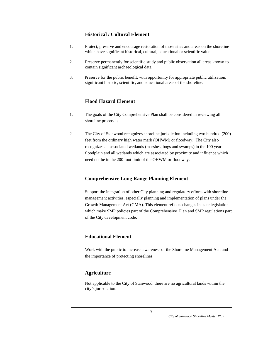# **Historical / Cultural Element**

- 1. Protect, preserve and encourage restoration of those sites and areas on the shoreline which have significant historical, cultural, educational or scientific value.
- 2. Preserve permanently for scientific study and public observation all areas known to contain significant archaeological data.
- 3. Preserve for the public benefit, with opportunity for appropriate public utilization, significant historic, scientific, and educational areas of the shoreline.

# **Flood Hazard Element**

- 1. The goals of the City Comprehensive Plan shall be considered in reviewing all shoreline proposals.
- 2. The City of Stanwood recognizes shoreline jurisdiction including two hundred (200) feet from the ordinary high water mark (OHWM) or floodway. The City also recognizes all associated wetlands (marshes, bogs and swamps) in the 100 year floodplain and all wetlands which are associated by proximity and influence which need not be in the 200 foot limit of the OHWM or floodway.

# **Comprehensive Long Range Planning Element**

 Support the integration of other City planning and regulatory efforts with shoreline management activities, especially planning and implementation of plans under the Growth Management Act (GMA). This element reflects changes in state legislation which make SMP policies part of the Comprehensive Plan and SMP regulations part of the City development code.

# **Educational Element**

Work with the public to increase awareness of the Shoreline Management Act, and the importance of protecting shorelines.

# **Agriculture**

 Not applicable to the City of Stanwood, there are no agricultural lands within the city's jurisdiction.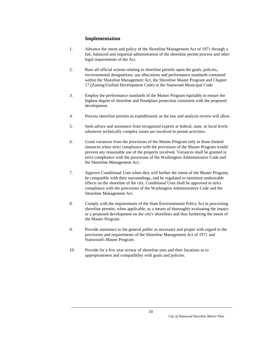## **Implementation**

- 1. Advance the intent and policy of the Shoreline Management Act of 1971 through a fair, balanced and impartial administration of the shoreline permit process and other legal requirements of the Act.
- 2. Base all official actions relating to shoreline permits upon the goals, policies, environmental designations, use allocations and performance standards contained within the Shoreline Management Act, the Shoreline Master Program and Chapter 17 (Zoning/Unified Development Code) in the Stanwood Municipal Code.
- 3. Employ the performance standards of the Master Program equitably to ensure the highest degree of shoreline and floodplain protection consistent with the proposed development.
- 4. Process shoreline permits as expeditiously as the law and analysis review will allow.
- 5. Seek advice and assistance from recognized experts at federal, state, or local levels whenever technically complex issues are involved in permit activities.
- 6. Grant variances from the provisions of the Master Program only in those limited instances when strict compliance with the provisions of the Master Program would prevent any reasonable use of the property involved. Variances shall be granted in strict compliance with the provisions of the Washington Administrative Code and the Shoreline Management Act.
- 7. Approve Conditional Uses when they will further the intent of the Master Program, be compatible with their surroundings, and be regulated to minimize undesirable effects on the shoreline of the city. Conditional Uses shall be approved in strict compliance with the provisions of the Washington Administrative Code and the Shoreline Management Act.
- 8. Comply with the requirements of the State Environmental Policy Act in processing shoreline permits, when applicable, as a means of thoroughly evaluating the impact or a proposed development on the city's shorelines and thus furthering the intent of the Master Program.
- 9. Provide assistance to the general public as necessary and proper with regard to the provisions and requirements of the Shoreline Management Act of 1971 and Stanwood's Master Program.
- 10. Provide for a five year review of shoreline uses and their locations as to appropriateness and compatibility with goals and policies.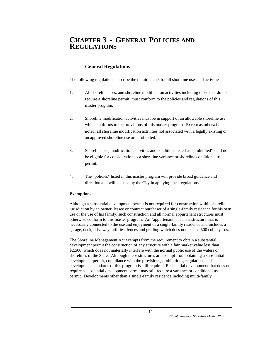# **CHAPTER 3 - GENERAL POLICIES AND REGULATIONS**

## **General Regulations**

The following regulations describe the requirements for all shoreline uses and activities.

- 1. All shoreline uses, and shoreline modification activities including those that do not require a shoreline permit, must conform to the policies and regulations of this master program.
- 2. Shoreline modification activities must be in support of an allowable shoreline use, which conforms to the provisions of this master program. Except as otherwise noted, all shoreline modification activities not associated with a legally existing or an approved shoreline use are prohibited.
- 3. Shoreline use, modification activities and conditions listed as "prohibited" shall not be eligible for consideration as a shoreline variance or shoreline conditional use permit.
- 4. The "policies" listed in this master program will provide broad guidance and direction and will be used by the City in applying the "regulations."

#### **Exemptions**

Although a substantial development permit is not required for construction within shoreline jurisdiction by an owner, lessee or contract purchaser of a single-family residence for his own use or the use of his family, such construction and all normal appurtenant structures must otherwise conform to this master program. An "appurtenant" means a structure that is necessarily connected to the use and enjoyment of a single-family residence and includes a garage, deck, driveway, utilities, fences and grading which does not exceed 500 cubic yards.

The Shoreline Management Act exempts from the requirement to obtain a substantial development permit the construction of any structure with a fair market value less than \$2,500, which does not materially interfere with the normal public use of the waters or shorelines of the State. Although these structures are exempt from obtaining a substantial development permit, compliance with the provisions, prohibitions, regulations and development standards of this program is still required. Residential development that does not require a substantial development permit may still require a variance or conditional use permit. Developments other than a single-family residence including multi-family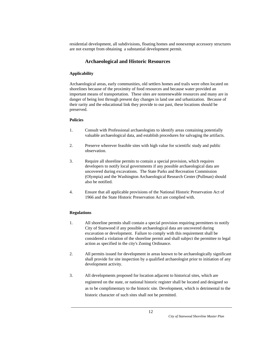residential development, all subdivisions, floating homes and nonexempt accessory structures are not exempt from obtaining a substantial development permit.

## **Archaeological and Historic Resources**

#### **Applicability**

Archaeological areas, early communities, old settlers homes and trails were often located on shorelines because of the proximity of food resources and because water provided an important means of transportation. These sites are nonrenewable resources and many are in danger of being lost through present day changes in land use and urbanization. Because of their rarity and the educational link they provide to our past, these locations should be preserved.

#### **Policies**

- 1. Consult with Professional archaeologists to identify areas containing potentially valuable archaeological data, and establish procedures for salvaging the artifacts.
- 2. Preserve wherever feasible sites with high value for scientific study and public observation.
- 3. Require all shoreline permits to contain a special provision, which requires developers to notify local governments if any possible archaeological data are uncovered during excavations. The State Parks and Recreation Commission (Olympia) and the Washington Archaeological Research Center (Pullman) should also be notified.
- 4. Ensure that all applicable provisions of the National Historic Preservation Act of 1966 and the State Historic Preservation Act are complied with.

#### **Regulations**

- 1. All shoreline permits shall contain a special provision requiring permittees to notify City of Stanwood if any possible archaeological data are uncovered during excavation or development. Failure to comply with this requirement shall be considered a violation of the shoreline permit and shall subject the permittee to legal action as specified in the city's Zoning Ordinance.
- 2. All permits issued for development in areas known to be archaeologically significant shall provide for site inspection by a qualified archaeologist prior to initiation of any development activity.
- 3. All developments proposed for location adjacent to historical sites, which are registered on the state, or national historic register shall be located and designed so as to be complimentary to the historic site. Development, which is detrimental to the historic character of such sites shall not be permitted.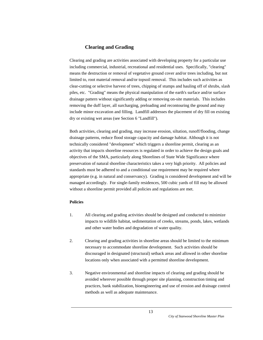## **Clearing and Grading**

Clearing and grading are activities associated with developing property for a particular use including commercial, industrial, recreational and residential uses. Specifically, "clearing" means the destruction or removal of vegetative ground cover and/or trees including, but not limited to, root material removal and/or topsoil removal. This includes such activities as clear-cutting or selective harvest of trees, chipping of stumps and hauling off of shrubs, slash piles, etc. "Grading" means the physical manipulation of the earth's surface and/or surface drainage pattern without significantly adding or removing on-site materials. This includes removing the duff layer, all surcharging, preloading and recontouring the ground and may include minor excavation and filling. Landfill addresses the placement of dry fill on existing dry or existing wet areas (see Section 6 "Landfill").

Both activities, clearing and grading, may increase erosion, siltation, runoff/flooding, change drainage patterns, reduce flood storage capacity and damage habitat. Although it is not technically considered "development" which triggers a shoreline permit, clearing as an activity that impacts shoreline resources is regulated in order to achieve the design goals and objectives of the SMA, particularly along Shorelines of State Wide Significance where preservation of natural shoreline characteristics takes a very high priority. All policies and standards must be adhered to and a conditional use requirement may be required where appropriate (e.g. in natural and conservancy). Grading is considered development and will be managed accordingly. For single-family residences, 500 cubic yards of fill may be allowed without a shoreline permit provided all policies and regulations are met.

#### **Policies**

- 1. All clearing and grading activities should be designed and conducted to minimize impacts to wildlife habitat, sedimentation of creeks, streams, ponds, lakes, wetlands and other water bodies and degradation of water quality.
- 2. Clearing and grading activities in shoreline areas should be limited to the minimum necessary to accommodate shoreline development. Such activities should be discouraged in designated (structural) setback areas and allowed in other shoreline locations only when associated with a permitted shoreline development.
- 3. Negative environmental and shoreline impacts of clearing and grading should be avoided wherever possible through proper site planning, construction timing and practices, bank stabilization, bioengineering and use of erosion and drainage control methods as well as adequate maintenance.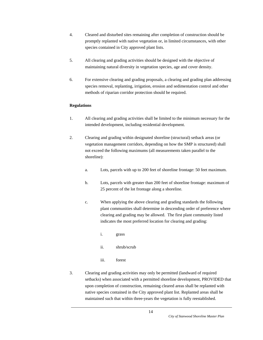- 4. Cleared and disturbed sites remaining after completion of construction should be promptly replanted with native vegetation or, in limited circumstances, with other species contained in City approved plant lists.
- 5. All clearing and grading activities should be designed with the objective of maintaining natural diversity in vegetation species, age and cover density.
- 6. For extensive clearing and grading proposals, a clearing and grading plan addressing species removal, replanting, irrigation, erosion and sedimentation control and other methods of riparian corridor protection should be required.

#### **Regulations**

- 1. All clearing and grading activities shall be limited to the minimum necessary for the intended development, including residential development.
- 2. Clearing and grading within designated shoreline (structural) setback areas (or vegetation management corridors, depending on how the SMP is structured) shall not exceed the following maximums (all measurements taken parallel to the shoreline):
	- a. Lots, parcels with up to 200 feet of shoreline frontage: 50 feet maximum.
	- b. Lots, parcels with greater than 200 feet of shoreline frontage: maximum of 25 percent of the lot frontage along a shoreline.
	- c. When applying the above clearing and grading standards the following plant communities shall determine in descending order of preference where clearing and grading may be allowed. The first plant community listed indicates the most preferred location for clearing and grading:
		- i. grass
		- ii. shrub/scrub
		- iii. forest
- 3. Clearing and grading activities may only be permitted (landward of required setbacks) when associated with a permitted shoreline development, PROVIDED that upon completion of construction, remaining cleared areas shall be replanted with native species contained in the City approved plant list. Replanted areas shall be maintained such that within three-years the vegetation is fully reestablished.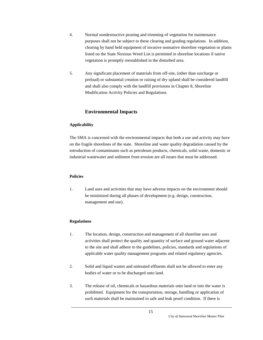- 4. Normal nondestructive pruning and trimming of vegetation for maintenance purposes shall not be subject to these clearing and grading regulations. In addition, clearing by hand held equipment of invasive nonnative shoreline vegetation or plants listed on the State Noxious Weed List is permitted in shoreline locations if native vegetation is promptly reestablished in the disturbed area.
- 5. Any significant placement of materials from off-site, (other than surcharge or preload) or substantial creation or raising of dry upland shall be considered landfill and shall also comply with the landfill provisions in Chapter 8, Shoreline Modification Activity Policies and Regulations.

## **Environmental Impacts**

#### **Applicability**

The SMA is concerned with the environmental impacts that both a use and activity may have on the fragile shorelines of the state. Shoreline and water quality degradation caused by the introduction of contaminants such as petroleum products, chemicals, solid waste, domestic or industrial wastewater and sediment from erosion are all issues that must be addressed.

#### **Policies**

1. Land uses and activities that may have adverse impacts on the environment should be minimized during all phases of development (e.g. design, construction, management and use).

#### **Regulations**

- 1. The location, design, construction and management of all shoreline uses and activities shall protect the quality and quantity of surface and ground water adjacent to the site and shall adhere to the guidelines, policies, standards and regulations of applicable water quality management programs and related regulatory agencies.
- 2. Solid and liquid wastes and untreated effluents shall not be allowed to enter any bodies of water or to be discharged onto land.
- 3. The release of oil, chemicals or hazardous materials onto land or into the water is prohibited. Equipment for the transportation, storage, handling or application of such materials shall be maintained in safe and leak proof condition. If there is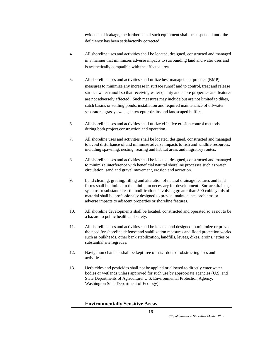evidence of leakage, the further use of such equipment shall be suspended until the deficiency has been satisfactorily corrected.

- 4. All shoreline uses and activities shall be located, designed, constructed and managed in a manner that minimizes adverse impacts to surrounding land and water uses and is aesthetically compatible with the affected area.
- 5. All shoreline uses and activities shall utilize best management practice (BMP) measures to minimize any increase in surface runoff and to control, treat and release surface water runoff so that receiving water quality and shore properties and features are not adversely affected. Such measures may include but are not limited to dikes, catch basins or settling ponds, installation and required maintenance of oil/water separators, grassy swales, interceptor drains and landscaped buffers.
- 6. All shoreline uses and activities shall utilize effective erosion control methods during both project construction and operation.
- 7. All shoreline uses and activities shall be located, designed, constructed and managed to avoid disturbance of and minimize adverse impacts to fish and wildlife resources, including spawning, nesting, rearing and habitat areas and migratory routes.
- 8. All shoreline uses and activities shall be located, designed, constructed and managed to minimize interference with beneficial natural shoreline processes such as water circulation, sand and gravel movement, erosion and accretion.
- 9. Land clearing, grading, filling and alteration of natural drainage features and land forms shall be limited to the minimum necessary for development. Surface drainage systems or substantial earth modifications involving greater than 500 cubic yards of material shall be professionally designed to prevent maintenance problems or adverse impacts to adjacent properties or shoreline features.
- 10. All shoreline developments shall be located, constructed and operated so as not to be a hazard to public health and safety.
- 11. All shoreline uses and activities shall be located and designed to minimize or prevent the need for shoreline defense and stabilization measures and flood protection works such as bulkheads, other bank stabilization, landfills, levees, dikes, groins, jetties or substantial site regrades.
- 12. Navigation channels shall be kept free of hazardous or obstructing uses and activities.
- 13. Herbicides and pesticides shall not be applied or allowed to directly enter water bodies or wetlands unless approved for such use by appropriate agencies (U.S. and State Departments of Agriculture, U.S. Environmental Protection Agency, Washington State Department of Ecology).

#### **Environmentally Sensitive Areas**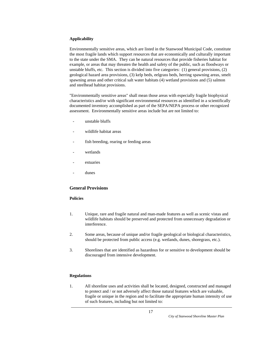#### **Applicability**

Environmentally sensitive areas, which are listed in the Stanwood Municipal Code, constitute the most fragile lands which support resources that are economically and culturally important to the state under the SMA. They can be natural resources that provide fisheries habitat for example, or areas that may threaten the health and safety of the public, such as floodways or unstable bluffs, etc. This section is divided into five categories: (1) general provisions, (2) geological hazard area provisions, (3) kelp beds, eelgrass beds, herring spawning areas, smelt spawning areas and other critical salt water habitats (4) wetland provisions and (5) salmon and steelhead habitat provisions.

"Environmentally sensitive areas" shall mean those areas with especially fragile biophysical characteristics and/or with significant environmental resources as identified in a scientifically documented inventory accomplished as part of the SEPA/NEPA process or other recognized assessment. Environmentally sensitive areas include but are not limited to:

- unstable bluffs
- wildlife habitat areas
- fish breeding, rearing or feeding areas
- wetlands
- estuaries
- dunes

#### **General Provisions**

#### **Policies**

- 1. Unique, rare and fragile natural and man-made features as well as scenic vistas and wildlife habitats should be preserved and protected from unnecessary degradation or interference.
- 2. Some areas, because of unique and/or fragile geological or biological characteristics, should be protected from public access (e.g. wetlands, dunes, shoregrass, etc.).
- 3. Shorelines that are identified as hazardous for or sensitive to development should be discouraged from intensive development.

#### **Regulations**

1. All shoreline uses and activities shall be located, designed, constructed and managed to protect and / or not adversely affect those natural features which are valuable, fragile or unique in the region and to facilitate the appropriate human intensity of use of such features, including but not limited to: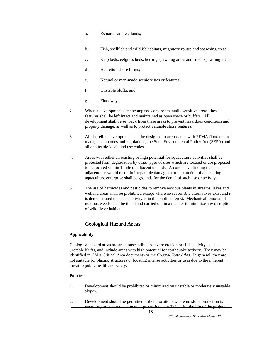- a. Estuaries and wetlands;
- b. Fish, shellfish and wildlife habitats, migratory routes and spawning areas;
- c. Kelp beds, eelgrass beds, herring spawning areas and smelt spawning areas;
- d. Accretion shore forms;
- e. Natural or man-made scenic vistas or features;
- f. Unstable bluffs; and
- g. Floodways.
- 2. When a development site encompasses environmentally sensitive areas, these features shall be left intact and maintained as open space or buffers. All development shall be set back from these areas to prevent hazardous conditions and property damage, as well as to protect valuable shore features.
- 3. All shoreline development shall be designed in accordance with FEMA flood control management codes and regulations, the State Environmental Policy Act (SEPA) and all applicable local land use codes.
- 4. Areas with either an existing or high potential for aquaculture activities shall be protected from degradation by other types of uses which are located or are proposed to be located within 1 mile of adjacent uplands. A conclusive finding that such an adjacent use would result in irreparable damage to or destruction of an existing aquaculture enterprise shall be grounds for the denial of such use or activity.
- 5. The use of herbicides and pesticides to remove noxious plants in streams, lakes and wetland areas shall be prohibited except where no reasonable alternatives exist and it is demonstrated that such activity is in the public interest. Mechanical removal of noxious weeds shall be timed and carried out in a manner to minimize any disruption of wildlife or habitat.

## **Geological Hazard Areas**

#### **Applicability**

Geological hazard areas are areas susceptible to severe erosion or slide activity, such as unstable bluffs, and include areas with high potential for earthquake activity. They may be identified in GMA Critical Area documents or the *Coastal Zone Atlas*. In general, they are not suitable for placing structures or locating intense activities or uses due to the inherent threat to public health and safety.

#### **Policies**

- 1. Development should be prohibited or minimized on unstable or moderately unstable slopes.
- 2. Development should be permitted only in locations where no slope protection is necessary or where nonstructural protection is sufficient for the life of the project.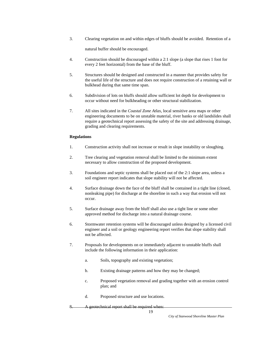3. Clearing vegetation on and within edges of bluffs should be avoided. Retention of a

natural buffer should be encouraged.

- 4. Construction should be discouraged within a 2:1 slope (a slope that rises 1 foot for every 2 feet horizontal) from the base of the bluff.
- 5. Structures should be designed and constructed in a manner that provides safety for the useful life of the structure and does not require construction of a retaining wall or bulkhead during that same time span.
- 6. Subdivision of lots on bluffs should allow sufficient lot depth for development to occur without need for bulkheading or other structural stabilization.
- 7. All sites indicated in the *Coastal Zone Atlas*, local sensitive area maps or other engineering documents to be on unstable material, river banks or old landslides shall require a geotechnical report assessing the safety of the site and addressing drainage, grading and clearing requirements.

#### **Regulations**

- 1. Construction activity shall not increase or result in slope instability or sloughing.
- 2. Tree clearing and vegetation removal shall be limited to the minimum extent necessary to allow construction of the proposed development.
- 3. Foundations and septic systems shall be placed out of the 2:1 slope area, unless a soil engineer report indicates that slope stability will not be affected.
- 4. Surface drainage down the face of the bluff shall be contained in a tight line (closed, nonleaking pipe) for discharge at the shoreline in such a way that erosion will not occur.
- 5. Surface drainage away from the bluff shall also use a tight line or some other approved method for discharge into a natural drainage course.
- 6. Stormwater retention systems will be discouraged unless designed by a licensed civil engineer and a soil or geology engineering report verifies that slope stability shall not be affected.
- 7. Proposals for developments on or immediately adjacent to unstable bluffs shall include the following information in their application:
	- a. Soils, topography and existing vegetation;
	- b. Existing drainage patterns and how they may be changed;
	- c. Proposed vegetation removal and grading together with an erosion control plan; and
	- d. Proposed structure and use locations.

A geotechnical report shall be required when: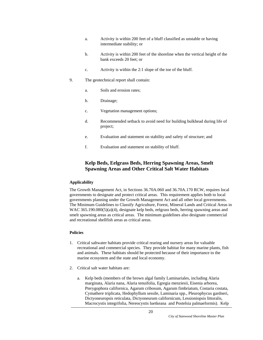- a. Activity is within 200 feet of a bluff classified as unstable or having intermediate stability; or
- b. Activity is within 200 feet of the shoreline when the vertical height of the bank exceeds 20 feet; or
- c. Activity is within the 2:1 slope of the toe of the bluff.
- 9. The geotechnical report shall contain:
	- a. Soils and erosion rates;
	- b. Drainage;
	- c. Vegetation management options;
	- d. Recommended setback to avoid need for building bulkhead during life of project;
	- e. Evaluation and statement on stability and safety of structure; and
	- f. Evaluation and statement on stability of bluff.

## **Kelp Beds, Eelgrass Beds, Herring Spawning Areas, Smelt Spawning Areas and Other Critical Salt Water Habitats**

#### **Applicability**

The Growth Management Act, in Sections 36.70A.060 and 36.70A.170 RCW, requires local governments to designate and protect critical areas. This requirement applies both to local governments planning under the Growth Management Act and all other local governments. The Minimum Guidelines to Classify Agriculture, Forest, Mineral Lands and Critical Areas in WAC 365.190.080(5)(a)(4), designate kelp beds, eelgrass beds, herring spawning areas and smelt spawning areas as critical areas. The minimum guidelines also designate commercial and recreational shellfish areas as critical areas.

#### **Policies**

- 1. Critical saltwater habitats provide critical rearing and nursery areas for valuable recreational and commercial species. They provide habitat for many marine plants, fish and animals. These habitats should be protected because of their importance to the marine ecosystem and the state and local economy.
- 2. Critical salt water habitats are:
	- a. Kelp beds (members of the brown algal family Laminariales, including Alaria marginata, Alaria nana, Alaria tenuifolia, Egregia menziesii, Eisenia arborea, Pterygophora californica, Agarum cribosum, Agarum fimbriatum, Costaria costata, Cymathere triplicata, Hedophyllum sessile, Laminaria spp., Pleurophycus gardneri, Dictyoneuropsis reticulata, Dictyoneurum californicum, Lessioniopsis littoralis, Macrocystis integrifolia, Nereocystis luetkeana and Postelsia palmaeformis). Kelp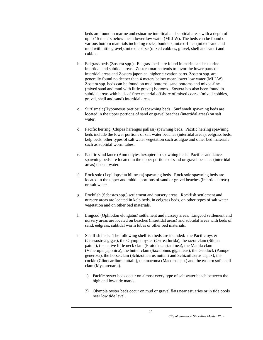beds are found in marine and estuarine intertidal and subtidal areas with a depth of up to 15 meters below mean lower low water (MLLW). The beds can be found on various bottom materials including rocks, boulders, mixed-fines (mixed sand and mud with little gravel), mixed coarse (mixed cobbles, gravel, shell and sand) and cobble.

- b. Eelgrass beds (Zostera spp.). Eelgrass beds are found in marine and estuarine intertidal and subtidal areas. Zostera marina tends to favor the lower parts of intertidal areas and Zostera japonica, higher elevation parts. Zostera spp. are generally found no deeper than 4 meters below mean lower low water (MLLW). Zostera spp. beds can be found on mud bottoms, sand bottoms and mixed-fine (mixed sand and mud with little gravel) bottoms. Zostera has also been found in subtidal areas with beds of finer material offshore of mixed coarse (mixed cobbles, gravel, shell and sand) intertidal areas.
- c. Surf smelt (Hypomesus pretiosus) spawning beds. Surf smelt spawning beds are located in the upper portions of sand or gravel beaches (intertidal areas) on salt water.
- d. Pacific herring (Clupea harengus pallasi) spawning beds. Pacific herring spawning beds include the lower portions of salt water beaches (intertidal areas), eelgrass beds, kelp beds, other types of salt water vegetation such as algae and other bed materials such as subtidal worm tubes.
- e. Pacific sand lance (Ammodytes hexapterus) spawning beds. Pacific sand lance spawning beds are located in the upper portions of sand or gravel beaches (intertidal areas) on salt water.
- f. Rock sole (Lepidopsetta bilineata) spawning beds. Rock sole spawning beds are located in the upper and middle portions of sand or gravel beaches (intertidal areas) on salt water.
- g. Rockfish (Sebastes spp.) settlement and nursery areas. Rockfish settlement and nursery areas are located in kelp beds, in eelgrass beds, on other types of salt water vegetation and on other bed materials.
- h. Lingcod (Ophiodon elongatus) settlement and nursery areas. Lingcod settlement and nursery areas are located on beaches (intertidal areas) and subtidal areas with beds of sand, eelgrass, subtidal worm tubes or other bed materials.
- i. Shellfish beds. The following shellfish beds are included: the Pacific oyster (Crassostrea gigas), the Olympia oyster (Ostrea lurida), the razor clam (Silqua patula), the native little neck clam (Protothaca staminea), the Manila clam (Venerupis japonica), the butter clam (Saxidomus giganteus), the Geoduck (Panope generosa), the horse clam (Schizothaerus nuttalli and Schizothaerus capax), the cockle (Clinocardium nuttalli), the macoma (Macoma spp.) and the eastern soft shell clam (Mya arenaria).
	- 1) Pacific oyster beds occur on almost every type of salt water beach between the high and low tide marks.
	- 2) Olympia oyster beds occur on mud or gravel flats near estuaries or in tide pools near low tide level.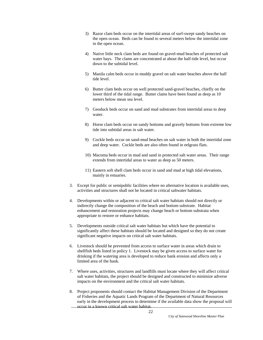- 3) Razor clam beds occur on the intertidal areas of surf-swept sandy beaches on the open ocean. Beds can be found to several meters below the intertidal zone in the open ocean.
- 4) Native little neck clam beds are found on gravel-mud beaches of protected salt water bays. The clams are concentrated at about the half-tide level, but occur down to the subtidal level.
- 5) Manila calm beds occur in muddy gravel on salt water beaches above the half tide level.
- 6) Butter clam beds occur on well protected sand-gravel beaches, chiefly on the lower third of the tidal range. Butter clams have been found as deep as 10 meters below mean sea level.
- 7) Geoduck beds occur on sand and mud substrates from intertidal areas to deep water.
- 8) Horse clam beds occur on sandy bottoms and gravely bottoms from extreme low tide into subtidal areas in salt water.
- 9) Cockle beds occur on sand-mud beaches on salt water in both the intertidal zone and deep water. Cockle beds are also often found in eelgrass flats.
- 10) Macoma beds occur in mud and sand in protected salt water areas. Their range extends from intertidal areas to water as deep as 50 meters.
- 11) Eastern soft shell clam beds occur in sand and mud at high tidal elevations, mainly in estuaries.
- 3. Except for public or semipublic facilities where no alternative location is available uses, activities and structures shall not be located in critical saltwater habitats.
- 4. Developments within or adjacent to critical salt water habitats should not directly or indirectly change the composition of the beach and bottom substrate. Habitat enhancement and restoration projects may change beach or bottom substrata when appropriate to restore or enhance habitats.
- 5. Developments outside critical salt water habitats but which have the potential to significantly affect these habitats should be located and designed so they do not create significant negative impacts on critical salt water habitats.
- 6. Livestock should be prevented from access to surface water in areas which drain to shellfish beds listed in policy 1. Livestock may be given access to surface water for drinking if the watering area is developed to reduce bank erosion and affects only a limited area of the bank.
- 7. Where uses, activities, structures and landfills must locate where they will affect critical salt water habitats, the project should be designed and constructed to minimize adverse impacts on the environment and the critical salt water habitats.
- 8. Project proponents should contact the Habitat Management Division of the Department of Fisheries and the Aquatic Lands Program of the Department of Natural Resources early in the development process to determine if the available data show the proposal will occur in a known critical salt water habitat.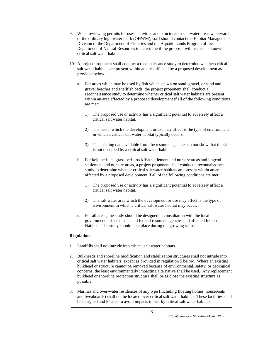- 9. When reviewing permits for uses, activities and structures in salt water areas waterward of the ordinary high water mark (OHWM), staff should contact the Habitat Management Division of the Department of Fisheries and the Aquatic Lands Program of the Department of Natural Resources to determine if the proposal will occur in a known critical salt water habitat.
- 10. A project proponent shall conduct a reconnaissance study to determine whether critical salt water habitats are present within an area affected by a proposed development as provided below.
	- a. For areas which may be used by fish which spawn on sand, gravel, or sand and gravel beaches and shellfish beds, the project proponent shall conduct a reconnaissance study to determine whether critical salt water habitats are present within an area affected by a proposed development if all of the following conditions are met:
		- 1) The proposed use or activity has a significant potential to adversely affect a critical salt water habitat.
		- 2) The beach which the development or use may affect is the type of environment in which a critical salt water habitat typically occurs.
		- 3) The existing data available from the resource agencies do not show that the site is not occupied by a critical salt water habitat.
	- b. For kelp beds, eelgrass beds, rockfish settlement and nursery areas and lingcod settlement and nursery areas, a project proponent shall conduct a reconnaissance study to determine whether critical salt water habitats are present within an area affected by a proposed development if all of the following conditions are met:
		- 1) The proposed use or activity has a significant potential to adversely affect a critical salt water habitat.
		- 2) The salt water area which the development or use may affect is the type of environment in which a critical salt water habitat may occur.
	- c. For all areas, the study should be designed in consultation with the local government, affected state and federal resource agencies and affected Indian Nations. The study should take place during the growing season.

#### **Regulations**

- 1. Landfills shall not intrude into critical salt water habitats.
- 2. Bulkheads and shoreline modification and stabilization structures shall not intrude into critical salt water habitats, except as provided in regulation 5 below. Where an existing bulkhead or structure cannot be removed because of environmental, safety, or geological concerns, the least environmentally impacting alternative shall be used. Any replacement bulkhead or shoreline protection structure shall be as close the existing structure as possible.
- 3. Marinas and over-water residences of any type (including floating homes, houseboats and liveaboards) shall not be located over critical salt water habitats. These facilities shall be designed and located to avoid impacts to nearby critical salt water habitats.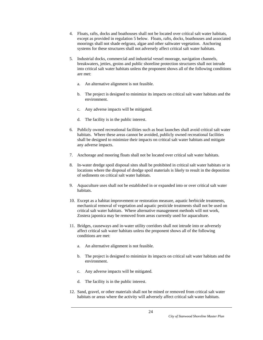- 4. Floats, rafts, docks and boathouses shall not be located over critical salt water habitats, except as provided in regulation 5 below. Floats, rafts, docks, boathouses and associated moorings shall not shade eelgrass, algae and other saltwater vegetation. Anchoring systems for these structures shall not adversely affect critical salt water habitats.
- 5. Industrial docks, commercial and industrial vessel moorage, navigation channels, breakwaters, jetties, groins and public shoreline protection structures shall not intrude into critical salt water habitats unless the proponent shows all of the following conditions are met:
	- a. An alternative alignment is not feasible.
	- b. The project is designed to minimize its impacts on critical salt water habitats and the environment.
	- c. Any adverse impacts will be mitigated.
	- d. The facility is in the public interest.
- 6. Publicly owned recreational facilities such as boat launches shall avoid critical salt water habitats. Where these areas cannot be avoided, publicly owned recreational facilities shall be designed to minimize their impacts on critical salt water habitats and mitigate any adverse impacts.
- 7. Anchorage and mooring floats shall not be located over critical salt water habitats.
- 8. In-water dredge spoil disposal sites shall be prohibited in critical salt water habitats or in locations where the disposal of dredge spoil materials is likely to result in the deposition of sediments on critical salt water habitats.
- 9. Aquaculture uses shall not be established in or expanded into or over critical salt water habitats.
- 10. Except as a habitat improvement or restoration measure, aquatic herbicide treatments, mechanical removal of vegetation and aquatic pesticide treatments shall not be used on critical salt water habitats. Where alternative management methods will not work, Zostera japonica may be removed from areas currently used for aquaculture.
- 11. Bridges, causeways and in-water utility corridors shall not intrude into or adversely affect critical salt water habitats unless the proponent shows all of the following conditions are met:
	- a. An alternative alignment is not feasible.
	- b. The project is designed to minimize its impacts on critical salt water habitats and the environment.
	- c. Any adverse impacts will be mitigated.
	- d. The facility is in the public interest.
- 12. Sand, gravel, or other materials shall not be mined or removed from critical salt water habitats or areas where the activity will adversely affect critical salt water habitats.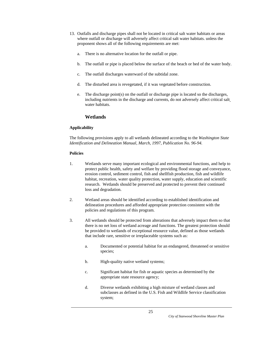- 13. Outfalls and discharge pipes shall not be located in critical salt water habitats or areas where outfall or discharge will adversely affect critical salt water habitats. unless the proponent shows all of the following requirements are met:
	- a. There is no alternative location for the outfall or pipe.
	- b. The outfall or pipe is placed below the surface of the beach or bed of the water body.
	- c. The outfall discharges waterward of the subtidal zone.
	- d. The disturbed area is revegetated, if it was vegetated before construction.
	- e. The discharge point(s) on the outfall or discharge pipe is located so the discharges, including nutrients in the discharge and currents, do not adversely affect critical salt water habitats.

## **Wetlands**

## **Applicability**

The following provisions apply to all wetlands delineated according to the *Washington State Identification and Delineation Manual, March, 1997, Publication No. 96-94.*

#### **Policies**

- 1. Wetlands serve many important ecological and environmental functions, and help to protect public health, safety and welfare by providing flood storage and conveyance, erosion control, sediment control, fish and shellfish production, fish and wildlife habitat, recreation, water quality protection, water supply, education and scientific research. Wetlands should be preserved and protected to prevent their continued loss and degradation.
- 2. Wetland areas should be identified according to established identification and delineation procedures and afforded appropriate protection consistent with the policies and regulations of this program.
- 3. All wetlands should be protected from alterations that adversely impact them so that there is no net loss of wetland acreage and functions. The greatest protection should be provided to wetlands of exceptional resource value, defined as those wetlands that include rare, sensitive or irreplaceable systems such as:
	- a. Documented or potential habitat for an endangered, threatened or sensitive species;
	- b. High-quality native wetland systems;
	- c. Significant habitat for fish or aquatic species as determined by the appropriate state resource agency;
	- d. Diverse wetlands exhibiting a high mixture of wetland classes and subclasses as defined in the U.S. Fish and Wildlife Service classification system;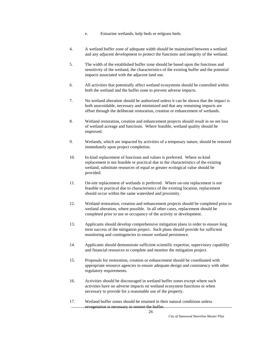- e. Estuarine wetlands, kelp beds or eelgrass beds.
- 4. A wetland buffer zone of adequate width should be maintained between a wetland and any adjacent development to protect the functions and integrity of the wetland.
- 5. The width of the established buffer zone should be based upon the functions and sensitivity of the wetland, the characteristics of the existing buffer and the potential impacts associated with the adjacent land use.
- 6. All activities that potentially affect wetland ecosystems should be controlled within both the wetland and the buffer zone to prevent adverse impacts.
- 7. No wetland alteration should be authorized unless it can be shown that the impact is both unavoidable, necessary and minimized and that any remaining impacts are offset through the deliberate restoration, creation or enhancement of wetlands.
- 8. Wetland restoration, creation and enhancement projects should result in no net loss of wetland acreage and functions. Where feasible, wetland quality should be improved.
- 9. Wetlands, which are impacted by activities of a temporary nature, should be restored immediately upon project completion.
- 10. In-kind replacement of functions and values is preferred. Where in-kind replacement is not feasible or practical due to the characteristics of the existing wetland, substitute resources of equal or greater ecological value should be provided.
- 11. On-site replacement of wetlands is preferred. Where on-site replacement is not feasible or practical due to characteristics of the existing location, replacement should occur within the same watershed and proximity.
- 12. Wetland restoration, creation and enhancement projects should be completed prior to wetland alteration, where possible. In all other cases, replacement should be completed prior to use or occupancy of the activity or development.
- 13. Applicants should develop comprehensive mitigation plans in order to ensure long term success of the mitigation project. Such plans should provide for sufficient monitoring and contingencies to ensure wetland persistence.
- 14. Applicants should demonstrate sufficient scientific expertise, supervisory capability and financial resources to complete and monitor the mitigation project.
- 15. Proposals for restoration, creation or enhancement should be coordinated with appropriate resource agencies to ensure adequate design and consistency with other regulatory requirements.
- 16. Activities should be discouraged in wetland buffer zones except where such activities have no adverse impacts on wetland ecosystem functions or when necessary to provide for a reasonable use of the property.
- 17. Wetland buffer zones should be retained in their natural conditions unless revegetation is necessary to restore the buffer.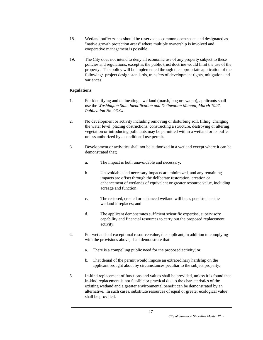- 18. Wetland buffer zones should be reserved as common open space and designated as "native growth protection areas" where multiple ownership is involved and cooperative management is possible.
- 19. The City does not intend to deny all economic use of any property subject to these policies and regulations, except as the public trust doctrine would limit the use of the property. This policy will be implemented through the appropriate application of the following: project design standards, transfers of development rights, mitigation and variances.

#### **Regulations**

- 1. For identifying and delineating a wetland (marsh, bog or swamp), applicants shall use the *Washington State Identification and Delineation Manual, March 1997, Publication No. 96-94.*
- 2. No development or activity including removing or disturbing soil, filling, changing the water level, placing obstructions, constructing a structure, destroying or altering vegetation or introducing pollutants may be permitted within a wetland or its buffer unless authorized by a conditional use permit.
- 3. Development or activities shall not be authorized in a wetland except where it can be demonstrated that;
	- a. The impact is both unavoidable and necessary;
	- b. Unavoidable and necessary impacts are minimized, and any remaining impacts are offset through the deliberate restoration, creation or enhancement of wetlands of equivalent or greater resource value, including acreage and function;
	- c. The restored, created or enhanced wetland will be as persistent as the wetland it replaces; and
	- d. The applicant demonstrates sufficient scientific expertise, supervisory capability and financial resources to carry out the proposed replacement activity.
- 4. For wetlands of exceptional resource value, the applicant, in addition to complying with the provisions above, shall demonstrate that:
	- a. There is a compelling public need for the proposed activity; or
	- b. That denial of the permit would impose an extraordinary hardship on the applicant brought about by circumstances peculiar to the subject property.
- 5. In-kind replacement of functions and values shall be provided, unless it is found that in-kind replacement is not feasible or practical due to the characteristics of the existing wetland and a greater environmental benefit can be demonstrated by an alternative. In such cases, substitute resources of equal or greater ecological value shall be provided.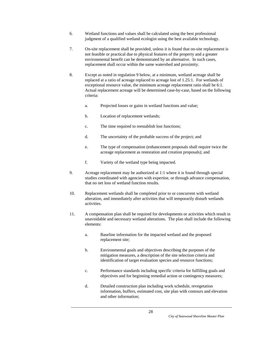- 6. Wetland functions and values shall be calculated using the best professional judgment of a qualified wetland ecologist using the best available technology.
- 7. On-site replacement shall be provided, unless it is found that on-site replacement is not feasible or practical due to physical features of the property and a greater environmental benefit can be demonstrated by an alternative. In such cases, replacement shall occur within the same watershed and proximity.
- 8. Except as noted in regulation 9 below, at a minimum, wetland acreage shall be replaced at a ratio of acreage replaced to acreage lost of 1.25:1. For wetlands of exceptional resource value, the minimum acreage replacement ratio shall be 6:1. Actual replacement acreage will be determined case-by-case, based on the following criteria:
	- a. Projected losses or gains in wetland functions and value;
	- b. Location of replacement wetlands;
	- c. The time required to reestablish lost functions;
	- d. The uncertainty of the probable success of the project; and
	- e. The type of compensation (enhancement proposals shall require twice the acreage replacement as restoration and creation proposals); and
	- f. Variety of the wetland type being impacted.
- 9. Acreage replacement may be authorized at 1:1 where it is found through special studies coordinated with agencies with expertise, or through advance compensation, that no net loss of wetland function results.
- 10. Replacement wetlands shall be completed prior to or concurrent with wetland alteration, and immediately after activities that will temporarily disturb wetlands activities.
- 11. A compensation plan shall be required for developments or activities which result in unavoidable and necessary wetland alterations. The plan shall include the following elements:
	- a. Baseline information for the impacted wetland and the proposed replacement site;
	- b. Environmental goals and objectives describing the purposes of the mitigation measures, a description of the site selection criteria and identification of target evaluation species and resource functions;
	- c. Performance standards including specific criteria for fulfilling goals and objectives and for beginning remedial action or contingency measures;
	- d. Detailed construction plan including work schedule, revegetation information, buffers, estimated cost, site plan with contours and elevation and other information;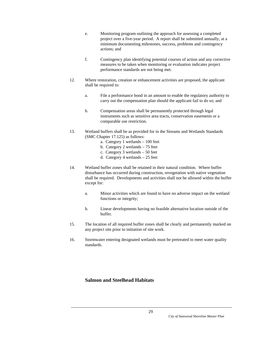- e. Monitoring program outlining the approach for assessing a completed project over a five-year period. A report shall be submitted annually, at a minimum documenting milestones, success, problems and contingency actions; and
- f. Contingency plan identifying potential courses of action and any corrective measures to be taken when monitoring or evaluation indicates project performance standards are not being met.
- 12. Where restoration, creation or enhancement activities are proposed, the applicant shall be required to:
	- a. File a performance bond in an amount to enable the regulatory authority to carry out the compensation plan should the applicant fail to do so; and
	- b. Compensation areas shall be permanently protected through legal instruments such as sensitive area tracts, conservation easements or a comparable use restriction.
- 13. Wetland buffers shall be as provided for in the Streams and Wetlands Standards (SMC Chapter 17.125) as follows:
	- a. Category 1 wetlands 100 feet
	- b. Category 2 wetlands 75 feet
	- c. Category 3 wetlands 50 feet
	- d. Category 4 wetlands 25 feet
- 14. Wetland buffer zones shall be retained in their natural condition. Where buffer disturbance has occurred during construction, revegetation with native vegetation shall be required. Developments and activities shall not be allowed within the buffer except for:
	- a. Minor activities which are found to have no adverse impact on the wetland functions or integrity;
	- b. Linear developments having no feasible alternative location outside of the buffer.
- 15. The location of all required buffer zones shall be clearly and permanently marked on any project site prior to initiation of site work.
- 16. Stormwater entering designated wetlands must be pretreated to meet water quality standards.

## **Salmon and Steelhead Habitats**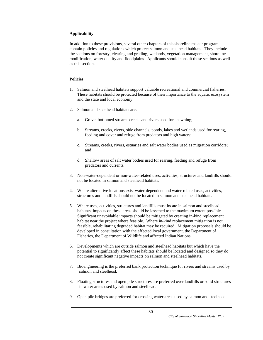#### **Applicability**

In addition to these provisions, several other chapters of this shoreline master program contain policies and regulations which protect salmon and steelhead habitats. They include the sections on forestry, clearing and grading, wetlands, vegetation management, shoreline modification, water quality and floodplains. Applicants should consult these sections as well as this section.

#### **Policies**

- 1. Salmon and steelhead habitats support valuable recreational and commercial fisheries. These habitats should be protected because of their importance to the aquatic ecosystem and the state and local economy.
- 2. Salmon and steelhead habitats are:
	- a. Gravel bottomed streams creeks and rivers used for spawning;
	- b. Streams, creeks, rivers, side channels, ponds, lakes and wetlands used for rearing, feeding and cover and refuge from predators and high waters;
	- c. Streams, creeks, rivers, estuaries and salt water bodies used as migration corridors; and
	- d. Shallow areas of salt water bodies used for rearing, feeding and refuge from predators and currents.
- 3. Non-water-dependent or non-water-related uses, activities, structures and landfills should not be located in salmon and steelhead habitats.
- 4. Where alternative locations exist water-dependent and water-related uses, activities, structures and landfills should not be located in salmon and steelhead habitats.
- 5. Where uses, activities, structures and landfills must locate in salmon and steelhead habitats, impacts on these areas should be lessened to the maximum extent possible. Significant unavoidable impacts should be mitigated by creating in-kind replacement habitat near the project where feasible. Where in-kind replacement mitigation is not feasible, rehabilitating degraded habitat may be required. Mitigation proposals should be developed in consultation with the affected local government, the Department of Fisheries, the Department of Wildlife and affected Indian Nations.
- 6. Developments which are outside salmon and steelhead habitats but which have the potential to significantly affect these habitats should be located and designed so they do not create significant negative impacts on salmon and steelhead habitats.
- 7. Bioengineering is the preferred bank protection technique for rivers and streams used by salmon and steelhead.
- 8. Floating structures and open pile structures are preferred over landfills or solid structures in water areas used by salmon and steelhead.
- 9. Open pile bridges are preferred for crossing water areas used by salmon and steelhead.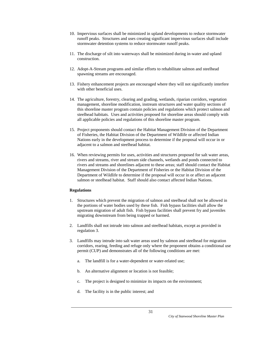- 10. Impervious surfaces shall be minimized in upland developments to reduce stormwater runoff peaks. Structures and uses creating significant impervious surfaces shall include stormwater detention systems to reduce stormwater runoff peaks.
- 11. The discharge of silt into waterways shall be minimized during in-water and upland construction.
- 12. Adopt-A-Stream programs and similar efforts to rehabilitate salmon and steelhead spawning streams are encouraged.
- 13. Fishery enhancement projects are encouraged where they will not significantly interfere with other beneficial uses.
- 14. The agriculture, forestry, clearing and grading, wetlands, riparian corridors, vegetation management, shoreline modification, instream structures and water quality sections of this shoreline master program contain policies and regulations which protect salmon and steelhead habitats. Uses and activities proposed for shoreline areas should comply with all applicable policies and regulations of this shoreline master program.
- 15. Project proponents should contact the Habitat Management Division of the Department of Fisheries, the Habitat Division of the Department of Wildlife or affected Indian Nations early in the development process to determine if the proposal will occur in or adjacent to a salmon and steelhead habitat.
- 16. When reviewing permits for uses, activities and structures proposed for salt water areas, rivers and streams, river and stream side channels, wetlands and ponds connected to rivers and streams and shorelines adjacent to these areas; staff should contact the Habitat Management Division of the Department of Fisheries or the Habitat Division of the Department of Wildlife to determine if the proposal will occur in or affect an adjacent salmon or steelhead habitat. Staff should also contact affected Indian Nations.

#### **Regulations**

- 1. Structures which prevent the migration of salmon and steelhead shall not be allowed in the portions of water bodies used by these fish. Fish bypass facilities shall allow the upstream migration of adult fish. Fish bypass facilities shall prevent fry and juveniles migrating downstream from being trapped or harmed.
- 2. Landfills shall not intrude into salmon and steelhead habitats, except as provided in regulation 3.
- 3. Landfills may intrude into salt water areas used by salmon and steelhead for migration corridors, rearing, feeding and refuge only where the proponent obtains a conditional use permit (CUP) and demonstrates all of the following conditions are met:
	- a. The landfill is for a water-dependent or water-related use;
	- b. An alternative alignment or location is not feasible;
	- c. The project is designed to minimize its impacts on the environment;
	- d. The facility is in the public interest; and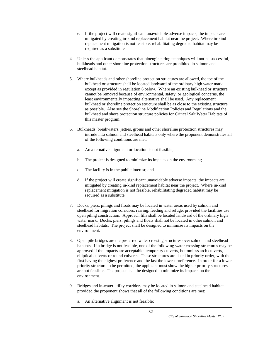- e. If the project will create significant unavoidable adverse impacts, the impacts are mitigated by creating in-kind replacement habitat near the project. Where in-kind replacement mitigation is not feasible, rehabilitating degraded habitat may be required as a substitute.
- 4. Unless the applicant demonstrates that bioengineering techniques will not be successful, bulkheads and other shoreline protection structures are prohibited in salmon and steelhead habitat.
- 5. Where bulkheads and other shoreline protection structures are allowed, the toe of the bulkhead or structure shall be located landward of the ordinary high water mark except as provided in regulation 6 below. Where an existing bulkhead or structure cannot be removed because of environmental, safety, or geological concerns, the least environmentally impacting alternative shall be used. Any replacement bulkhead or shoreline protection structure shall be as close to the existing structure as possible. Also see the Shoreline Modification Policies and Regulations and the bulkhead and shore protection structure policies for Critical Salt Water Habitats of this master program.
- 6. Bulkheads, breakwaters, jetties, groins and other shoreline protection structures may intrude into salmon and steelhead habitats only where the proponent demonstrates all of the following conditions are met:
	- a. An alternative alignment or location is not feasible;
	- b. The project is designed to minimize its impacts on the environment;
	- c. The facility is in the public interest; and
	- d. If the project will create significant unavoidable adverse impacts, the impacts are mitigated by creating in-kind replacement habitat near the project. Where in-kind replacement mitigation is not feasible, rehabilitating degraded habitat may be required as a substitute.
- 7. Docks, piers, pilings and floats may be located in water areas used by salmon and steelhead for migration corridors, rearing, feeding and refuge, provided the facilities use open piling construction. Approach fills shall be located landward of the ordinary high water mark. Docks, piers, pilings and floats shall not be located in other salmon and steelhead habitats. The project shall be designed to minimize its impacts on the environment.
- 8. Open pile bridges are the preferred water crossing structures over salmon and steelhead habitats. If a bridge is not feasible, one of the following water crossing structures may be approved if the impacts are acceptable: temporary culverts, bottomless arch culverts, elliptical culverts or round culverts. These structures are listed in priority order, with the first having the highest preference and the last the lowest preference. In order for a lower priority structure to be permitted, the applicant must show the higher priority structures are not feasible. The project shall be designed to minimize its impacts on the environment.
- 9. Bridges and in-water utility corridors may be located in salmon and steelhead habitat provided the proponent shows that all of the following conditions are met:
	- a. An alternative alignment is not feasible;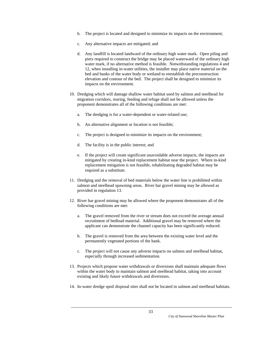- b. The project is located and designed to minimize its impacts on the environment;
- c. Any alternative impacts are mitigated; and
- d. Any landfill is located landward of the ordinary high water mark. Open piling and piers required to construct the bridge may be placed waterward of the ordinary high water mark, if no alternative method is feasible. Notwithstanding regulations 4 and 12, when installing in-water utilities, the installer may place native material on the bed and banks of the water body or wetland to reestablish the preconstruction elevation and contour of the bed. The project shall be designed to minimize its impacts on the environment.
- 10. Dredging which will damage shallow water habitat used by salmon and steelhead for migration corridors, rearing, feeding and refuge shall not be allowed unless the proponent demonstrates all of the following conditions are met:
	- a. The dredging is for a water-dependent or water-related use;
	- b. An alternative alignment or location is not feasible;
	- c. The project is designed to minimize its impacts on the environment;
	- d. The facility is in the public interest; and
	- e. If the project will create significant unavoidable adverse impacts, the impacts are mitigated by creating in-kind replacement habitat near the project. Where in-kind replacement mitigation is not feasible, rehabilitating degraded habitat may be required as a substitute.
- 11. Dredging and the removal of bed materials below the water line is prohibited within salmon and steelhead spawning areas. River bar gravel mining may be allowed as provided in regulation 13.
- 12. River bar gravel mining may be allowed where the proponent demonstrates all of the following conditions are met:
	- a. The gravel removed from the river or stream does not exceed the average annual recruitment of bedload material. Additional gravel may be removed where the applicant can demonstrate the channel capacity has been significantly reduced.
	- b. The gravel is removed from the area between the existing water level and the permanently vegetated portions of the bank.
	- c. The project will not cause any adverse impacts on salmon and steelhead habitat, especially through increased sedimentation.
- 13. Projects which propose water withdrawals or diversions shall maintain adequate flows within the water body to maintain salmon and steelhead habitat, taking into account existing and likely future withdrawals and diversions.
- 14. In-water dredge spoil disposal sites shall not be located in salmon and steelhead habitats.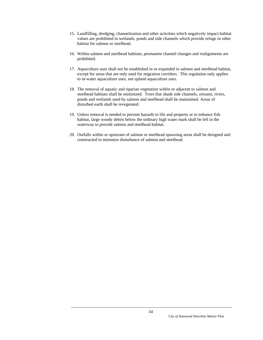- 15. Landfilling, dredging, channelization and other activities which negatively impact habitat values are prohibited in wetlands, ponds and side channels which provide refuge or other habitat for salmon or steelhead.
- 16. Within salmon and steelhead habitats, permanent channel changes and realignments are prohibited.
- 17. Aquaculture uses shall not be established in or expanded in salmon and steelhead habitat, except for areas that are only used for migration corridors. This regulation only applies to in-water aquaculture uses, not upland aquaculture uses.
- 18. The removal of aquatic and riparian vegetation within or adjacent to salmon and steelhead habitats shall be minimized. Trees that shade side channels, streams, rivers, ponds and wetlands used by salmon and steelhead shall be maintained. Areas of disturbed earth shall be revegetated.
- 19. Unless removal is needed to prevent hazards to life and property or to enhance fish habitat, large woody debris below the ordinary high water mark shall be left in the waterway to provide salmon and steelhead habitat.
- 20. Outfalls within or upstream of salmon or steelhead spawning areas shall be designed and constructed to minimize disturbance of salmon and steelhead.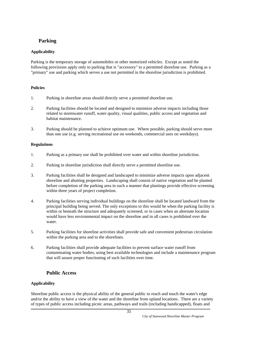# **Parking**

# **Applicability**

Parking is the temporary storage of automobiles or other motorized vehicles. Except as noted the following provisions apply only to parking that is "accessory" to a permitted shoreline use. Parking as a "primary" use and parking which serves a use not permitted in the shoreline jurisdiction is prohibited.

## **Policies**

- 1. Parking in shoreline areas should directly serve a permitted shoreline use.
- 2. Parking facilities should be located and designed to minimize adverse impacts including those related to stormwater runoff, water quality, visual qualities, public access and vegetation and habitat maintenance.
- 3. Parking should be planned to achieve optimum use. Where possible, parking should serve more than one use (e.g. serving recreational use on weekends, commercial uses on weekdays).

## **Regulations**

- 1. Parking as a primary use shall be prohibited over water and within shoreline jurisdiction.
- 2. Parking in shoreline jurisdiction shall directly serve a permitted shoreline use.
- 3. Parking facilities shall be designed and landscaped to minimize adverse impacts upon adjacent shoreline and abutting properties. Landscaping shall consist of native vegetation and be planted before completion of the parking area in such a manner that plantings provide effective screening within three years of project completion.
- 4. Parking facilities serving individual buildings on the shoreline shall be located landward from the principal building being served. The only exceptions to this would be when the parking facility is within or beneath the structure and adequately screened, or in cases when an alternate location would have less environmental impact on the shoreline and in all cases is prohibited over the water.
- 5. Parking facilities for shoreline activities shall provide safe and convenient pedestrian circulation within the parking area and to the shorelines.
- 6. Parking facilities shall provide adequate facilities to prevent surface water runoff from contaminating water bodies, using best available technologies and include a maintenance program that will assure proper functioning of such facilities over time.

# **Public Access**

## **Applicability**

Shoreline public access is the physical ability of the general public to reach and touch the water's edge and/or the ability to have a view of the water and the shoreline from upland locations. There are a variety of types of public access including picnic areas, pathways and trails (including handicapped), floats and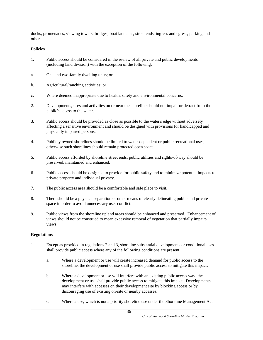docks, promenades, viewing towers, bridges, boat launches, street ends, ingress and egress, parking and others.

## **Policies**

- 1. Public access should be considered in the review of all private and public developments (including land division) with the exception of the following:
- a. One and two-family dwelling units; or
- b. Agricultural/ranching activities; or
- c. Where deemed inappropriate due to health, safety and environmental concerns.
- 2. Developments, uses and activities on or near the shoreline should not impair or detract from the public's access to the water.
- 3. Public access should be provided as close as possible to the water's edge without adversely affecting a sensitive environment and should be designed with provisions for handicapped and physically impaired persons.
- 4. Publicly owned shorelines should be limited to water-dependent or public recreational uses, otherwise such shorelines should remain protected open space.
- 5. Public access afforded by shoreline street ends, public utilities and rights-of-way should be preserved, maintained and enhanced.
- 6. Public access should be designed to provide for public safety and to minimize potential impacts to private property and individual privacy.
- 7. The public access area should be a comfortable and safe place to visit.
- 8. There should be a physical separation or other means of clearly delineating public and private space in order to avoid unnecessary user conflict.
- 9. Public views from the shoreline upland areas should be enhanced and preserved. Enhancement of views should not be construed to mean excessive removal of vegetation that partially impairs views.

- 1. Except as provided in regulations 2 and 3, shoreline substantial developments or conditional uses shall provide public access where any of the following conditions are present:
	- a. Where a development or use will create increased demand for public access to the shoreline, the development or use shall provide public access to mitigate this impact.
	- b. Where a development or use will interfere with an existing public access way, the development or use shall provide public access to mitigate this impact. Developments may interfere with accesses on their development site by blocking access or by discouraging use of existing on-site or nearby accesses.
	- c. Where a use, which is not a priority shoreline use under the Shoreline Management Act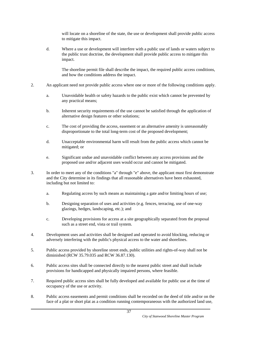will locate on a shoreline of the state, the use or development shall provide public access to mitigate this impact.

 d. Where a use or development will interfere with a public use of lands or waters subject to the public trust doctrine, the development shall provide public access to mitigate this impact.

 The shoreline permit file shall describe the impact, the required public access conditions, and how the conditions address the impact.

- 2. An applicant need not provide public access where one or more of the following conditions apply.
	- a. Unavoidable health or safety hazards to the public exist which cannot be prevented by any practical means;
	- b. Inherent security requirements of the use cannot be satisfied through the application of alternative design features or other solutions;
	- c. The cost of providing the access, easement or an alternative amenity is unreasonably disproportionate to the total long-term cost of the proposed development;
	- d. Unacceptable environmental harm will result from the public access which cannot be mitigated; or
	- e. Significant undue and unavoidable conflict between any access provisions and the proposed use and/or adjacent uses would occur and cannot be mitigated.
- 3. In order to meet any of the conditions "a" through "e" above, the applicant must first demonstrate and the City determine in its findings that all reasonable alternatives have been exhausted, including but not limited to:
	- a. Regulating access by such means as maintaining a gate and/or limiting hours of use;
	- b. Designing separation of uses and activities (e.g. fences, terracing, use of one-way glazings, hedges, landscaping, etc.); and
	- c. Developing provisions for access at a site geographically separated from the proposal such as a street end, vista or trail system.
- 4. Development uses and activities shall be designed and operated to avoid blocking, reducing or adversely interfering with the public's physical access to the water and shorelines.
- 5. Public access provided by shoreline street ends, public utilities and rights-of-way shall not be diminished (RCW 35.79.035 and RCW 36.87.130).
- 6. Public access sites shall be connected directly to the nearest public street and shall include provisions for handicapped and physically impaired persons, where feasible.
- 7. Required public access sites shall be fully developed and available for public use at the time of occupancy of the use or activity.
- 8. Public access easements and permit conditions shall be recorded on the deed of title and/or on the face of a plat or short plat as a condition running contemporaneous with the authorized land use,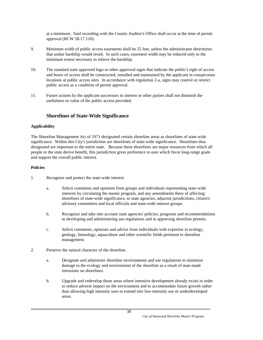at a minimum. Said recording with the County Auditor's Office shall occur at the time of permit approval (RCW 58.17.110).

- 9. Minimum width of public access easements shall be 25 feet, unless the administrator determines that undue hardship would result. In such cases, easement width may be reduced only to the minimum extent necessary to relieve the hardship.
- 10. The standard state approved logo or other approved signs that indicate the public's right of access and hours of access shall be constructed, installed and maintained by the applicant in conspicuous locations at public access sites. In accordance with regulation 2-a, signs may control or restrict public access as a condition of permit approval.
- 11. Future actions by the applicant successors in interest or other parties shall not diminish the usefulness or value of the public access provided.

# **Shorelines of State-Wide Significance**

## **Applicability**

The Shoreline Management Act of 1971 designated certain shoreline areas as shorelines of state-wide significance. Within this City's jurisdiction are shorelines of state-wide significance. Shorelines thus designated are important to the entire state. Because these shorelines are major resources from which all people in the state derive benefit, this jurisdiction gives preference to uses which favor long-range goals and support the overall public interest.

- 1. Recognize and protect the state-wide interest.
	- a. Solicit comments and opinions from groups and individuals representing state-wide interests by circulating the master program, and any amendments there of affecting shorelines of state-wide significance, to state agencies, adjacent jurisdictions, citizen's advisory committees and local officials and state-wide interest groups.
	- b. Recognize and take into account state agencies' policies, programs and recommendations in developing and administering use regulations and in approving shoreline permits.
	- c. Solicit comments, opinions and advice from individuals with expertise in ecology, geology, limnology, aquaculture and other scientific fields pertinent to shoreline management.
- 2. Preserve the natural character of the shoreline.
	- a. Designate and administer shoreline environments and use regulations to minimize damage to the ecology and environment of the shoreline as a result of man-made intrusions on shorelines.
	- b. Upgrade and redevelop those areas where intensive development already exists in order to reduce adverse impact on the environment and to accommodate future growth rather than allowing high intensity uses to extend into low-intensity use or underdeveloped areas.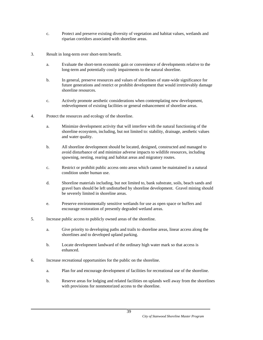- c. Protect and preserve existing diversity of vegetation and habitat values, wetlands and riparian corridors associated with shoreline areas.
- 3. Result in long-term over short-term benefit.
	- a. Evaluate the short-term economic gain or convenience of developments relative to the long-term and potentially costly impairments to the natural shoreline.
	- b. In general, preserve resources and values of shorelines of state-wide significance for future generations and restrict or prohibit development that would irretrievably damage shoreline resources.
	- c. Actively promote aesthetic considerations when contemplating new development, redevelopment of existing facilities or general enhancement of shoreline areas.
- 4. Protect the resources and ecology of the shoreline.
	- a. Minimize development activity that will interfere with the natural functioning of the shoreline ecosystem, including, but not limited to: stability, drainage, aesthetic values and water quality.
	- b. All shoreline development should be located, designed, constructed and managed to avoid disturbance of and minimize adverse impacts to wildlife resources, including spawning, nesting, rearing and habitat areas and migratory routes.
	- c. Restrict or prohibit public access onto areas which cannot be maintained in a natural condition under human use.
	- d. Shoreline materials including, but not limited to, bank substrate, soils, beach sands and gravel bars should be left undisturbed by shoreline development. Gravel mining should be severely limited in shoreline areas.
	- e. Preserve environmentally sensitive wetlands for use as open space or buffers and encourage restoration of presently degraded wetland areas.
- 5. Increase public access to publicly owned areas of the shoreline.
	- a. Give priority to developing paths and trails to shoreline areas, linear access along the shorelines and to developed upland parking.
	- b. Locate development landward of the ordinary high water mark so that access is enhanced.
- 6. Increase recreational opportunities for the public on the shoreline.
	- a. Plan for and encourage development of facilities for recreational use of the shoreline.
	- b. Reserve areas for lodging and related facilities on uplands well away from the shorelines with provisions for nonmotorized access to the shoreline.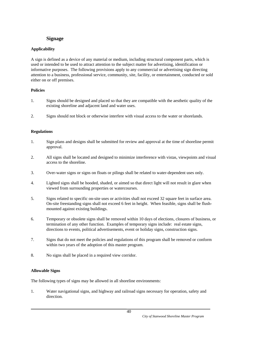# **Signage**

# **Applicability**

A sign is defined as a device of any material or medium, including structural component parts, which is used or intended to be used to attract attention to the subject matter for advertising, identification or informative purposes. The following provisions apply to any commercial or advertising sign directing attention to a business, professional service, community, site, facility, or entertainment, conducted or sold either on or off premises.

# **Policies**

- 1. Signs should be designed and placed so that they are compatible with the aesthetic quality of the existing shoreline and adjacent land and water uses.
- 2. Signs should not block or otherwise interfere with visual access to the water or shorelands.

# **Regulations**

- 1. Sign plans and designs shall be submitted for review and approval at the time of shoreline permit approval.
- 2. All signs shall be located and designed to minimize interference with vistas, viewpoints and visual access to the shoreline.
- 3. Over-water signs or signs on floats or pilings shall be related to water-dependent uses only.
- 4. Lighted signs shall be hooded, shaded, or aimed so that direct light will not result in glare when viewed from surrounding properties or watercourses.
- 5. Signs related to specific on-site uses or activities shall not exceed 32 square feet in surface area. On-site freestanding signs shall not exceed 6 feet in height. When feasible, signs shall be flushmounted against existing buildings.
- 6. Temporary or obsolete signs shall be removed within 10 days of elections, closures of business, or termination of any other function. Examples of temporary signs include: real estate signs, directions to events, political advertisements, event or holiday signs, construction signs.
- 7. Signs that do not meet the policies and regulations of this program shall be removed or conform within two years of the adoption of this master program.
- 8. No signs shall be placed in a required view corridor.

# **Allowable Signs**

The following types of signs may be allowed in all shoreline environments:

1. Water navigational signs, and highway and railroad signs necessary for operation, safety and direction.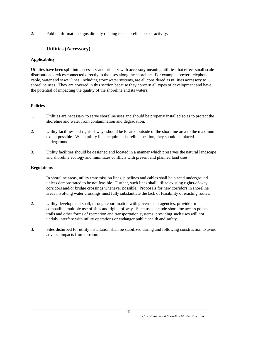2. Public information signs directly relating to a shoreline use or activity.

# **Utilities (Accessory)**

## **Applicability**

Utilities have been split into accessory and primary with accessory meaning utilities that effect small scale distribution services connected directly to the uses along the shoreline. For example, power, telephone, cable, water and sewer lines, including stormwater systems, are all considered as utilities accessory to shoreline uses. They are covered in this section because they concern all types of development and have the potential of impacting the quality of the shoreline and its waters.

## **Policies**

- 1. Utilities are necessary to serve shoreline uses and should be properly installed so as to protect the shoreline and water from contamination and degradation.
- 2. Utility facilities and right-of-ways should be located outside of the shoreline area to the maximum extent possible. When utility lines require a shoreline location, they should be placed underground.
- 3. Utility facilities should be designed and located in a manner which preserves the natural landscape and shoreline ecology and minimizes conflicts with present and planned land uses.

- 1. In shoreline areas, utility transmission lines, pipelines and cables shall be placed underground unless demonstrated to be not feasible. Further, such lines shall utilize existing rights-of-way, corridors and/or bridge crossings whenever possible. Proposals for new corridors in shoreline areas involving water crossings must fully substantiate the lack of feasibility of existing routes.
- 2. Utility development shall, through coordination with government agencies, provide for compatible multiple use of sites and rights-of-way. Such uses include shoreline access points, trails and other forms of recreation and transportation systems, providing such uses will not unduly interfere with utility operations or endanger public health and safety.
- 3. Sites disturbed for utility installation shall be stabilized during and following construction to avoid adverse impacts from erosion.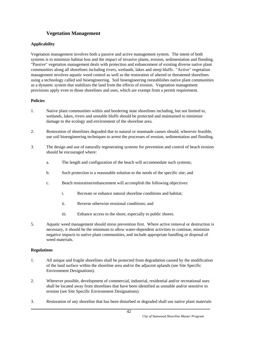# **Vegetation Management**

## **Applicability**

Vegetation management involves both a passive and active management system. The intent of both systems is to minimize habitat loss and the impact of invasive plants, erosion, sedimentation and flooding. "Passive" vegetation management deals with protection and enhancement of existing diverse native plant communities along all shorelines including rivers, wetlands, lakes and steep bluffs. "Active" vegetation management involves aquatic weed control as well as the restoration of altered or threatened shorelines using a technology called soil bioengineering. Soil bioengineering reestablishes native plant communities as a dynamic system that stabilizes the land from the effects of erosion. Vegetation management provisions apply even to those shorelines and uses, which are exempt from a permit requirement.

## **Policies**

- 1. Native plant communities within and bordering state shorelines including, but not limited to, wetlands, lakes, rivers and unstable bluffs should be protected and maintained to minimize damage to the ecology and environment of the shoreline area.
- 2. Restoration of shorelines degraded due to natural or manmade causes should, wherever feasible, use soil bioengineering techniques to arrest the processes of erosion, sedimentation and flooding.
- 3. The design and use of naturally regenerating systems for prevention and control of beach erosion should be encouraged where:
	- a. The length and configuration of the beach will accommodate such systems;
	- b. Such protection is a reasonable solution to the needs of the specific site; and
	- c. Beach restoration/enhancement will accomplish the following objectives:
		- i. Recreate or enhance natural shoreline conditions and habitat;
		- ii. Reverse otherwise erosional conditions; and
		- iii. Enhance access to the shore, especially to public shores.
- 5. Aquatic weed management should stress prevention first. Where active removal or destruction is necessary, it should be the minimum to allow water-dependent activities to continue, minimize negative impacts to native plant communities, and include appropriate handling or disposal of weed materials.

- 1. All unique and fragile shorelines shall be protected from degradation caused by the modification of the land surface within the shoreline area and/or the adjacent uplands (see Site Specific Environment Designations).
- 2. Wherever possible, development of commercial, industrial, residential and/or recreational uses shall be located away from shorelines that have been identified as unstable and/or sensitive to erosion (see Site Specific Environment Designations).
- 3. Restoration of any shoreline that has been disturbed or degraded shall use native plant materials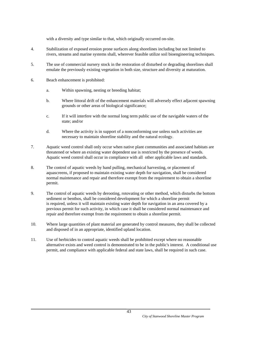with a diversity and type similar to that, which originally occurred on-site.

- 4. Stabilization of exposed erosion prone surfaces along shorelines including but not limited to rivers, streams and marine systems shall, wherever feasible utilize soil bioengineering techniques.
- 5. The use of commercial nursery stock in the restoration of disturbed or degrading shorelines shall emulate the previously existing vegetation in both size, structure and diversity at maturation.
- 6. Beach enhancement is prohibited:
	- a. Within spawning, nesting or breeding habitat;
	- b. Where littoral drift of the enhancement materials will adversely effect adjacent spawning grounds or other areas of biological significance;
	- c. If it will interfere with the normal long term public use of the navigable waters of the state; and/or
	- d. Where the activity is in support of a nonconforming use unless such activities are necessary to maintain shoreline stability and the natural ecology.
- 7. Aquatic weed control shall only occur when native plant communities and associated habitats are threatened or where an existing water dependent use is restricted by the presence of weeds. Aquatic weed control shall occur in compliance with all other applicable laws and standards.
- 8. The control of aquatic weeds by hand pulling, mechanical harvesting, or placement of aquascreens, if proposed to maintain existing water depth for navigation, shall be considered normal maintenance and repair and therefore exempt from the requirement to obtain a shoreline permit.
- 9. The control of aquatic weeds by derooting, rotovating or other method, which disturbs the bottom sediment or benthos, shall be considered development for which a shoreline permit is required, unless it will maintain existing water depth for navigation in an area covered by a previous permit for such activity, in which case it shall be considered normal maintenance and repair and therefore exempt from the requirement to obtain a shoreline permit.
- 10. Where large quantities of plant material are generated by control measures, they shall be collected and disposed of in an appropriate, identified upland location.
- 11. Use of herbicides to control aquatic weeds shall be prohibited except where no reasonable alternative exists and weed control is demonstrated to be in the public's interest. A conditional use permit, and compliance with applicable federal and state laws, shall be required in such case.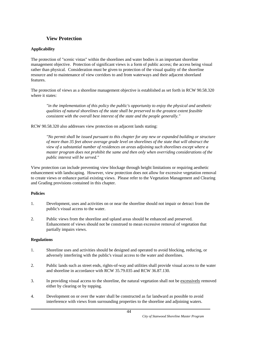# **View Protection**

# **Applicability**

The protection of "scenic vistas" within the shorelines and water bodies is an important shoreline management objective. Protection of significant views is a form of public access; the access being visual rather than physical. Consideration must be given to protection of the visual quality of the shoreline resource and to maintenance of view corridors to and from waterways and their adjacent shoreland features.

The protection of views as a shoreline management objective is established as set forth in RCW 90.58.320 where it states:

 *"in the implementation of this policy the public's opportunity to enjoy the physical and aesthetic qualities of natural shorelines of the state shall be preserved to the greatest extent feasible consistent with the overall best interest of the state and the people generally."* 

RCW 90.58.320 also addresses view protection on adjacent lands stating:

 *"No permit shall be issued pursuant to this chapter for any new or expanded building or structure of more than 35 feet above average grade level on shorelines of the state that will obstruct the view of a substantial number of residences on areas adjoining such shorelines except where a master program does not prohibit the same and then only when overriding considerations of the public interest will be served."* 

View protection can include preventing view blockage through height limitations or requiring aesthetic enhancement with landscaping. However, view protection does not allow for excessive vegetation removal to create views or enhance partial existing views. Please refer to the Vegetation Management and Clearing and Grading provisions contained in this chapter.

## **Policies**

- 1. Development, uses and activities on or near the shoreline should not impair or detract from the public's visual access to the water.
- 2. Public views from the shoreline and upland areas should be enhanced and preserved. Enhancement of views should not be construed to mean excessive removal of vegetation that partially impairs views.

- 1. Shoreline uses and activities should be designed and operated to avoid blocking, reducing, or adversely interfering with the public's visual access to the water and shorelines.
- 2. Public lands such as street ends, rights-of-way and utilities shall provide visual access to the water and shoreline in accordance with RCW 35.79.035 and RCW 36.87.130.
- 3. In providing visual access to the shoreline, the natural vegetation shall not be excessively removed either by clearing or by topping.
- 4. Development on or over the water shall be constructed as far landward as possible to avoid interference with views from surrounding properties to the shoreline and adjoining waters.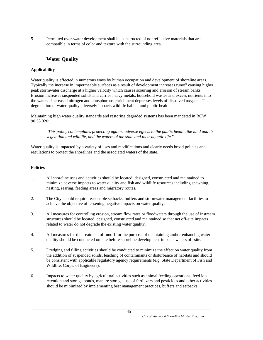5. Permitted over-water development shall be constructed of nonreflective materials that are compatible in terms of color and texture with the surrounding area.

# **Water Quality**

# **Applicability**

Water quality is effected in numerous ways by human occupation and development of shoreline areas. Typically the increase in impermeable surfaces as a result of development increases runoff causing higher peak stormwater discharge at a higher velocity which causes scouring and erosion of stream banks. Erosion increases suspended solids and carries heavy metals, household wastes and excess nutrients into the water. Increased nitrogen and phosphorous enrichment depresses levels of dissolved oxygen. The degradation of water quality adversely impacts wildlife habitat and public health.

Maintaining high water quality standards and restoring degraded systems has been mandated in RCW 90.58.020:

 *"This policy contemplates protecting against adverse effects to the public health, the land and its vegetation and wildlife, and the waters of the state and their aquatic life."* 

Water quality is impacted by a variety of uses and modifications and clearly needs broad policies and regulations to protect the shorelines and the associated waters of the state.

- 1. All shoreline uses and activities should be located, designed, constructed and maintained to minimize adverse impacts to water quality and fish and wildlife resources including spawning, nesting, rearing, feeding areas and migratory routes.
- 2. The City should require reasonable setbacks, buffers and stormwater management facilities to achieve the objective of lessening negative impacts on water quality.
- 3. All measures for controlling erosion, stream flow rates or floodwaters through the use of instream structures should be located, designed, constructed and maintained so that net off-site impacts related to water do not degrade the existing water quality.
- 4. All measures for the treatment of runoff for the purpose of maintaining and/or enhancing water quality should be conducted on-site before shoreline development impacts waters off-site.
- 5. Dredging and filling activities should be conducted to minimize the effect on water quality from the addition of suspended solids, leaching of contaminants or disturbance of habitats and should be consistent with applicable regulatory agency requirements (e.g. State Department of Fish and Wildlife, Corps. of Engineers).
- 6. Impacts to water quality by agricultural activities such as animal feeding operations, feed lots, retention and storage ponds, manure storage, use of fertilizers and pesticides and other activities should be minimized by implementing best management practices, buffers and setbacks.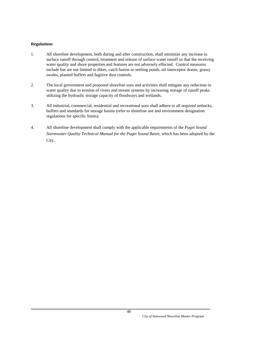- 1. All shoreline development, both during and after construction, shall minimize any increase in surface runoff through control, treatment and release of surface water runoff so that the receiving water quality and shore properties and features are not adversely effected. Control measures include but are not limited to dikes, catch basins or settling ponds, oil interceptor drains, grassy swales, planted buffers and fugitive dust controls.
- 2. The local government and proposed shoreline uses and activities shall mitigate any reduction in water quality due to erosion of rivers and stream systems by increasing storage of runoff peaks utilizing the hydraulic storage capacity of floodways and wetlands.
- 3. All industrial, commercial, residential and recreational uses shall adhere to all required setbacks, buffers and standards for storage basins (refer to shoreline use and environment designation regulations for specific limits).
- 4. All shoreline development shall comply with the applicable requirements of the *Puget Sound Stormwater Quality Technical Manual for the Puget Sound Basin*, which has been adopted by the City.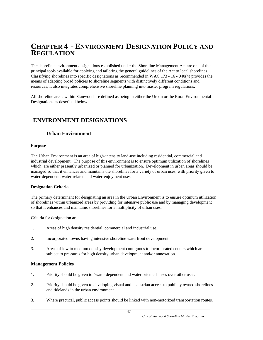# **CHAPTER 4 - ENVIRONMENT DESIGNATION POLICY AND REGULATION**

The shoreline environment designations established under the Shoreline Management Act are one of the principal tools available for applying and tailoring the general guidelines of the Act to local shorelines. Classifying shorelines into specific designations as recommended in WAC 173 - 16 - 040(4) provides the means of adapting broad policies to shoreline segments with distinctively different conditions and resources; it also integrates comprehensive shoreline planning into master program regulations.

All shoreline areas within Stanwood are defined as being in either the Urban or the Rural Environmental Designations as described below.

# **ENVIRONMENT DESIGNATIONS**

# **Urban Environment**

## **Purpose**

The Urban Environment is an area of high-intensity land-use including residential, commercial and industrial development. The purpose of this environment is to ensure optimum utilization of shorelines which, are either presently urbanized or planned for urbanization. Development in urban areas should be managed so that it enhances and maintains the shorelines for a variety of urban uses, with priority given to water-dependent, water-related and water-enjoyment uses.

## **Designation Criteria**

The primary determinant for designating an area in the Urban Environment is to ensure optimum utilization of shorelines within urbanized areas by providing for intensive public use and by managing development so that it enhances and maintains shorelines for a multiplicity of urban uses.

Criteria for designation are:

- 1. Areas of high density residential, commercial and industrial use.
- 2. Incorporated towns having intensive shoreline waterfront development.
- 3. Areas of low to medium density development contiguous to incorporated centers which are subject to pressures for high density urban development and/or annexation.

## **Management Policies**

- 1. Priority should be given to "water dependent and water oriented" uses over other uses.
- 2. Priority should be given to developing visual and pedestrian access to publicly owned shorelines and tidelands in the urban environment.
- 3. Where practical, public access points should be linked with non-motorized transportation routes.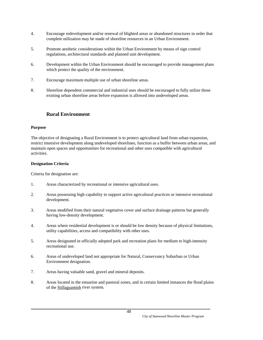- 4. Encourage redevelopment and/or renewal of blighted areas or abandoned structures in order that complete utilization may be made of shoreline resources in an Urban Environment.
- 5. Promote aesthetic considerations within the Urban Environment by means of sign control regulations, architectural standards and planned unit development.
- 6. Development within the Urban Environment should be encouraged to provide management plans which protect the quality of the environment.
- 7. Encourage maximum multiple use of urban shoreline areas.
- 8. Shoreline dependent commercial and industrial uses should be encouraged to fully utilize those existing urban shoreline areas before expansion is allowed into undeveloped areas.

# **Rural Environment**

#### **Purpose**

The objective of designating a Rural Environment is to protect agricultural land from urban expansion, restrict intensive development along undeveloped shorelines, function as a buffer between urban areas, and maintain open spaces and opportunities for recreational and other uses compatible with agricultural activities.

#### **Designation Criteria**

Criteria for designation are:

- 1. Areas characterized by recreational or intensive agricultural uses.
- 2. Areas possessing high capability to support active agricultural practices or intensive recreational development.
- 3. Areas modified from their natural vegetative cover and surface drainage patterns but generally having low-density development.
- 4. Areas where residential development is or should be low density because of physical limitations, utility capabilities, access and compatibility with other uses.
- 5. Areas designated in officially adopted park and recreation plans for medium to high-intensity recreational use.
- 6. Areas of undeveloped land not appropriate for Natural, Conservancy Suburban or Urban Environment designation.
- 7. Areas having valuable sand, gravel and mineral deposits.
- 8. Areas located in the estuarine and pastoral zones, and in certain limited instances the flood plains of the Stillaguamish river system.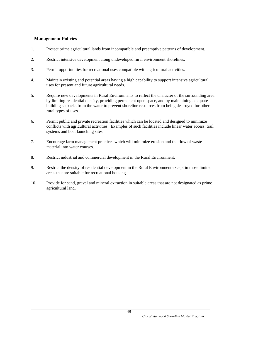## **Management Policies**

- 1. Protect prime agricultural lands from incompatible and preemptive patterns of development.
- 2. Restrict intensive development along undeveloped rural environment shorelines.
- 3. Permit opportunities for recreational uses compatible with agricultural activities.
- 4. Maintain existing and potential areas having a high capability to support intensive agricultural uses for present and future agricultural needs.
- 5. Require new developments in Rural Environments to reflect the character of the surrounding area by limiting residential density, providing permanent open space, and by maintaining adequate building setbacks from the water to prevent shoreline resources from being destroyed for other rural types of uses.
- 6. Permit public and private recreation facilities which can be located and designed to minimize conflicts with agricultural activities. Examples of such facilities include linear water access, trail systems and boat launching sites.
- 7. Encourage farm management practices which will minimize erosion and the flow of waste material into water courses.
- 8. Restrict industrial and commercial development in the Rural Environment.
- 9. Restrict the density of residential development in the Rural Environment except in those limited areas that are suitable for recreational housing.
- 10. Provide for sand, gravel and mineral extraction in suitable areas that are not designated as prime agricultural land.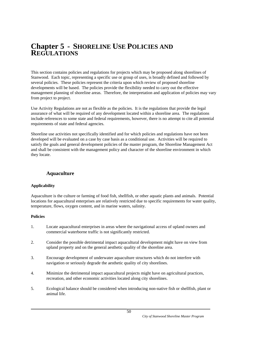# **Chapter 5 - SHORELINE USE POLICIES AND REGULATIONS**

This section contains policies and regulations for projects which may be proposed along shorelines of Stanwood. Each topic, representing a specific use or group of uses, is broadly defined and followed by several policies. These policies represent the criteria upon which review of proposed shoreline developments will be based. The policies provide the flexibility needed to carry out the effective management planning of shoreline areas. Therefore, the interpretation and application of policies may vary from project to project.

Use Activity Regulations are not as flexible as the policies. It is the regulations that provide the legal assurance of what will be required of any development located within a shoreline area. The regulations include references to some state and federal requirements, however, there is no attempt to cite all potential requirements of state and federal agencies.

Shoreline use activities not specifically identified and for which policies and regulations have not been developed will be evaluated on a case by case basis as a conditional use. Activities will be required to satisfy the goals and general development policies of the master program, the Shoreline Management Act and shall be consistent with the management policy and character of the shoreline environment in which they locate.

# **Aquaculture**

## **Applicability**

Aquaculture is the culture or farming of food fish, shellfish, or other aquatic plants and animals. Potential locations for aquacultural enterprises are relatively restricted due to specific requirements for water quality, temperature, flows, oxygen content, and in marine waters, salinity.

- 1. Locate aquacultural enterprises in areas where the navigational access of upland owners and commercial waterborne traffic is not significantly restricted.
- 2. Consider the possible detrimental impact aquacultural development might have on view from upland property and on the general aesthetic quality of the shoreline area.
- 3. Encourage development of underwater aquaculture structures which do not interfere with navigation or seriously degrade the aesthetic quality of city shorelines.
- 4. Minimize the detrimental impact aquacultural projects might have on agricultural practices, recreation, and other economic activities located along city shorelines.
- 5. Ecological balance should be considered when introducing non-native fish or shellfish, plant or animal life.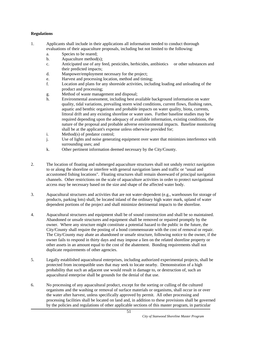- 1. Applicants shall include in their applications all information needed to conduct thorough evaluations of their aquaculture proposals, including but not limited to the following:
	- a. Species to be reared;
	- b. Aquaculture method(s);
	- c. Anticipated use of any feed, pesticides, herbicides, antibiotics or other substances and their predicted impacts;
	- d. Manpower/employment necessary for the project;
	- e. Harvest and processing location, method and timing;
	- f. Location and plans for any shoreside activities, including loading and unloading of the product and processing;
	- g. Method of waste management and disposal;
	- h. Environmental assessment, including best available background information on water quality, tidal variations, prevailing storm wind conditions, current flows, flushing rates, aquatic and benthic organisms and probable impacts on water quality, biota, currents, littoral drift and any existing shoreline or water uses. Further baseline studies may be required depending upon the adequacy of available information, existing conditions, the nature of the proposal and probable adverse environmental impacts. Baseline monitoring shall be at the applicant's expense unless otherwise provided for;
	- i. Method(s) of predator control;
	- j. Use of lights and noise generating equipment over water that minimizes interference with surrounding uses; and
	- k. Other pertinent information deemed necessary by the City/County.
- 2. The location of floating and submerged aquaculture structures shall not unduly restrict navigation to or along the shoreline or interfere with general navigation lanes and traffic or "usual and accustomed fishing locations". Floating structures shall remain shoreward of principal navigation channels. Other restrictions on the scale of aquaculture activities in order to protect navigational access may be necessary based on the size and shape of the affected water body.
- 3. Aquacultural structures and activities that are not water-dependent (e.g., warehouses for storage of products, parking lots) shall, be located inland of the ordinary high water mark, upland of water dependent portions of the project and shall minimize detrimental impacts to the shoreline.
- 4. Aquacultural structures and equipment shall be of sound construction and shall be so maintained. Abandoned or unsafe structures and equipment shall be removed or repaired promptly by the owner. Where any structure might constitute a potential hazard to the public in the future, the City/County shall require the posting of a bond commensurate with the cost of removal or repair. The City/County may abate an abandoned or unsafe structure, following notice to the owner, if the owner fails to respond in thirty days and may impose a lien on the related shoreline property or other assets in an amount equal to the cost of the abatement. Bonding requirements shall not duplicate requirements of other agencies.
- 5. Legally established aquacultural enterprises, including authorized experimental projects, shall be protected from incompatible uses that may seek to locate nearby. Demonstration of a high probability that such an adjacent use would result in damage to, or destruction of, such an aquacultural enterprise shall be grounds for the denial of that use.
- 6. No processing of any aquacultural product, except for the sorting or culling of the cultured organisms and the washing or removal of surface materials or organisms, shall occur in or over the water after harvest, unless specifically approved by permit. All other processing and processing facilities shall be located on land and, in addition to these provisions shall be governed by the policies and regulations of other applicable sections of this master program, in particular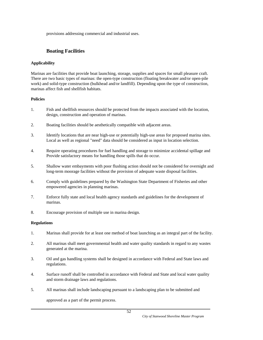provisions addressing commercial and industrial uses.

# **Boating Facilities**

# **Applicability**

Marinas are facilities that provide boat launching, storage, supplies and spaces for small pleasure craft. There are two basic types of marinas: the open-type construction (floating breakwater and/or open-pile work) and solid-type construction (bulkhead and/or landfill). Depending upon the type of construction, marinas affect fish and shellfish habitats.

## **Policies**

- 1. Fish and shellfish resources should be protected from the impacts associated with the location, design, construction and operation of marinas.
- 2. Boating facilities should be aesthetically compatible with adjacent areas.
- 3. Identify locations that are near high-use or potentially high-use areas for proposed marina sites. Local as well as regional "need" data should be considered as input in location selection.
- 4. Require operating procedures for fuel handling and storage to minimize accidental spillage and Provide satisfactory means for handling those spills that do occur.
- 5. Shallow water embayments with poor flushing action should not be considered for overnight and long-term moorage facilities without the provision of adequate waste disposal facilities.
- 6. Comply with guidelines prepared by the Washington State Department of Fisheries and other empowered agencies in planning marinas.
- 7. Enforce fully state and local health agency standards and guidelines for the development of marinas.
- 8. Encourage provision of multiple use in marina design.

## **Regulations**

- 1. Marinas shall provide for at least one method of boat launching as an integral part of the facility.
- 2. All marinas shall meet governmental health and water quality standards in regard to any wastes generated at the marina.
- 3. Oil and gas handling systems shall be designed in accordance with Federal and State laws and regulations.
- 4. Surface runoff shall be controlled in accordance with Federal and State and local water quality and storm drainage laws and regulations.
- 5. All marinas shall include landscaping pursuant to a landscaping plan to be submitted and

approved as a part of the permit process.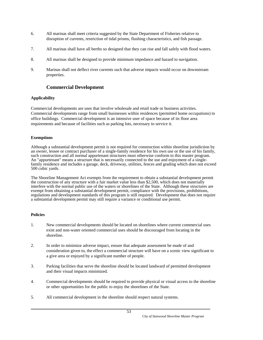- 6. All marinas shall meet criteria suggested by the State Department of Fisheries relative to disruption of currents, restriction of tidal prisms, flushing characteristics, and fish passage.
- 7. All marinas shall have all berths so designed that they can rise and fall safely with flood waters.
- 8. All marinas shall be designed to provide minimum impedance and hazard to navigation.
- 9. Marinas shall not deflect river currents such that adverse impacts would occur on downstream properties.

# **Commercial Development**

## **Applicability**

Commercial developments are uses that involve wholesale and retail trade or business activities. Commercial developments range from small businesses within residences (permitted home occupations) to office buildings. Commercial development is an intensive user of space because of its floor area requirements and because of facilities such as parking lots, necessary to service it.

#### **Exemptions**

Although a substantial development permit is not required for construction within shoreline jurisdiction by an owner, lessee or contract purchaser of a single-family residence for his own use or the use of his family, such construction and all normal appurtenant structures must otherwise conform to this master program. An "appurtenant" means a structure that is necessarily connected to the use and enjoyment of a singlefamily residence and includes a garage, deck, driveway, utilities, fences and grading which does not exceed 500 cubic yards.

The Shoreline Management Act exempts from the requirement to obtain a substantial development permit the construction of any structure with a fair market value less than \$2,500, which does not materially interfere with the normal public use of the waters or shorelines of the State. Although these structures are exempt from obtaining a substantial development permit, compliance with the provisions, prohibitions, regulations and development standards of this program is still required. Development that does not require a substantial development permit may still require a variance or conditional use permit.

- 1. New commercial developments should be located on shorelines where current commercial uses exist and non-water oriented commercial uses should be discouraged from locating in the shoreline.
- 2. In order to minimize adverse impact, ensure that adequate assessment be made of and consideration given to, the effect a commercial structure will have on a scenic view significant to a give area or enjoyed by a significant number of people.
- 3. Parking facilities that serve the shoreline should be located landward of permitted development and their visual impacts minimized.
- 4. Commercial developments should be required to provide physical or visual access to the shoreline or other opportunities for the public to enjoy the shorelines of the State.
- 5. All commercial development in the shoreline should respect natural systems.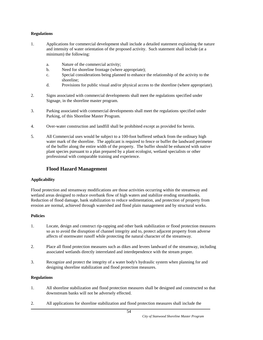#### **Regulations**

- 1. Applications for commercial development shall include a detailed statement explaining the nature and intensity of water orientation of the proposed activity. Such statement shall include (at a minimum) the following:
	- a. Nature of the commercial activity;
	- b. Need for shoreline frontage (where appropriate);
	- c. Special considerations being planned to enhance the relationship of the activity to the shoreline;
	- d. Provisions for public visual and/or physical access to the shoreline (where appropriate).
- 2. Signs associated with commercial developments shall meet the regulations specified under Signage, in the shoreline master program.
- 3. Parking associated with commercial developments shall meet the regulations specified under Parking, of this Shoreline Master Program.
- 4. Over-water construction and landfill shall be prohibited except as provided for herein.
- 5. All Commercial uses would be subject to a 100-foot buffered setback from the ordinary high water mark of the shoreline. The applicant is required to fence or buffer the landward perimeter of the buffer along the entire width of the property. The buffer should be enhanced with native plant species pursuant to a plan prepared by a plant ecologist, wetland specialists or other professional with comparable training and experience.

# **Flood Hazard Management**

## **Applicability**

Flood protection and streamway modifications are those activities occurring within the streamway and wetland areas designed to reduce overbank flow of high waters and stabilize eroding streambanks. Reduction of flood damage, bank stabilization to reduce sedimentation, and protection of property from erosion are normal, achieved through watershed and flood plain management and by structural works.

#### **Policies**

- 1. Locate, design and construct rip-rapping and other bank stabilization or flood protection measures so as to avoid the disruption of channel integrity and to, protect adjacent property from adverse affects of stormwater runoff while protecting the natural character of the streamway.
- 2. Place all flood protection measures such as dikes and levees landward of the streamway, including associated wetlands directly interrelated and interdependence with the stream proper.
- 3. Recognize and protect the integrity of a water body's hydraulic system when planning for and designing shoreline stabilization and flood protection measures.

- 1. All shoreline stabilization and flood protection measures shall be designed and constructed so that downstream banks will not be adversely effected.
- 2. All applications for shoreline stabilization and flood protection measures shall include the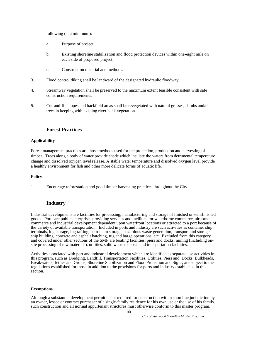following (at a minimum):

- a. Purpose of project;
- b. Existing shoreline stabilization and flood protection devices within one-eight mile on each side of proposed project;
- c. Construction material and methods.
- 3. Flood control diking shall be landward of the designated hydraulic floodway.
- 4. Streamway vegetation shall be preserved to the maximum extent feasible consistent with safe construction requirements.
- 5. Cut-and-fill slopes and backfield areas shall be revegetated with natural grasses, shrubs and/or trees in keeping with existing river bank vegetation.

# **Forest Practices**

#### **Applicability**

Forest management practices are those methods used for the protection, production and harvesting of timber. Trees along a body of water provide shade which insulate the waters from detrimental temperature change and dissolved oxygen level release. A stable water temperature and dissolved oxygen level provide a healthy environment for fish and other more delicate forms of aquatic life.

#### **Policy**

1. Encourage reforestation and good timber harvesting practices throughout the City.

# **Industry**

Industrial developments are facilities for processing, manufacturing and storage of finished or semifinished goods. Ports are public enterprises providing services and facilities for waterborne commerce, airborne commerce and industrial development dependent upon waterfront locations or attracted to a port because of the variety of available transportation. Included in ports and industry are such activities as container ship terminals, log storage, log rafting, petroleum storage, hazardous waste generation, transport and storage, ship building, concrete and asphalt batching, tug and barge operations, etc. Excluded from this category and covered under other sections of the SMP are boating facilities, piers and docks, mining (including onsite processing of raw materials), utilities, solid waste disposal and transportation facilities.

Activities associated with port and industrial development which are identified as separate use activities in this program, such as Dredging, Landfill, Transportation Facilities, Utilities, Piers and Docks, Bulkheads, Breakwaters, Jetties and Groins, Shoreline Stabilization and Flood Protection and Signs, are subject to the regulations established for those in addition to the provisions for ports and industry established in this section.

#### **Exemptions**

Although a substantial development permit is not required for construction within shoreline jurisdiction by an owner, lessee or contract purchaser of a single-family residence for his own use or the use of his family, such construction and all normal appurtenant structures must otherwise conform to this master program.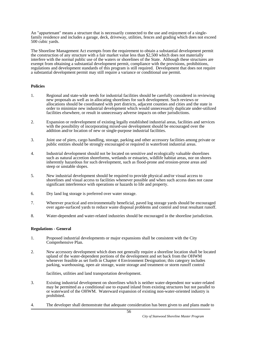An "appurtenant" means a structure that is necessarily connected to the use and enjoyment of a singlefamily residence and includes a garage, deck, driveway, utilities, fences and grading which does not exceed 500 cubic yards.

The Shoreline Management Act exempts from the requirement to obtain a substantial development permit the construction of any structure with a fair market value less than \$2,500 which does not materially interfere with the normal public use of the waters or shorelines of the State. Although these structures are exempt from obtaining a substantial development permit, compliance with the provisions, prohibitions, regulations and development standards of this program is still required. Development that does not require a substantial development permit may still require a variance or conditional use permit.

#### **Policies**

- 1. Regional and state-wide needs for industrial facilities should be carefully considered in reviewing new proposals as well as in allocating shorelines for such development. Such reviews or allocations should be coordinated with port districts, adjacent counties and cities and the state in order to minimize new industrial development which would unnecessarily duplicate under-utilized facilities elsewhere, or result in unnecessary adverse impacts on other jurisdictions.
- 2. Expansion or redevelopment of existing legally established industrial areas, facilities and services with the possibility of incorporating mixed-use development should be encouraged over the addition and/or location of new or single-purpose industrial facilities.
- 3. Joint use of piers, cargo handling, storage, parking and other accessory facilities among private or public entities should be strongly encouraged or required in waterfront industrial areas.
- 4. Industrial development should not be located on sensitive and ecologically valuable shorelines such as natural accretion shoreforms, wetlands or estuaries, wildlife habitat areas, nor on shores inherently hazardous for such development, such as flood-prone and erosion-prone areas and steep or unstable slopes.
- 5. New industrial development should be required to provide physical and/or visual access to shorelines and visual access to facilities whenever possible and when such access does not cause significant interference with operations or hazards to life and property.
- 6. Dry land log storage is preferred over water storage.
- 7. Wherever practical and environmentally beneficial, paved log storage yards should be encouraged over agate-surfaced yards to reduce waste disposal problems and control and treat resultant runoff.
- 8. Water-dependent and water-related industries should be encouraged in the shoreline jurisdiction.

#### **Regulations - General**

- 1. Proposed industrial developments or major expansions shall be consistent with the City Comprehensive Plan.
- 2. New accessory development which does not generally require a shoreline location shall be located upland of the water-dependent portions of the development and set back from the OHWM whenever feasible as set forth in Chapter 4 Environment Designation; this category includes parking, warehousing, open air storage, waste storage and treatment or storm runoff control

facilities, utilities and land transportation development.

- 3. Existing industrial development on shorelines which is neither water-dependent nor water-related may be permitted as a conditional use to expand inland from existing structures but not parallel to or waterward of the OHWM. Waterward expansion of existing non-water-oriented industry is prohibited.
- 4. The developer shall demonstrate that adequate consideration has been given to and plans made to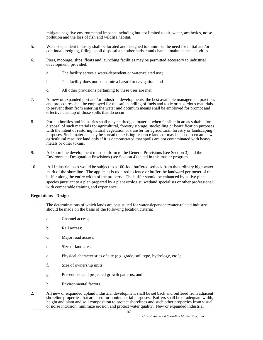mitigate negative environmental impacts including but not limited to air, water, aesthetics, noise pollution and the loss of fish and wildlife habitat.

- 5. Water-dependent industry shall be located and designed to minimize the need for initial and/or continual dredging, filling, spoil disposal and other harbor and channel maintenance activities.
- 6. Piers, moorage, slips, floats and launching facilities may be permitted accessory to industrial development, provided:
	- a. The facility serves a water-dependent or water-related use;
	- b. The facility does not constitute a hazard to navigation; and
	- c. All other provisions pertaining to these uses are met.
- 7. At new or expanded port and/or industrial developments, the best available management practices and procedures shall be employed for the safe handling of fuels and toxic or hazardous materials to prevent them from entering the water and optimum means shall be employed for prompt and effective cleanup of those spills that do occur.
- 8. Port authorities and industries shall recycle dredged material when feasible in areas suitable for disposal of such materials for agricultural, forestry storage, stockpiling or beautification purposes, with the intent of restoring natural vegetation or transfer for agricultural, forestry or landscaping purposes. Such materials may be spread on existing resource lands or may be used to create new agricultural resource land only if it is demonstrated that spoils are not contaminated with heavy metals or other toxins.
- 9. All shoreline development must conform to the General Provisions (see Section 3) and the Environment Designation Provisions (see Section 4) stated in this master program.
- 10. All Industrial uses would be subject to a 100-foot buffered setback from the ordinary high water mark of the shoreline. The applicant is required to fence or buffer the landward perimeter of the buffer along the entire width of the property. The buffer should be enhanced by native plant species pursuant to a plan prepared by a plant ecologist, wetland specialists or other professional with comparable training and experience.

#### **Regulations - Design**

- 1. The determinations of which lands are best suited for water-dependent/water-related industry should be made on the basis of the following location criteria:
	- a. Channel access;
	- b. Rail access;
	- c. Major road access;
	- d. Size of land area;
	- e. Physical characteristics of site (e.g. grade, soil type, hydrology, etc.);
	- f. Size of ownership units;
	- g. Present use and projected growth patterns; and
	- h. Environmental factors.
- 2. All new or expanded upland industrial development shall be set back and buffered from adjacent shoreline properties that are used for nonindustrial purposes. Buffers shall be of adequate width, height and plant and soil composition to protect shorelines and such other properties from visual or noise intrusion, minimize erosion and protect water quality. New or expanded industrial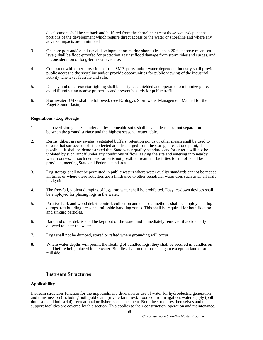development shall be set back and buffered from the shoreline except those water-dependent portions of the development which require direct access to the water or shoreline and where any adverse impacts are minimized.

- 3. Onshore port and/or industrial development on marine shores (less than 20 feet above mean sea level) shall be flood-proofed for protection against flood damage from storm tides and surges, and in consideration of long-term sea level rise.
- 4. Consistent with other provisions of this SMP, ports and/or water-dependent industry shall provide public access to the shoreline and/or provide opportunities for public viewing of the industrial activity whenever feasible and safe.
- 5. Display and other exterior lighting shall be designed, shielded and operated to minimize glare, avoid illuminating nearby properties and prevent hazards for public traffic.
- 6. Stormwater BMPs shall be followed. (see Ecology's Stormwater Management Manual for the Puget Sound Basin)

#### **Regulations - Log Storage**

- 1. Unpaved storage areas underlain by permeable soils shall have at least a 4-foot separation between the ground surface and the highest seasonal water table.
- 2. Berms, dikes, grassy swales, vegetated buffers, retention ponds or other means shall be used to ensure that surface runoff is collected and discharged from the storage area at one point, if possible. It shall be demonstrated that State water quality standards and/or criteria will not be violated by such runoff under any conditions of flow leaving the site and entering into nearby water courses. If such demonstration is not possible, treatment facilities for runoff shall be provided, meeting State and Federal standards.
- 3. Log storage shall not be permitted in public waters where water quality standards cannot be met at all times or where these activities are a hindrance to other beneficial water uses such as small craft navigation.
- 4. The free-fall, violent dumping of logs into water shall be prohibited. Easy let-down devices shall be employed for placing logs in the water.
- 5. Positive bark and wood debris control, collection and disposal methods shall be employed at log dumps, raft building areas and mill-side handling zones. This shall be required for both floating and sinking particles.
- 6. Bark and other debris shall be kept out of the water and immediately removed if accidentally allowed to enter the water.
- 7. Logs shall not be dumped, stored or rafted where grounding will occur.
- 8. Where water depths will permit the floating of bundled logs, they shall be secured in bundles on land before being placed in the water. Bundles shall not be broken again except on land or at millside.

#### **Instream Structures**

#### **Applicability**

Instream structures function for the impoundment, diversion or use of water for hydroelectric generation and transmission (including both public and private facilities), flood control, irrigation, water supply (both domestic and industrial), recreational or fisheries enhancement. Both the structures themselves and their support facilities are covered by this section. This applies to their construction, operation and maintenance,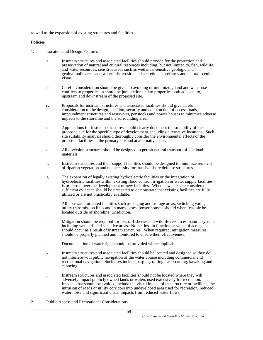as well as the expansion of existing structures and facilities.

- 1. Location and Design Features
	- a. Instream structures and associated facilities should provide for the protection and preservation of natural and cultural resources including, but not limited to, fish, wildlife and water resources, sensitive areas such as wetlands, sensitive geologic and geohydraulic areas and waterfalls, erosion and accretion shoreforms and natural scenic vistas.
	- b. Careful consideration should be given to avoiding or minimizing land and water use conflicts to properties in shoreline jurisdiction and to properties both adjacent to, upstream and downstream of the proposed site.
	- c. Proposals for instream structures and associated facilities should give careful consideration to the design, location, security and construction of access roads, impoundment structures and reservoirs, penstocks and power houses to minimize adverse impacts to the shoreline and the surrounding area.
	- d. Applications for instream structures should clearly document the suitability of the proposed site for the specific type of development, including alternative locations. Such site suitability analysis should thoroughly consider the environmental effects of the proposed facilities at the primary site and at alternative sites.
	- e. All diversion structures should be designed to permit natural transport of bed load materials.
	- f. Instream structures and their support facilities should be designed to minimize removal of riparian vegetation and the necessity for massive shore defense structures.
	- g. The expansion of legally existing hydroelectric facilities or the integration of hydroelectric facilities within existing flood control, irrigation or water supply facilities is preferred over the development of new facilities. When new sites are considered, sufficient evidence should be presented to demonstrate that existing facilities are fully utilized or are not practicably available.
	- h. All non-water oriented facilities such as staging and storage areas, switching yards, utility transmission lines and in many cases, power houses, should when feasible be located outside of shoreline jurisdiction.
	- i. Mitigation should be required for loss of fisheries and wildlife resources, natural systems including wetlands and sensitive areas. No net loss in function or value of acreage should occur as a result of instream structures. When required, mitigation measures should be properly planned and monitored to ensure their effectiveness.
	- j. Documentation of water right should be provided where applicable.
	- k. Instream structures and associated facilities should be located and designed so they do not interfere with public navigation of the water course including commercial and recreational navigation. Such uses include barging, rafting, sailboarding, kayaking and canoeing.
	- l. Instream structures and associated facilities should not be located where they will adversely impact publicly owned lands or waters used extensively for recreation. Impacts that should be avoided include the visual impact of the structure or facilities, the intrusion of roads or utility corridors into undeveloped area used for recreation, reduced water noise and significant visual impacts from reduced water flows.
- 2. Public Access and Recreational Considerations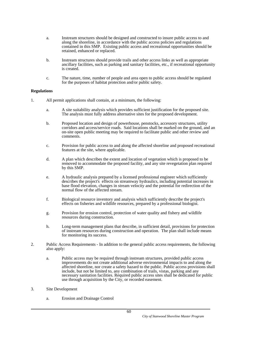- a. Instream structures should be designed and constructed to insure public access to and along the shoreline, in accordance with the public access policies and regulations contained in this SMP. Existing public access and recreational opportunities should be retained, enhanced or replaced.
- b. Instream structures should provide trails and other access links as well as appropriate ancillary facilities, such as parking and sanitary facilities, etc., if recreational opportunity is created.
- c. The nature, time, number of people and area open to public access should be regulated for the purposes of habitat protection and/or public safety.

- 1. All permit applications shall contain, at a minimum, the following:
	- a. A site suitability analysis which provides sufficient justification for the proposed site. The analysis must fully address alternative sites for the proposed development.
	- b. Proposed location and design of powerhouse, penstocks, accessory structures, utility corridors and access/service roads. Said locations shall be marked on the ground, and an on-site open public meeting may be required to facilitate public and other review and comments.
	- c. Provision for public access to and along the affected shoreline and proposed recreational features at the site, where applicable.
	- d. A plan which describes the extent and location of vegetation which is proposed to be removed to accommodate the proposed facility, and any site revegetation plan required by this SMP.
	- e. A hydraulic analysis prepared by a licensed professional engineer which sufficiently describes the project's effects on streamway hydraulics, including potential increases in base flood elevation, changes in stream velocity and the potential for redirection of the normal flow of the affected stream.
	- f. Biological resource inventory and analysis which sufficiently describe the project's effects on fisheries and wildlife resources, prepared by a professional biologist.
	- g. Provision for erosion control, protection of water quality and fishery and wildlife resources during construction.
	- h. Long-term management plans that describe, in sufficient detail, provisions for protection of instream resources during construction and operation. The plan shall include means for monitoring its success.
- 2. Public Access Requirements In addition to the general public access requirements, the following also apply:
	- a. Public access may be required through instream structures, provided public access improvements do not create additional adverse environmental impacts to and along the affected shoreline, nor create a safety hazard to the public. Public access provisions shall include, but not be limited to, any combination of trails, vistas, parking and any necessary sanitation facilities. Required public access sites shall be dedicated for public use through acquisition by the City, or recorded easement.
- 3. Site Development
	- a. Erosion and Drainage Control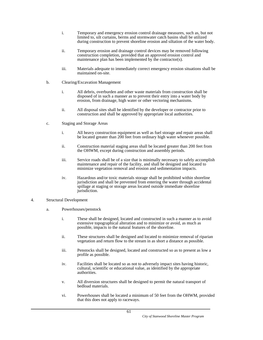- i. Temporary and emergency erosion control drainage measures, such as, but not limited to, silt curtains, berms and stormwater catch basins shall be utilized during construction to prevent shoreline erosion and siltation of the water body.
- ii. Temporary erosion and drainage control devices may be removed following construction completion, provided that an approved erosion control and maintenance plan has been implemented by the contractor(s).
- iii. Materials adequate to immediately correct emergency erosion situations shall be maintained on-site.
- b. Clearing/Excavation Management
	- i. All debris, overburden and other waste materials from construction shall be disposed of in such a manner as to prevent their entry into a water body by erosion, from drainage, high water or other vectoring mechanisms.
	- ii. All disposal sites shall be identified by the developer or contractor prior to construction and shall be approved by appropriate local authorities.
- c. Staging and Storage Areas
	- i. All heavy construction equipment as well as fuel storage and repair areas shall be located greater than 200 feet from ordinary high water whenever possible.
	- ii. Construction material staging areas shall be located greater than 200 feet from the OHWM, except during construction and assembly periods.
	- iii. Service roads shall be of a size that is minimally necessary to safely accomplish maintenance and repair of the facility, and shall be designed and located to minimize vegetation removal and erosion and sedimentation impacts.
	- iv. Hazardous and/or toxic materials storage shall be prohibited within shoreline jurisdiction and shall be prevented from entering the water through accidental spillage at staging or storage areas located outside immediate shoreline jurisdiction.
- 4. Structural Development
	- a. Powerhouses/penstock
		- i. These shall be designed, located and constructed in such a manner as to avoid extensive topographical alteration and to minimize or avoid, as much as possible, impacts to the natural features of the shoreline.
		- ii. These structures shall be designed and located to minimize removal of riparian vegetation and return flow to the stream in as short a distance as possible.
		- iii. Penstocks shall be designed, located and constructed so as to present as low a profile as possible.
		- iv. Facilities shall be located so as not to adversely impact sites having historic, cultural, scientific or educational value, as identified by the appropriate authorities.
		- v. All diversion structures shall be designed to permit the natural transport of bedload materials.
		- vi. Powerhouses shall be located a minimum of 50 feet from the OHWM, provided that this does not apply to raceways.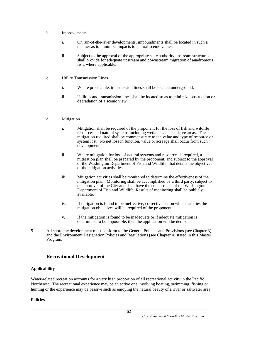- b. Improvements
	- i. On run-of-the-river developments, impoundments shall be located in such a manner as to minimize impacts to natural scenic values.
	- ii. Subject to the approval of the appropriate state authority, instream structures shall provide for adequate upstream and downstream migration of anadromous fish, where applicable.
- c. Utility Transmission Lines
	- i. Where practicable, transmission lines shall be located underground.
	- ii. Utilities and transmission lines shall be located so as to minimize obstruction or degradation of a scenic view.
- d. Mitigation
	- i. Mitigation shall be required of the proponent for the loss of fish and wildlife resources and natural systems including wetlands and sensitive areas. The mitigation required shall be commensurate to the value and type of resource or system lost. No net loss in function, value or acreage shall occur from such development.
	- ii. Where mitigation for loss of natural systems and resources is required, a mitigation plan shall be prepared by the proponent, and subject to the approval of the Washington Department of Fish and Wildlife, that details the objectives of the mitigation activities.
	- iii. Mitigation activities shall be monitored to determine the effectiveness of the mitigation plan. Monitoring shall be accomplished by a third party, subject to the approval of the City and shall have the concurrence of the Washington Department of Fish and Wildlife. Results of monitoring shall be publicly available.
	- iv. If mitigation is found to be ineffective, corrective action which satisfies the mitigation objectives will be required of the proponent.
	- v. If the mitigation is found to be inadequate or if adequate mitigation is determined to be impossible, then the application will be denied.
- 5. All shoreline development must conform to the General Policies and Provisions (see Chapter 3) and the Environment Designation Policies and Regulations (see Chapter 4) stated in this Master Program.

# **Recreational Development**

#### **Applicability**

Water-related recreation accounts for a very high proportion of all recreational activity in the Pacific Northwest. The recreational experience may be an active one involving boating, swimming, fishing or hunting or the experience may be passive such as enjoying the natural beauty of a river or saltwater area.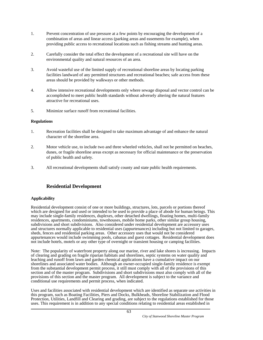- 1. Prevent concentration of use pressure at a few points by encouraging the development of a combination of areas and linear access (parking areas and easements for example), when providing public access to recreational locations such as fishing streams and hunting areas.
- 2. Carefully consider the total effect the development of a recreational site will have on the environmental quality and natural resources of an area.
- 3. Avoid wasteful use of the limited supply of recreational shoreline areas by locating parking facilities landward of any permitted structures and recreational beaches; safe access from these areas should be provided by walkways or other methods.
- 4. Allow intensive recreational developments only where sewage disposal and vector control can be accomplished to meet public health standards without adversely altering the natural features attractive for recreational uses.
- 5. Minimize surface runoff from recreational facilities.

#### **Regulations**

- 1. Recreation facilities shall be designed to take maximum advantage of and enhance the natural character of the shoreline area.
- 2. Motor vehicle use, to include two and three wheeled vehicles, shall not be permitted on beaches, dunes, or fragile shoreline areas except as necessary for official maintenance or the preservation of public health and safety.
- 3. All recreational developments shall satisfy county and state public health requirements.

# **Residential Development**

#### **Applicability**

Residential development consist of one or more buildings, structures, lots, parcels or portions thereof which are designed for and used or intended to be used to provide a place of abode for human beings. This may include single-family residences, duplexes, other detached dwellings, floating homes, multi-family residences, apartments, condominiums, townhouses, mobile home parks, other similar group housing, subdivisions and short subdivisions. Also considered under residential development are accessory uses and structures normally applicable to residential uses (appurtenances) including but not limited to garages, sheds, fences and residential parking areas. Other accessory uses that would not be considered appurtenances would include swimming pools, cabanas and guest cottages. Residential development does not include hotels, motels or any other type of overnight or transient housing or camping facilities.

Note: The popularity of waterfront property along our marine, river and lake shores is increasing. Impacts of clearing and grading on fragile riparian habitats and shorelines, septic systems on water quality and leaching and runoff from lawn and garden chemical applications have a cumulative impact on our shorelines and associated water bodies. Although an owner-occupied single-family residence is exempt from the substantial development permit process, it still must comply with all of the provisions of this section and of the master program. Subdivisions and short subdivisions must also comply with all of the provisions of this section and the master program. All development is subject to the variance and conditional use requirements and permit process, when indicated.

Uses and facilities associated with residential development which are identified as separate use activities in this program, such as Boating Facilities, Piers and Docks, Bulkheads, Shoreline Stabilization and Flood Protection, Utilities, Landfill and Clearing and grading, are subject to the regulations established for those uses. This requirement is in addition to any special conditions relating to residential areas established in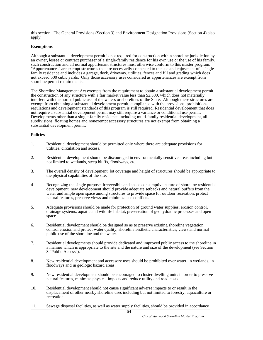this section. The General Provisions (Section 3) and Environment Designation Provisions (Section 4) also apply.

#### **Exemptions**

Although a substantial development permit is not required for construction within shoreline jurisdiction by an owner, lessee or contract purchaser of a single-family residence for his own use or the use of his family, such construction and all normal appurtenant structures must otherwise conform to this master program. "Appurtenances" are exempt structures that are necessarily connected to the use and enjoyment of a singlefamily residence and includes a garage, deck, driveway, utilities, fences and fill and grading which does not exceed 500 cubic yards. Only those accessory uses considered as appurtenances are exempt from shoreline permit requirements.

The Shoreline Management Act exempts from the requirement to obtain a substantial development permit the construction of any structure with a fair market value less than \$2,500, which does not materially interfere with the normal public use of the waters or shorelines of the State. Although these structures are exempt from obtaining a substantial development permit, compliance with the provisions, prohibitions, regulations and development standards of this program is still required. Residential development that does not require a substantial development permit may still require a variance or conditional use permit. Developments other than a single-family residence including multi-family residential development, all subdivisions, floating homes and nonexempt accessory structures are not exempt from obtaining a substantial development permit.

- 1. Residential development should be permitted only where there are adequate provisions for utilities, circulation and access.
- 2. Residential development should be discouraged in environmentally sensitive areas including but not limited to wetlands, steep bluffs, floodways, etc.
- 3. The overall density of development, lot coverage and height of structures should be appropriate to the physical capabilities of the site.
- 4. Recognizing the single purpose, irreversible and space consumptive nature of shoreline residential development, new development should provide adequate setbacks and natural buffers from the water and ample open space among structures to provide space for outdoor recreation, protect natural features, preserve views and minimize use conflicts.
- 5. Adequate provisions should be made for protection of ground water supplies, erosion control, drainage systems, aquatic and wildlife habitat, preservation of geohydraulic processes and open space.
- 6. Residential development should be designed so as to preserve existing shoreline vegetation, control erosion and protect water quality, shoreline aesthetic characteristics, views and normal public use of the shoreline and the water.
- 7. Residential developments should provide dedicated and improved public access to the shoreline in a manner which is appropriate to the site and the nature and size of the development (see Section 3 "Public Access").
- 8. New residential development and accessory uses should be prohibited over water, in wetlands, in floodways and in geologic hazard areas.
- 9. New residential development should be encouraged to cluster dwelling units in order to preserve natural features, minimize physical impacts and reduce utility and road costs.
- 10. Residential development should not cause significant adverse impacts to or result in the displacement of other nearby shoreline uses including but not limited to forestry, aquaculture or recreation.
- 11. Sewage disposal facilities, as well as water supply facilities, should be provided in accordance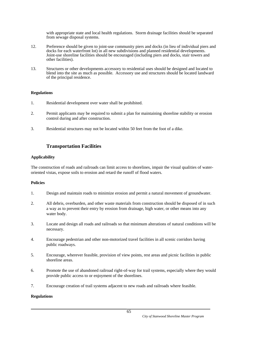with appropriate state and local health regulations. Storm drainage facilities should be separated from sewage disposal systems.

- 12. Preference should be given to joint-use community piers and docks (in lieu of individual piers and docks for each waterfront lot) in all new subdivisions and planned residential developments. Joint-use shoreline facilities should be encouraged (including piers and docks, stair towers and other facilities).
- 13. Structures or other developments accessory to residential uses should be designed and located to blend into the site as much as possible. Accessory use and structures should be located landward of the principal residence.

#### **Regulations**

- 1. Residential development over water shall be prohibited.
- 2. Permit applicants may be required to submit a plan for maintaining shoreline stability or erosion control during and after construction.
- 3. Residential structures may not be located within 50 feet from the foot of a dike.

# **Transportation Facilities**

#### **Applicability**

The construction of roads and railroads can limit access to shorelines, impair the visual qualities of wateroriented vistas, expose soils to erosion and retard the runoff of flood waters.

## **Policies**

- 1. Design and maintain roads to minimize erosion and permit a natural movement of groundwater.
- 2. All debris, overburden, and other waste materials from construction should be disposed of in such a way as to prevent their entry by erosion from drainage, high water, or other means into any water body.
- 3. Locate and design all roads and railroads so that minimum alterations of natural conditions will be necessary.
- 4. Encourage pedestrian and other non-motorized travel facilities in all scenic corridors having public roadways.
- 5. Encourage, wherever feasible, provision of view points, rest areas and picnic facilities in public shoreline areas.
- 6. Promote the use of abandoned railroad right-of-way for trail systems, especially where they would provide public access to or enjoyment of the shorelines.
- 7. Encourage creation of trail systems adjacent to new roads and railroads where feasible.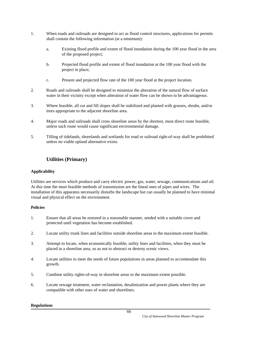- 1. When roads and railroads are designed to act as flood control structures, applications for permits shall contain the following information (at a minimum):
	- a. Existing flood profile and extent of flood inundation during the 100 year flood in the area of the proposed project;
	- b. Projected flood profile and extent of flood inundation at the 100 year flood with the project in place;
	- c. Present and projected flow rate of the 100 year flood at the project location.
- 2. Roads and railroads shall be designed to minimize the alteration of the natural flow of surface water in their vicinity except when alteration of water flow can be shown to be advantageous.
- 3. Where feasible, all cut and fill slopes shall be stabilized and planted with grasses, shrubs, and/or trees appropriate to the adjacent shoreline area.
- 4. Major roads and railroads shall cross shoreline areas by the shortest, most direct route feasible, unless such route would cause significant environmental damage.
- 5. Tilling of tidelands, shorelands and wetlands for road or railroad right-of-way shall be prohibited unless no viable upland alternative exists.

# **Utilities (Primary)**

## **Applicability**

Utilities are services which produce and carry electric power, gas, water, sewage, communications and oil. At this time the most feasible methods of transmission are the lineal ones of pipes and wires. The installation of this apparatus necessarily disturbs the landscape but can usually be planned to have minimal visual and physical effect on the environment.

#### **Policies**

- 1. Ensure that all areas be restored in a reasonable manner, seeded with a suitable cover and protected until vegetation has become established.
- 2. Locate utility trunk lines and facilities outside shoreline areas to the maximum extent feasible.
- 3. Attempt to locate, when economically feasible, utility lines and facilities, when they must be placed in a shoreline area, so as not to obstruct or destroy scenic views.
- 4. Locate utilities to meet the needs of future populations in areas planned to accommodate this growth.
- 5. Combine utility rights-of-way in shoreline areas to the maximum extent possible.
- 6. Locate sewage treatment, water reclamation, desalinization and power plants where they are compatible with other uses of water and shorelines.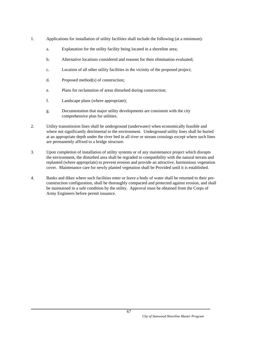- 1. Applications for installation of utility facilities shall include the following (at a minimum):
	- a. Explanation for the utility facility being located in a shoreline area;
	- b. Alternative locations considered and reasons for their elimination evaluated;
	- c. Location of all other utility facilities in the vicinity of the proposed project;
	- d. Proposed method(s) of construction;
	- e. Plans for reclamation of areas disturbed during construction;
	- f. Landscape plans (where appropriate);
	- g. Documentation that major utility developments are consistent with the city comprehensive plan for utilities.
- 2. Utility transmission lines shall be underground (underwater) when economically feasible and where not significantly detrimental to the environment. Underground utility lines shall be buried at an appropriate depth under the river bed in all river or stream crossings except where such lines are permanently affixed to a bridge structure.
- 3. Upon completion of installation of utility systems or of any maintenance project which disrupts the environment, the disturbed area shall be regraded to compatibility with the natural terrain and replanted (where appropriate) to prevent erosion and provide an attractive, harmonious vegetation cover. Maintenance care for newly planted vegetation shall be Provided until it is established.
- 4. Banks and dikes where such facilities enter or leave a body of water shall be returned to their preconstruction configuration, shall be thoroughly compacted and protected against erosion, and shall be maintained in a safe condition by the utility. Approval must be obtained from the Corps of Army Engineers before permit issuance.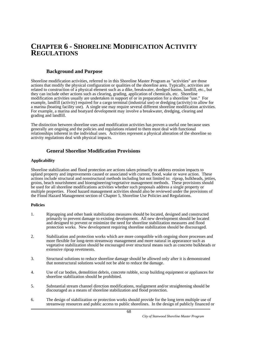# **CHAPTER 6 - SHORELINE MODIFICATION ACTIVITY REGULATIONS**

## **Background and Purpose**

Shoreline modification activities, referred to in this Shoreline Master Program as "activities" are those actions that modify the physical configuration or qualities of the shoreline area. Typically, activities are related to construction of a physical element such as a dike, breakwater, dredged basins, landfill, etc., but they can include other actions such as clearing, grading, application of chemicals, etc. Shoreline modification activities usually are undertaken in support of or in preparation for a shoreline "use." For example, landfill (activity) required for a cargo terminal (industrial use) or dredging (activity) to allow for a marina (boating facility use). A single use may require several different shoreline modification activities. For example, a marina and boatyard development may involve a breakwater, dredging, clearing and grading and landfill.

The distinction between shoreline uses and modification activities has proven a useful one because uses generally are ongoing and the policies and regulations related to them must deal with functional relationships inherent in the individual uses. Activities represent a physical alteration of the shoreline so activity regulations deal with physical impacts.

# **General Shoreline Modification Provisions**

#### **Applicability**

Shoreline stabilization and flood protection are actions taken primarily to address erosion impacts to upland property and improvements caused or associated with current, flood, wake or wave action. These actions include structural and nonstructural methods including but not limited to: riprap, bulkheads, jetties, groins, beach nourishment and bioengineering/vegetative management methods. These provisions should be used for all shoreline modifications activities whether such proposals address a single property or multiple properties. Flood hazard management activities should also be reviewed under the provisions of the Flood Hazard Management section of Chapter 5, Shoreline Use Policies and Regulations.

- 1. Riprapping and other bank stabilization measures should be located, designed and constructed primarily to prevent damage to existing development. All new development should be located and designed to prevent or minimize the need for shoreline stabilization measures and flood protection works. New development requiring shoreline stabilization should be discouraged.
- 2. Stabilization and protection works which are more compatible with ongoing shore processes and more flexible for long-term streamway management and more natural in appearance such as vegetative stabilization should be encouraged over structural means such as concrete bulkheads or extensive riprap revetments.
- 3. Structural solutions to reduce shoreline damage should be allowed only after it is demonstrated that nonstructural solutions would not be able to reduce the damage.
- 4. Use of car bodies, demolition debris, concrete rubble, scrap building equipment or appliances for shoreline stabilization should be prohibited.
- 5. Substantial stream channel direction modifications, realignment and/or straightening should be discouraged as a means of shoreline stabilization and flood protection.
- 6. The design of stabilization or protection works should provide for the long term multiple use of streamway resources and public access to public shorelines. In the design of publicly financed or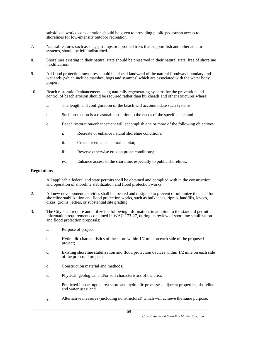subsidized works, consideration should be given to providing public pedestrian access to shorelines for low-intensity outdoor recreation.

- 7. Natural features such as snags, stumps or uprooted trees that support fish and other aquatic systems, should be left undisturbed.
- 8. Shorelines existing in their natural state should be preserved in their natural state, free of shoreline modification.
- 9. All flood protection measures should be placed landward of the natural floodway boundary and wetlands (which include marshes, bogs and swamps) which are associated with the water body proper.
- 10. Beach restoration/enhancement using naturally regenerating systems for the prevention and control of beach erosion should be required rather than bulkheads and other structures where:
	- a. The length and configuration of the beach will accommodate such systems;
	- b. Such protection is a reasonable solution to the needs of the specific site; and
	- c. Beach restoration/enhancement will accomplish one or more of the following objectives:
		- i. Recreate or enhance natural shoreline conditions;
		- ii. Create or enhance natural habitat;
		- iii. Reverse otherwise erosion prone conditions;
		- iv. Enhance access to the shoreline, especially to public shorelines.

- 1. All applicable federal and state permits shall be obtained and complied with in the construction and operation of shoreline stabilization and flood protection works.
- 2. All new development activities shall be located and designed to prevent or minimize the need for shoreline stabilization and flood protection works, such as bulkheads, riprap, landfills, levees, dikes, groins, jetties, or substantial site grading.
- 3. The City shall require and utilize the following information, in addition to the standard permit information requirements contained in WAC 173-27, during its review of shoreline stabilization and flood protection proposals:
	- a. Purpose of project;
	- b. Hydraulic characteristics of the shore within 1/2 mile on each side of the proposed project;
	- c. Existing shoreline stabilization and flood protection devices within 1/2 mile on each side of the proposed project;
	- d. Construction material and methods;
	- e. Physical, geological and/or soil characteristics of the area;
	- f. Predicted impact upon area shore and hydraulic processes, adjacent properties, shoreline and water uses; and
	- g. Alternative measures (including nonstructural) which will achieve the same purpose.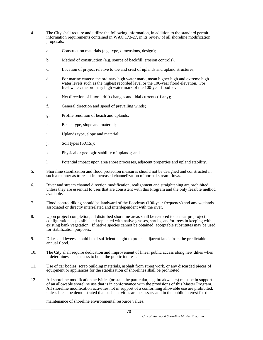- 4. The City shall require and utilize the following information, in addition to the standard permit information requirements contained in WAC 173-27, in its review of all shoreline modification proposals:
	- a. Construction materials (e.g. type, dimensions, design);
	- b. Method of construction (e.g. source of backfill, erosion controls);
	- c. Location of project relative to toe and crest of uplands and upland structures;
	- d. For marine waters: the ordinary high water mark, mean higher high and extreme high water levels such as the highest recorded level or the 100-year flood elevation. For freshwater: the ordinary high water mark of the 100-year flood level.
	- e. Net direction of littoral drift changes and tidal currents (if any);
	- f. General direction and speed of prevailing winds;
	- g. Profile rendition of beach and uplands;
	- h. Beach type, slope and material;
	- i. Uplands type, slope and material;
	- j. Soil types (S.C.S.);
	- k. Physical or geologic stability of uplands; and
	- l. Potential impact upon area shore processes, adjacent properties and upland stability.
- 5. Shoreline stabilization and flood protection measures should not be designed and constructed in such a manner as to result in increased channelization of normal stream flows.
- 6. River and stream channel direction modification, realignment and straightening are prohibited unless they are essential to uses that are consistent with this Program and the only feasible method available.
- 7. Flood control diking should be landward of the floodway (100-year frequency) and any wetlands associated or directly interrelated and interdependent with the river.
- 8. Upon project completion, all disturbed shoreline areas shall be restored to as near preproject configuration as possible and replanted with native grasses, shrubs, and/or trees in keeping with existing bank vegetation. If native species cannot be obtained, acceptable substitutes may be used for stabilization purposes.
- 9. Dikes and levees should be of sufficient height to protect adjacent lands from the predictable annual flood.
- 10. The City shall require dedication and improvement of linear public access along new dikes when it determines such access to be in the public interest.
- 11. Use of car bodies, scrap building materials, asphalt from street work, or any discarded pieces of equipment or appliances for the stabilization of shorelines shall be prohibited.
- 12. All shoreline modification activities (or state the particular, e.g. breakwaters) must be in support of an allowable shoreline use that is in conformance with the provisions of this Master Program. All shoreline modification activities not in support of a conforming allowable use are prohibited, unless it can be demonstrated that such activities are necessary and in the public interest for the

maintenance of shoreline environmental resource values.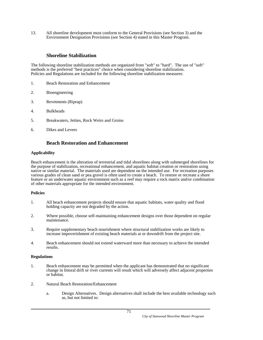13. All shoreline development must conform to the General Provisions (see Section 3) and the Environment Designation Provisions (see Section 4) stated in this Master Program.

# **Shoreline Stabilization**

The following shoreline stabilization methods are organized from "soft" to "hard". The use of "soft" methods is the preferred "best practices" choice when considering shoreline stabilization. Policies and Regulations are included for the following shoreline stabilization measures:

- 1. Beach Restoration and Enhancement
- 2. Bioengineering
- 3. Revetments (Riprap)
- 4. Bulkheads
- 5. Breakwaters, Jetties, Rock Weirs and Groins
- 6. Dikes and Levees

# **Beach Restoration and Enhancement**

#### **Applicability**

Beach enhancement is the alteration of terrestrial and tidal shorelines along with submerged shorelines for the purpose of stabilization, recreational enhancement, and aquatic habitat creation or restoration using native or similar material. The materials used are dependent on the intended use. For recreation purposes various grades of clean sand or pea gravel is often used to create a beach. To restore or recreate a shore feature or an underwater aquatic environment such as a reef may require a rock matrix and/or combination of other materials appropriate for the intended environment.

#### **Policies**

- 1. All beach enhancement projects should ensure that aquatic habitats, water quality and flood holding capacity are not degraded by the action.
- 2. Where possible, choose self-maintaining enhancement designs over those dependent on regular maintenance.
- 3. Require supplementary beach nourishment where structural stabilization works are likely to increase impoverishment of existing beach materials at or downdrift from the project site.
- 4. Beach enhancement should not extend waterward more than necessary to achieve the intended results.

- 1. Beach enhancement may be permitted when the applicant has demonstrated that no significant change in littoral drift or river currents will result which will adversely affect adjacent properties or habitat.
- 2. Natural Beach Restoration/Enhancement
	- a. Design Alternatives. Design alternatives shall include the best available technology such as, but not limited to: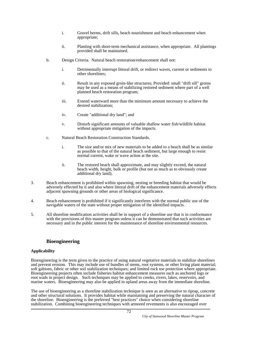- i. Gravel berms, drift sills, beach nourishment and beach enhancement when appropriate;
- ii. Planting with short-term mechanical assistance, when appropriate. All plantings provided shall be maintained.
- b. Design Criteria. Natural beach restoration/enhancement shall not:
	- i. Detrimentally interrupt littoral drift, or redirect waves, current or sediments to other shorelines;
	- ii. Result in any exposed groin-like structures; Provided: small "drift sill" groins may be used as a means of stabilizing restored sediment where part of a well planned beach restoration program;
	- iii. Extend waterward more than the minimum amount necessary to achieve the desired stabilization;
	- iv. Create "additional dry land"; and
	- v. Disturb significant amounts of valuable shallow water fish/wildlife habitat without appropriate mitigation of the impacts.
- c. Natural Beach Restoration Construction Standards.
	- i. The size and/or mix of new materials to be added to a beach shall be as similar as possible to that of the natural beach sediment, but large enough to resist normal current, wake or wave action at the site.
	- ii. The restored beach shall approximate, and may slightly exceed, the natural beach width, height, bulk or profile (but not as much as to obviously create additional dry land);
- 3. Beach enhancement is prohibited within spawning, nesting or breeding habitat that would be adversely effected by it and also where littoral drift of the enhancement materials adversely effects adjacent spawning grounds or other areas of biological significance.
- 4. Beach enhancement is prohibited if it significantly interferes with the normal public use of the navigable waters of the state without proper mitigation of the identified impacts.
- 5. All shoreline modification activities shall be in support of a shoreline use that is in conformance with the provisions of this master program unless it can be demonstrated that such activities are necessary and in the public interest for the maintenance of shoreline environmental resources.

# **Bioengineering**

#### **Applicability**

Bioengineering is the term given to the practice of using natural vegetative materials to stabilize shorelines and prevent erosion. This may include use of bundles of stems, root systems, or other living plant material; soft gabions, fabric or other soil stabilization techniques; and limited rock toe protection where appropriate. Bioengineering projects often include fisheries habitat enhancement measures such as anchored logs or root wads in project design. Such techniques may be applied to creeks, rivers, lakes, reservoirs, and marine waters. Bioengineering may also be applied in upland areas away from the immediate shoreline.

The use of bioengineering as a shoreline stabilization technique is seen as an alternative to riprap, concrete and other structural solutions. It provides habitat while maintaining and preserving the natural character of the shoreline. Bioengineering is the preferred "best practices" choice when considering shoreline stabilization. Combining bioengineering techniques with armored revetments is also encouraged over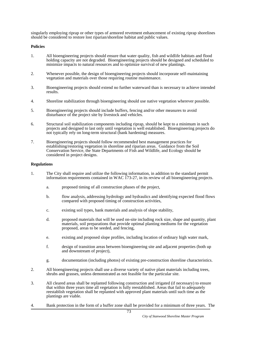singularly employing riprap or other types of armored revetment enhancement of existing riprap shorelines should be considered to restore lost riparian/shoreline habitat and public values.

#### **Policies**

- 1. All bioengineering projects should ensure that water quality, fish and wildlife habitats and flood holding capacity are not degraded. Bioengineering projects should be designed and scheduled to minimize impacts to natural resources and to optimize survival of new plantings.
- 2. Whenever possible, the design of bioengineering projects should incorporate self-maintaining vegetation and materials over those requiring routine maintenance.
- 3. Bioengineering projects should extend no further waterward than is necessary to achieve intended results.
- 4. Shoreline stabilization through bioengineering should use native vegetation wherever possible.
- 5. Bioengineering projects should include buffers, fencing and/or other measures to avoid disturbance of the project site by livestock and vehicles.
- 6. Structural soil stabilization components including riprap, should be kept to a minimum in such projects and designed to last only until vegetation is well established. Bioengineering projects do not typically rely on long-term structural (bank hardening) measures.
- 7. Bioengineering projects should follow recommended best management practices for establishing/restoring vegetation in shoreline and riparian areas. Guidance from the Soil Conservation Service, the State Departments of Fish and Wildlife, and Ecology should be considered in project designs.

- 1. The City shall require and utilize the following information, in addition to the standard permit information requirements contained in WAC 173-27, in its review of all bioengineering projects.
	- a. proposed timing of all construction phases of the project,
	- b. flow analysis, addressing hydrology and hydraulics and identifying expected flood flows compared with proposed timing of construction activities,
	- c. existing soil types, bank materials and analysis of slope stability,
	- d. proposed materials that will be used on-site including rock size, shape and quantity, plant materials, soil preparations that provide optimal planting mediums for the vegetation proposed, areas to be seeded, and fencing,
	- e. existing and proposed slope profiles, including location of ordinary high water mark,
	- f. design of transition areas between bioengineering site and adjacent properties (both up and downstream of project),
	- g. documentation (including photos) of existing pre-construction shoreline characteristics.
- 2. All bioengineering projects shall use a diverse variety of native plant materials including trees, shrubs and grasses, unless demonstrated as not feasible for the particular site.
- 3. All cleared areas shall be replanted following construction and irrigated (if necessary) to ensure that within three years time all vegetation is fully reestablished. Areas that fail to adequately reestablish vegetation shall be replanted with approved plant materials until such time as the plantings are viable.
- 4. Bank protection in the form of a buffer zone shall be provided for a minimum of three years. The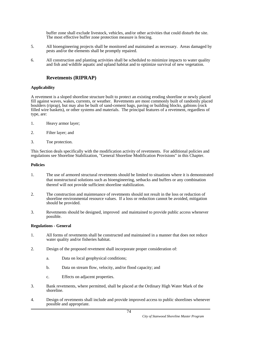buffer zone shall exclude livestock, vehicles, and/or other activities that could disturb the site. The most effective buffer zone protection measure is fencing.

- 5. All bioengineering projects shall be monitored and maintained as necessary. Areas damaged by pests and/or the elements shall be promptly repaired.
- 6. All construction and planting activities shall be scheduled to minimize impacts to water quality and fish and wildlife aquatic and upland habitat and to optimize survival of new vegetation.

# **Revetments (RIPRAP)**

# **Applicability**

A revetment is a sloped shoreline structure built to protect an existing eroding shoreline or newly placed fill against waves, wakes, currents, or weather. Revetments are most commonly built of randomly placed boulders (riprap), but may also be built of sand-cement bags, paving or building blocks, gabions (rock filled wire baskets), or other systems and materials. The principal features of a revetment, regardless of type, are:

- 1. Heavy armor layer;
- 2. Filter layer; and
- 3. Toe protection.

This Section deals specifically with the modification activity of revetments. For additional policies and regulations see Shoreline Stabilization, "General Shoreline Modification Provisions" in this Chapter.

## **Policies**

- 1. The use of armored structural revetments should be limited to situations where it is demonstrated that nonstructural solutions such as bioengineering, setbacks and buffers or any combination thereof will not provide sufficient shoreline stabilization.
- 2. The construction and maintenance of revetments should not result in the loss or reduction of shoreline environmental resource values. If a loss or reduction cannot be avoided, mitigation should be provided.
- 3. Revetments should be designed, improved and maintained to provide public access whenever possible.

#### **Regulations - General**

- 1. All forms of revetments shall be constructed and maintained in a manner that does not reduce water quality and/or fisheries habitat.
- 2. Design of the proposed revetment shall incorporate proper consideration of:
	- a. Data on local geophysical conditions;
	- b. Data on stream flow, velocity, and/or flood capacity; and
	- c. Effects on adjacent properties.
- 3. Bank revetments, where permitted, shall be placed at the Ordinary High Water Mark of the shoreline.
- 4. Design of revetments shall include and provide improved access to public shorelines whenever possible and appropriate.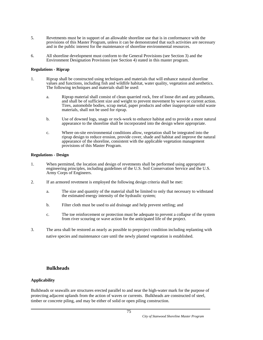- 5. Revetments must be in support of an allowable shoreline use that is in conformance with the provisions of this Master Program, unless it can be demonstrated that such activities are necessary and in the public interest for the maintenance of shoreline environmental resources.
- 6. All shoreline development must conform to the General Provisions (see Section 3) and the Environment Designation Provisions (see Section 4) stated in this master program.

#### **Regulations - Riprap**

- 1. Riprap shall be constructed using techniques and materials that will enhance natural shoreline values and functions, including fish and wildlife habitat, water quality, vegetation and aesthetics. The following techniques and materials shall be used:
	- a. Riprap material shall consist of clean quarried rock, free of loose dirt and any pollutants, and shall be of sufficient size and weight to prevent movement by wave or current action. Tires, automobile bodies, scrap metal, paper products and other inappropriate solid waste materials, shall not be used for riprap.
	- b. Use of downed logs, snags or rock-work to enhance habitat and to provide a more natural appearance to the shoreline shall be incorporated into the design where appropriate.
	- c. Where on-site environmental conditions allow, vegetation shall be integrated into the riprap design to reduce erosion, provide cover, shade and habitat and improve the natural appearance of the shoreline, consistent with the applicable vegetation management provisions of this Master Program.

#### **Regulations - Design**

- 1. When permitted, the location and design of revetments shall be performed using appropriate engineering principles, including guidelines of the U.S. Soil Conservation Service and the U.S. Army Corps of Engineers.
- 2. If an armored revetment is employed the following design criteria shall be met:
	- a. The size and quantity of the material shall be limited to only that necessary to withstand the estimated energy intensity of the hydraulic system;
	- b. Filter cloth must be used to aid drainage and help prevent settling; and
	- c. The toe reinforcement or protection must be adequate to prevent a collapse of the system from river scouring or wave action for the anticipated life of the project.
- 3. The area shall be restored as nearly as possible to preproject condition including replanting with native species and maintenance care until the newly planted vegetation is established.

# **Bulkheads**

#### **Applicability**

Bulkheads or seawalls are structures erected parallel to and near the high-water mark for the purpose of protecting adjacent uplands from the action of waves or currents. Bulkheads are constructed of steel, timber or concrete piling, and may be either of solid or open piling construction.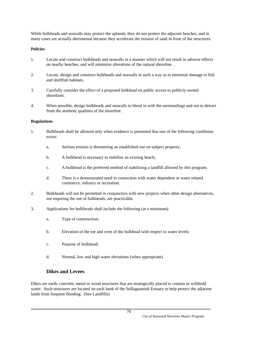While bulkheads and seawalls may protect the uplands, they do not protect the adjacent beaches, and in many cases are actually detrimental because they accelerate the erosion of sand in front of the structures.

# **Policies**

- 1. Locate and construct bulkheads and seawalls in a manner which will not result in adverse effects on nearby beaches, and will minimize alterations of the natural shoreline.
- 2. Locate, design and construct bulkheads and seawalls in such a way as to minimize damage to fish and shellfish habitats.
- 3. Carefully consider the effect of a proposed bulkhead on public access to publicly owned shorelines.
- 4. When possible, design bulkheads and seawalls to blend in with the surroundings and not to detract from the aesthetic qualities of the shoreline.

# **Regulations**

- 1. Bulkheads shall be allowed only when evidence is presented that one of the following conditions exists:
	- a. Serious erosion is threatening an established use on subject property;
	- b. A bulkhead is necessary to stabilize an existing beach;
	- c. A bulkhead is the preferred method of stabilizing a landfill allowed by this program;
	- d. There is a demonstrated need in connection with water dependent or water related commerce, industry or recreation.
- 2. Bulkheads will not be permitted in conjunction with new projects when other design alternatives, not requiring the use of bulkheads, are practicable.
- 3. Applications for bulkheads shall include the following (at a minimum):
	- a. Type of construction;
	- b. Elevation of the toe and crest of the bulkhead with respect to water levels;
	- c. Purpose of bulkhead;
	- d. Normal, low and high water elevations (when appropriate).

# **Dikes and Levees**

Dikes are earth, concrete, metal or wood structures that are strategically placed to contain or withhold water. Such structures are located on each bank of the Stillaguamish Estuary to help protect the adjacent lands from frequent flooding. (See Landfills)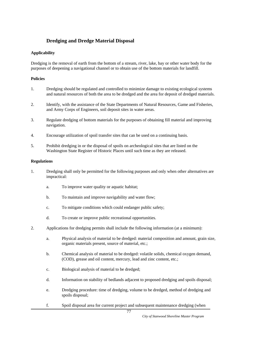# **Dredging and Dredge Material Disposal**

# **Applicability**

Dredging is the removal of earth from the bottom of a stream, river, lake, bay or other water body for the purposes of deepening a navigational channel or to obtain use of the bottom materials for landfill.

# **Policies**

- 1. Dredging should be regulated and controlled to minimize damage to existing ecological systems and natural resources of both the area to be dredged and the area for deposit of dredged materials.
- 2. Identify, with the assistance of the State Departments of Natural Resources, Game and Fisheries, and Army Corps of Engineers, soil deposit sites in water areas.
- 3. Regulate dredging of bottom materials for the purposes of obtaining fill material and improving navigation.
- 4. Encourage utilization of spoil transfer sites that can be used on a continuing basis.
- 5. Prohibit dredging in or the disposal of spoils on archeological sites that are listed on the Washington State Register of Historic Places until such time as they are released.

- 1. Dredging shall only be permitted for the following purposes and only when other alternatives are impractical:
	- a. To improve water quality or aquatic habitat;
	- b. To maintain and improve navigability and water flow;
	- c. To mitigate conditions which could endanger public safety;
	- d. To create or improve public recreational opportunities.
- 2. Applications for dredging permits shall include the following information (at a minimum):
	- a. Physical analysis of material to be dredged: material composition and amount, grain size, organic materials present, source of material, etc.;
	- b. Chemical analysis of material to be dredged: volatile solids, chemical oxygen demand, (COD), grease and oil content, mercury, lead and zinc content, etc.;
	- c. Biological analysis of material to be dredged;
	- d. Information on stability of bedlands adjacent to proposed dredging and spoils disposal;
	- e. Dredging procedure: time of dredging, volume to be dredged, method of dredging and spoils disposal;
	- f. Spoil disposal area for current project and subsequent maintenance dredging (when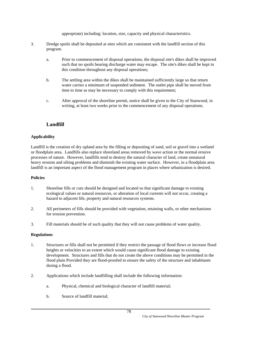appropriate) including: location, size, capacity and physical characteristics.

- 3. Dredge spoils shall be deposited at sites which are consistent with the landfill section of this program.
	- a. Prior to commencement of disposal operations, the disposal site's dikes shall be improved such that no spoils bearing discharge water may escape. The site's dikes shall be kept in this condition throughout any disposal operations;
	- b. The settling area within the dikes shall be maintained sufficiently large so that return water carries a minimum of suspended sediment. The outlet pipe shall be moved from time to time as may be necessary to comply with this requirement;
	- c. After approval of the shoreline permit, notice shall be given to the City of Stanwood, in writing, at least two weeks prior to the commencement of any disposal operations.

# **Landfill**

# **Applicability**

Landfill is the creation of dry upland area by the filling or depositing of sand, soil or gravel into a wetland or floodplain area. Landfills also replace shoreland areas removed by wave action or the normal erosive processes of nature. However, landfills tend to destroy the natural character of land, create unnatural heavy erosion and silting problems and diminish the existing water surface. However, in a floodplain area landfill is an important aspect of the flood management program in places where urbanization is desired.

# **Policies**

- 1. Shoreline fills or cuts should be designed and located so that significant damage to existing ecological values or natural resources, or alteration of local currents will not occur, creating a hazard to adjacent life, property and natural resources systems.
- 2. All perimeters of fills should be provided with vegetation, retaining walls, or other mechanisms for erosion prevention.
- 3. Fill materials should be of such quality that they will not cause problems of water quality.

- 1. Structures or fills shall not be permitted if they restrict the passage of flood flows or increase flood heights or velocities to an extent which would cause significant flood damage to existing development. Structures and fills that do not create the above conditions may be permitted in the flood plain Provided they are flood-proofed to ensure the safety of the structure and inhabitants during a flood.
- 2. Applications which include landfilling shall include the following information:
	- a. Physical, chemical and biological character of landfill material;
	- b. Source of landfill material;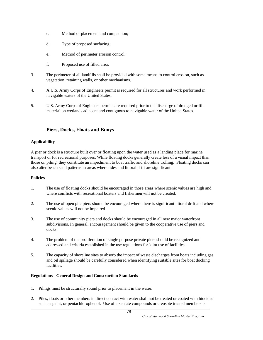- c. Method of placement and compaction;
- d. Type of proposed surfacing;
- e. Method of perimeter erosion control;
- f. Proposed use of filled area.
- 3. The perimeter of all landfills shall be provided with some means to control erosion, such as vegetation, retaining walls, or other mechanisms.
- 4. A U.S. Army Corps of Engineers permit is required for all structures and work performed in navigable waters of the United States.
- 5. U.S. Army Corps of Engineers permits are required prior to the discharge of dredged or fill material on wetlands adjacent and contiguous to navigable water of the United States.

# **Piers, Docks, Floats and Buoys**

## **Applicability**

A pier or dock is a structure built over or floating upon the water used as a landing place for marine transport or for recreational purposes. While floating docks generally create less of a visual impact than those on piling, they constitute an impediment to boat traffic and shoreline trolling. Floating docks can also alter beach sand patterns in areas where tides and littoral drift are significant.

#### **Policies**

- 1. The use of floating docks should be encouraged in those areas where scenic values are high and where conflicts with recreational boaters and fishermen will not be created.
- 2. The use of open pile piers should be encouraged where there is significant littoral drift and where scenic values will not be impaired.
- 3. The use of community piers and docks should be encouraged in all new major waterfront subdivisions. In general, encouragement should be given to the cooperative use of piers and docks.
- 4. The problem of the proliferation of single purpose private piers should be recognized and addressed and criteria established in the use regulations for joint use of facilities.
- 5. The capacity of shoreline sites to absorb the impact of waste discharges from boats including gas and oil spillage should be carefully considered when identifying suitable sites for boat docking facilities.

# **Regulations - General Design and Construction Standards**

- 1. Pilings must be structurally sound prior to placement in the water.
- 2. Piles, floats or other members in direct contact with water shall not be treated or coated with biocides such as paint, or pentachlorophenol. Use of arsentate compounds or creosote treated members is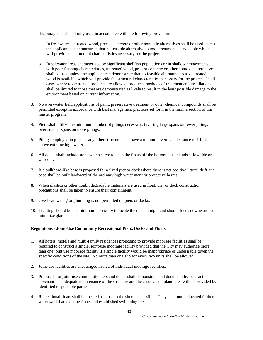discouraged and shall only used in accordance with the following provisions:

- a. In freshwater, untreated wood, precast concrete or other nontoxic alternatives shall be used unless the applicant can demonstrate that no feasible alternative to toxic treatments is available which will provide the structural characteristics necessary for the project.
- b. In saltwater areas characterized by significant shellfish populations or in shallow embayments with poor flushing characteristics, untreated wood, precast concrete or other nontoxic alternatives shall be used unless the applicant can demonstrate that no feasible alternative to toxic treated wood is available which will provide the structural characteristics necessary for the project. In all cases where toxic treated products are allowed, products, methods of treatment and installations shall be limited to those that are demonstrated as likely to result in the least possible damage to the environment based on current information.
- 3. No over-water field applications of paint, preservative treatment or other chemical compounds shall be permitted except in accordance with best management practices set forth in the marina section of this master program.
- 4. Piers shall utilize the minimum number of pilings necessary, favoring large spans on fewer pilings over smaller spans on more pilings.
- 5. Pilings employed in piers or any other structure shall have a minimum vertical clearance of 1 foot above extreme high water.
- 6. All docks shall include stops which serve to keep the floats off the bottom of tidelands at low tide or water level.
- 7. If a bulkhead-like base is proposed for a fixed pier or dock where there is net positive littoral drift, the base shall be built landward of the ordinary high water mark or protective berms.
- 8. When plastics or other nonbiodegradable materials are used in float, pier or dock construction, precautions shall be taken to ensure their containment.
- 9. Overhead wiring or plumbing is not permitted on piers or docks.
- 10. Lighting should be the minimum necessary to locate the dock at night and should focus downward to minimize glare.

#### **Regulations - Joint-Use Community Recreational Piers, Docks and Floats**

- 1. All hotels, motels and multi-family residences proposing to provide moorage facilities shall be required to construct a single, joint-use moorage facility provided that the City may authorize more than one joint use moorage facility if a single facility would be inappropriate or undesirable given the specific conditions of the site. No more than one slip for every two units shall be allowed.
- 2. Joint-use facilities are encouraged in-lieu of individual moorage facilities.
- 3. Proposals for joint-use community piers and docks shall demonstrate and document by contract or covenant that adequate maintenance of the structure and the associated upland area will be provided by identified responsible parties.
- 4. Recreational floats shall be located as close to the shore as possible. They shall not be located farther waterward than existing floats and established swimming areas.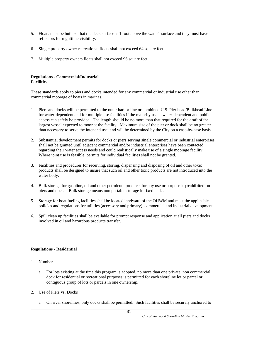- 5. Floats must be built so that the deck surface is 1 foot above the water's surface and they must have reflectors for nighttime visibility.
- 6. Single property owner recreational floats shall not exceed 64 square feet.
- 7. Multiple property owners floats shall not exceed 96 square feet.

#### **Regulations - Commercial/Industrial Facilities**

These standards apply to piers and docks intended for any commercial or industrial use other than commercial moorage of boats in marinas.

- 1. Piers and docks will be permitted to the outer harbor line or combined U.S. Pier head/Bulkhead Line for water-dependent and for multiple use facilities if the majority use is water-dependent and public access can safely be provided. The length should be no more than that required for the draft of the largest vessel expected to moor at the facility. Maximum size of the pier or dock shall be no greater than necessary to serve the intended use, and will be determined by the City on a case-by-case basis.
- 2. Substantial development permits for docks or piers serving single commercial or industrial enterprises shall not be granted until adjacent commercial and/or industrial enterprises have been contacted regarding their water access needs and could realistically make use of a single moorage facility. Where joint use is feasible, permits for individual facilities shall not be granted.
- 3. Facilities and procedures for receiving, storing, dispensing and disposing of oil and other toxic products shall be designed to insure that such oil and other toxic products are not introduced into the water body.
- 4. Bulk storage for gasoline, oil and other petroleum products for any use or purpose is **prohibited** on piers and docks. Bulk storage means non portable storage in fixed tanks.
- 5. Storage for boat fueling facilities shall be located landward of the OHWM and meet the applicable policies and regulations for utilities (accessory and primary), commercial and industrial development.
- 6. Spill clean up facilities shall be available for prompt response and application at all piers and docks involved in oil and hazardous products transfer.

#### **Regulations - Residential**

- 1. Number
	- a. For lots existing at the time this program is adopted, no more than one private, non commercial dock for residential or recreational purposes is permitted for each shoreline lot or parcel or contiguous group of lots or parcels in one ownership.
- 2. Use of Piers vs. Docks
	- a. On river shorelines, only docks shall be permitted. Such facilities shall be securely anchored to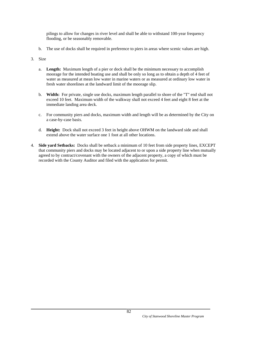pilings to allow for changes in river level and shall be able to withstand 100-year frequency flooding, or be seasonably removable.

b. The use of docks shall be required in preference to piers in areas where scenic values are high.

#### 3. Size

- a. **Length:** Maximum length of a pier or dock shall be the minimum necessary to accomplish moorage for the intended boating use and shall be only so long as to obtain a depth of 4 feet of water as measured at mean low water in marine waters or as measured at ordinary low water in fresh water shorelines at the landward limit of the moorage slip.
- b. **Width:** For private, single use docks, maximum length parallel to shore of the "T" end shall not exceed 10 feet. Maximum width of the walkway shall not exceed 4 feet and eight 8 feet at the immediate landing area deck.
- c. For community piers and docks, maximum width and length will be as determined by the City on a case-by-case basis.
- d. **Height:** Dock shall not exceed 3 feet in height above OHWM on the landward side and shall extend above the water surface one 1 foot at all other locations.
- 4. **Side yard Setbacks:** Docks shall be setback a minimum of 10 feet from side property lines, EXCEPT that community piers and docks may be located adjacent to or upon a side property line when mutually agreed to by contract/covenant with the owners of the adjacent property, a copy of which must be recorded with the County Auditor and filed with the application for permit.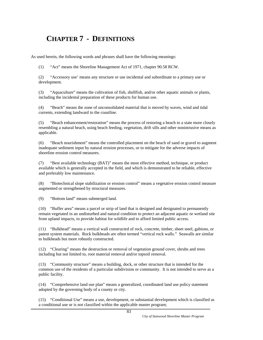# **CHAPTER 7 - DEFINITIONS**

As used herein, the following words and phrases shall have the following meanings:

(1) "Act" means the Shoreline Management Act of 1971, chapter 90.58 RCW.

(2) "Accessory use' means any structure or use incidental and subordinate to a primary use or development.

(3) "Aquaculture" means the cultivation of fish, shellfish, and/or other aquatic animals or plants, including the incidental preparation of these products for human use.

(4) "Beach" means the zone of unconsolidated material that is moved by waves, wind and tidal currents, extending landward to the coastline.

(5) "Beach enhancement/restoration" means the process of restoring a beach to a state more closely resembling a natural beach, using beach feeding, vegetation, drift sills and other nonintrusive means as applicable.

(6) "Beach nourishment" means the controlled placement on the beach of sand or gravel to augment inadequate sediment input by natural erosion processes, or to mitigate for the adverse impacts of shoreline erosion control measures.

(7) "Best available technology (BAT)" means the most effective method, technique, or product available which is generally accepted in the field, and which is demonstrated to be reliable, effective and preferably low maintenance.

(8) "Biotechnical slope stabilization or erosion control" means a vegetative erosion control measure augmented or strengthened by structural measures.

(9) "Bottom land" means submerged land.

(10) "Buffer area" means a parcel or strip of land that is designed and designated to permanently remain vegetated in an undisturbed and natural condition to protect an adjacent aquatic or wetland site from upland impacts, to provide habitat for wildlife and to afford limited public access.

(11) "Bulkhead" means a vertical wall constructed of rock, concrete, timber, sheet steel, gabions, or patent system materials. Rock bulkheads are often termed "vertical rock walls." Seawalls are similar to bulkheads but more robustly constructed.

(12) "Clearing" means the destruction or removal of vegetation ground cover, shrubs and trees including but not limited to, root material removal and/or topsoil removal.

(13) "Community structure" means a building, dock, or other structure that is intended for the common use of the residents of a particular subdivision or community. It is not intended to serve as a public facility.

(14) "Comprehensive land use plan" means a generalized, coordinated land use policy statement adopted by the governing body of a county or city.

(15) "Conditional Use" means a use, development, or substantial development which is classified as a conditional use or is not classified within the applicable master program;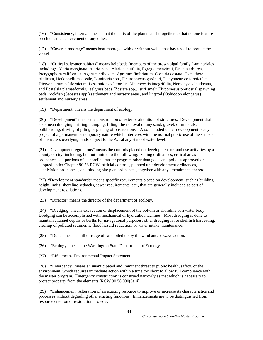(16) "Consistency, internal" means that the parts of the plan must fit together so that no one feature precludes the achievement of any other.

(17) "Covered moorage" means boat moorage, with or without walls, that has a roof to protect the vessel.

(18) "Critical saltwater habitats" means kelp beds (members of the brown algal family Laminariales including: Alaria marginata, Alaria nana, Alaria tenuifolia, Egregia menziesii, Eisenia arborea, Pterygophora californica, Agarum cribosum, Agrarum fimbriatum, Costaria costata, Cymathere triplicata, Hedophyllum sessile, Laminaria spp., Pleurophycus gardneri, Dictyoneuropsis reticulata, Dictyoneurum californicum, Lessioniopsis littoralis, Macrocystis integrifolia, Nereocystis leutkeana, and Postelsia plamaeformis), eelgrass beds (Zostera spp.), surf smelt (Hypomesus pretiosus) spawning beds, rockfish (Sebastes spp.) settlement and nursery areas, and lingcod (Ophiodon elongatus) settlement and nursery areas.

(19) "Department" means the department of ecology.

(20) "Development" means the construction or exterior alteration of structures. Development shall also mean dredging, drilling, dumping, filling; the removal of any sand, gravel, or minerals; bulkheading, driving of piling or placing of obstructions. Also included under development is any project of a permanent or temporary nature which interferes with the normal public use of the surface of the waters overlying lands subject to the Act at any state of water level.

(21) "Development regulations" means the controls placed on development or land use activities by a county or city, including, but not limited to the following: zoning ordinances, critical areas ordinances, all portions of a shoreline master program other than goals and policies approved or adopted under Chapter 90.58 RCW, official controls, planned unit development ordinances, subdivision ordinances, and binding site plan ordinances, together with any amendments thereto.

(22) "Development standards" means specific requirements placed on development, such as building height limits, shoreline setbacks, sewer requirements, etc., that are generally included as part of development regulations.

(23) "Director" means the director of the department of ecology.

(24) "Dredging" means excavation or displacement of the bottom or shoreline of a water body. Dredging can be accomplished with mechanical or hydraulic machines. Most dredging is done to maintain channel depths or berths for navigational purposes; other dredging is for shellfish harvesting, cleanup of polluted sediments, flood hazard reduction, or water intake maintenance.

(25) "Dune" means a hill or ridge of sand piled up by the wind and/or wave action.

(26) "Ecology" means the Washington State Department of Ecology.

(27) "EIS" means Environmental Impact Statement.

(28) "Emergency" means an unanticipated and imminent threat to public health, safety, or the environment, which requires immediate action within a time too short to allow full compliance with the master program. Emergency construction is construed narrowly as that which is necessary to protect property from the elements (RCW 90.58.030(3eiii).

(29) "Enhancement" Alteration of an existing resource to improve or increase its characteristics and processes without degrading other existing functions. Enhancements are to be distinguished from resource creation or restoration projects.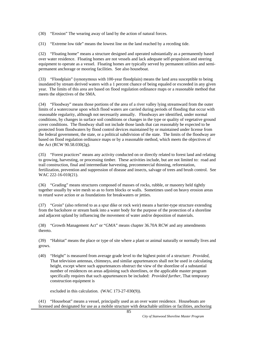(30) "Erosion" The wearing away of land by the action of natural forces.

(31) "Extreme low tide" means the lowest line on the land reached by a receding tide.

(32) "Floating home" means a structure designed and operated substantially as a permanently based over water residence. Floating homes are not vessels and lack adequate self-propulsion and steering equipment to operate as a vessel. Floating homes are typically served by permanent utilities and semipermanent anchorage or mooring facilities. See also houseboat.

(33) "Floodplain" (synonymous with 100-year floodplain) means the land area susceptible to being inundated by stream derived waters with a 1 percent chance of being equaled or exceeded in any given year. The limits of this area are based on flood regulation ordinance maps or a reasonable method that meets the objectives of the SMA.

(34) "Floodway" means those portions of the area of a river valley lying streamward from the outer limits of a watercourse upon which flood waters are carried during periods of flooding that occur with reasonable regularity, although not necessarily annually. Floodways are identified, under normal conditions, by changes in surface soil conditions or changes in the type or quality of vegetative ground cover conditions. The floodway shall not include those lands that can reasonably be expected to be protected from floodwaters by flood control devices maintained by or maintained under license from the federal government, the state, or a political subdivision of the state. The limits of the floodway are based on flood regulation ordinance maps or by a reasonable method, which meets the objectives of the Act (RCW 90.58.030(2g).

(35) "Forest practices" means any activity conducted on or directly related to forest land and relating to growing, harvesting, or processing timber. These activities include, but are not limited to: road and trail construction, final and intermediate harvesting, precommercial thinning, reforestation, fertilization, prevention and suppression of disease and insects, salvage of trees and brush control. See WAC 222-16-010(21).

(36) "Grading" means structures composed of masses of rocks, rubble, or masonry held tightly together usually by wire mesh so as to form blocks or walls. Sometimes used on heavy erosion areas to retard wave action or as foundations for breakwaters or jetties.

(37) "Groin" (also referred to as a spur dike or rock weir) means a barrier-type structure extending from the backshore or stream bank into a water body for the purpose of the protection of a shoreline and adjacent upland by influencing the movement of water and/or deposition of materials.

(38) "Growth Management Act" or "GMA" means chapter 36.70A RCW and any amendments thereto.

(39) "Habitat" means the place or type of site where a plant or animal naturally or normally lives and grows.

(40) "Height" is measured from average grade level to the highest point of a structure: *Provided*, That television antennas, chimneys, and similar appurtenances shall not be used in calculating height, except where such appurtenances obstruct the view of the shoreline of a substantial number of residences on areas adjoining such shorelines, or the applicable master program specifically requires that such appurtenances be included: *Provided further*, That temporary construction equipment is

excluded in this calculation. (WAC 173-27-030(9)).

(41) "Houseboat" means a vessel, principally used as an over water residence. Houseboats are licensed and designated for use as a mobile structure with detachable utilities or facilities, anchoring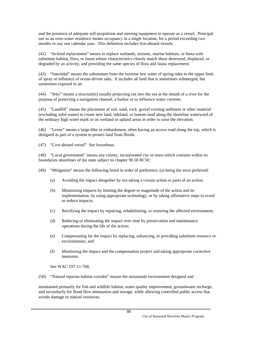and the presence of adequate self-propulsion and steering equipment to operate as a vessel. Principal use as an over-water residence means occupancy in a single location, for a period exceeding two months in any one calendar year. This definition includes live-aboard vessels.

(42) "In-kind replacement" means to replace wetlands, streams, marine habitats, or biota with substitute habitat, flora, or fauna whose characteristics closely match those destroyed, displaced, or degraded by an activity, and providing the same species of flora and fauna replacement.

(43) "Intertidal" means the substratum from the extreme low water of spring tides to the upper limit of spray or influence of ocean-driven salts. It includes all land that is sometimes submerged, but sometimes exposed to air.

(44) "Jetty" means a structure(s) usually projecting out into the sea at the mouth of a river for the purpose of protecting a navigation channel, a harbor or to influence water currents.

(45) "Landfill" means the placement of soil, sand, rock, gravel existing sediment or other material (excluding solid waste) to create new land, tideland, or bottom land along the shoreline waterward of the ordinary high water mark or on wetland or upland areas in order to raise the elevation.

(46) "Levee" means a large dike or embankment, often having an access road along the top, which is designed as part of a system to protect land from floods.

(47) "Live-aboard vessel" See houseboat.

(48) "Local government" means any county, incorporated city or town which contains within its boundaries shorelines of the state subject to chapter 90.58 RCW;

(49) "Mitigation" means the following listed in order of preference, (a) being the most preferred:

- (a) Avoiding the impact altogether by not taking a certain action or parts of an action;
- (b) Minimizing impacts by limiting the degree or magnitude of the action and its implementation, by using appropriate technology, or by taking affirmative steps to avoid or reduce impacts;
- (c) Rectifying the impact by repairing, rehabilitating, or restoring the affected environment;
- (d) Reducing or eliminating the impact over time by preservation and maintenance operations during the life of the action;
- (e) Compensating for the impact by replacing, enhancing, or providing substitute resource or environments; and
- (f) Monitoring the impact and the compensation project and taking appropriate corrective measures.

See WAC 197-11-768.

(50) "Natural riparian habitat corridor" means the streamside environment designed and

maintained primarily for fish and wildlife habitat, water quality improvement, groundwater recharge, and secondarily for flood flow attenuation and storage, while allowing controlled public access that avoids damage to natural resources.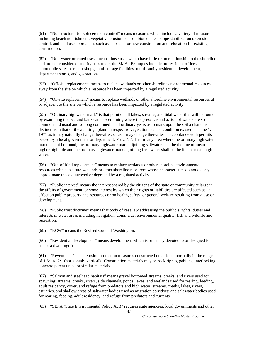(51) "Nonstructural (or soft) erosion control" means measures which include a variety of measures including beach nourishment, vegetative erosion control, biotechnical slope stabilization or erosion control, and land use approaches such as setbacks for new construction and relocation for existing construction.

(52) "Non-water-oriented uses" means those uses which have little or no relationship to the shoreline and are not considered priority uses under the SMA. Examples include professional offices, automobile sales or repair shops, mini-storage facilities, multi-family residential development, department stores, and gas stations.

(53) "Off-site replacement" means to replace wetlands or other shoreline environmental resources away from the site on which a resource has been impacted by a regulated activity.

(54) "On-site replacement" means to replace wetlands or other shoreline environmental resources at or adjacent to the site on which a resource has been impacted by a regulated activity.

(55) "Ordinary highwater mark" is that point on all lakes, streams, and tidal water that will be found by examining the bed and banks and ascertaining where the presence and action of waters are so common and usual and so long continued in all ordinary years as to mark upon the soil a character distinct from that of the abutting upland in respect to vegetation, as that condition existed on June 1, 1971 as it may naturally change thereafter, or as it may change thereafter in accordance with permits issued by a local government or department; P*rovided*, That in any area where the ordinary highwater mark cannot be found, the ordinary highwater mark adjoining saltwater shall be the line of mean higher high tide and the ordinary highwater mark adjoining freshwater shall be the line of mean high water.

(56) "Out-of-kind replacement" means to replace wetlands or other shoreline environmental resources with substitute wetlands or other shoreline resources whose characteristics do not closely approximate those destroyed or degraded by a regulated activity.

(57) "Public interest" means the interest shared by the citizens of the state or community at large in the affairs of government, or some interest by which their rights or liabilities are affected such as an effect on public property and resources or on health, safety, or general welfare resulting from a use or development.

(58) "Public trust doctrine" means that body of case law addressing the public's rights, duties and interests in water areas including navigation, commerce, environmental quality, fish and wildlife and recreation.

(59) "RCW" means the Revised Code of Washington.

(60) "Residential development" means development which is primarily devoted to or designed for use as a dwelling(s).

(61) "Revetments" mean erosion protection measures constructed on a slope, normally in the range of 1.5:1 to 2:1 (horizontal: vertical). Construction materials may be rock riprap, gabions, interlocking concrete parent units, or similar materials.

(62) "Salmon and steelhead habitats" means gravel bottomed streams, creeks, and rivers used for spawning; streams, creeks, rivers, side channels, ponds, lakes, and wetlands used for rearing, feeding, adult residency, cover, and refuge from predators and high water; streams, creeks, lakes, rivers, estuaries, and shallow areas of saltwater bodies used as migration corridors; and salt water bodies used for rearing, feeding, adult residency, and refuge from predators and currents.

(63) "SEPA (State Environmental Policy Act)" requires state agencies, local governments and other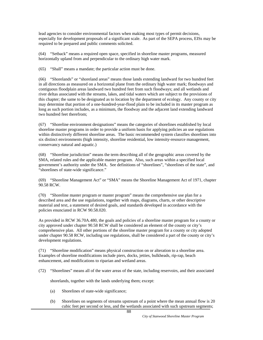lead agencies to consider environmental factors when making most types of permit decisions, especially for development proposals of a significant scale. As part of the SEPA process, EISs may be required to be prepared and public comments solicited.

(64) "Setback" means a required open space, specified in shoreline master programs, measured horizontally upland from and perpendicular to the ordinary high water mark.

(65) "Shall" means a mandate; the particular action must be done.

(66) "Shorelands" or "shoreland areas" means those lands extending landward for two hundred feet in all directions as measured on a horizontal plane from the ordinary high water mark; floodways and contiguous floodplain areas landward two hundred feet from such floodways; and all wetlands and river deltas associated with the streams, lakes, and tidal waters which are subject to the provisions of this chapter; the same to be designated as to location by the department of ecology. Any county or city may determine that portion of a one-hundred-year-flood plain to be included in its master program as long as such portion includes, as a minimum, the floodway and the adjacent land extending landward two hundred feet therefrom;

(67) "Shoreline environment designations" means the categories of shorelines established by local shoreline master programs in order to provide a uniform basis for applying policies an use regulations within distinctively different shoreline areas. The basic recommended system classifies shorelines into six distinct environments (high intensity, shoreline residential, low intensity-resource management, conservancy natural and aquatic.)

(68) "Shoreline jurisdiction" means the term describing all of the geographic areas covered by the SMA, related rules and the applicable master program. Also, such areas within a specified local government's authority under the SMA. See definitions of "shorelines", "shorelines of the state", and "shorelines of state-wide significance."

(69) "Shoreline Management Act" or "SMA" means the Shoreline Management Act of 1971, chapter 90.58 RCW.

(70) "Shoreline master program or master program" means the comprehensive use plan for a described area and the use regulations, together with maps, diagrams, charts, or other descriptive material and text, a statement of desired goals, and standards developed in accordance with the policies enunciated in RCW 90.58.020.

As provided in RCW 36.70A.480, the goals and policies of a shoreline master program for a county or city approved under chapter 90.58 RCW shall be considered an element of the county or city's comprehensive plan. All other portions of the shoreline master program for a county or city adopted under chapter 90.58 RCW, including use regulations, shall be considered a part of the county or city's development regulations.

(71) "Shoreline modification" means physical construction on or alteration to a shoreline area. Examples of shoreline modifications include piers, docks, jetties, bulkheads, rip-rap, beach enhancement, and modifications to riparian and wetland areas.

(72) "Shorelines" means all of the water areas of the state, including reservoirs, and their associated

shorelands, together with the lands underlying them; except:

- (a) Shorelines of state-wide significance;
- (b) Shorelines on segments of streams upstream of a point where the mean annual flow is 20 cubic feet per second or less, and the wetlands associated with such upstream segments;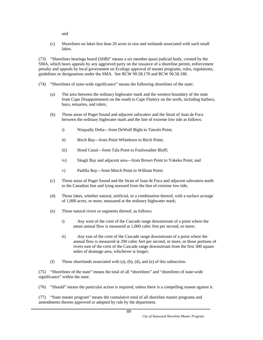and

(c) Shorelines on lakes less than 20 acres in size and wetlands associated with such small lakes.

(73) "Shorelines hearings board (SHB)" means a six member quasi-judicial body, created by the SMA, which hears appeals by any aggrieved party on the issuance of a shoreline permit, enforcement penalty and appeals by local government on Ecology approval of master programs, rules, regulations, guidelines or designations under the SMA. See RCW 90.58.170 and RCW 90.58.180.

- (74) "Shorelines of state-wide significance" means the following shorelines of the state:
	- (a) The area between the ordinary highwater mark and the western boundary of the state from Cape Disappointment on the south to Cape Flattery on the north, including harbors, bays, estuaries, and inlets;
	- (b) Those areas of Puget Sound and adjacent saltwaters and the Strait of Juan de Fuca between the ordinary highwater mark and the line of extreme low tide as follows:
		- i) Nisqually Delta—from DeWolf Bight to Tatsolo Point;
		- ii) Birch Bay—from Point Whitehorn to Birch Point;
		- iii) Hood Canal—from Tala Point to Foulweather Bluff;
		- iv) Skagit Bay and adjacent area—from Brown Point to Yokeko Point; and
		- v) Padilla Bay—from March Point to William Point;
	- (c) Those areas of Puget Sound and the Strait of Juan de Fuca and adjacent saltwaters north to the Canadian line and lying seaward from the line of extreme low tide;
	- (d) Those lakes, whether natural, artificial, or a combination thereof, with a surface acreage of 1,000 acres, or more, measured at the ordinary highwater mark;
	- (e) Those natural rivers or segments thereof, as follows:
		- i) Any west of the crest of the Cascade range downstream of a point where the mean annual flow is measured at 1,000 cubic feet per second, or more;
		- ii) Any east of the crest of the Cascade range downstream of a point where the annual flow is measured at 200 cubic feet per second, or more, or those portions of rivers east of the crest of the Cascade range downstream from the first 300 square miles of drainage area, whichever is longer;
	- (f) Those shorelands associated with (a), (b), (d), and (e) of this subsection.

(75) "Shorelines of the state" means the total of all "shorelines" and "shorelines of state-wide significance" within the state.

(76) "Should" means the particular action is required, unless there is a compelling reason against it.

(77) "State master program" means the cumulative total of all shoreline master programs and amendments thereto approved or adopted by rule by the department.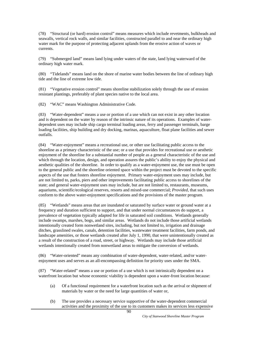(78) "Structural (or hard) erosion control" means measures which include revetments, bulkheads and seawalls, vertical rock walls, and similar facilities, constructed parallel to and near the ordinary high water mark for the purpose of protecting adjacent uplands from the erosive action of waves or currents.

(79) "Submerged land" means land lying under waters of the state, land lying waterward of the ordinary high water mark.

(80) "Tidelands" means land on the shore of marine water bodies between the line of ordinary high tide and the line of extreme low tide.

(81) "Vegetative erosion control" means shoreline stabilization solely through the use of erosion resistant plantings, preferably of plant species native to the local area.

(82) "WAC" means Washington Administrative Code.

(83) "Water-dependent" means a use or portion of a use which can not exist in any other location and is dependent on the water by reason of the intrinsic nature of its operations. Examples of waterdependent uses may include ship cargo terminal loading areas, ferry and passenger terminals, barge loading facilities, ship building and dry docking, marinas, aquaculture, float plane facilities and sewer outfalls.

(84) "Water-enjoyment" means a recreational use, or other use facilitating public access to the shoreline as a primary characteristic of the use; or a use that provides for recreational use or aesthetic enjoyment of the shoreline for a substantial number of people as a general characteristic of the use and which through the location, design, and operation assures the public's ability to enjoy the physical and aesthetic qualities of the shoreline. In order to qualify as a water-enjoyment use, the use must be open to the general public and the shoreline oriented space within the project must be devoted to the specific aspects of the use that fosters shoreline enjoyment. Primary water-enjoyment uses may include, but are not limited to, parks, piers and other improvements facilitating public access to shorelines of the state; and general water-enjoyment uses may include, but are not limited to, restaurants, museums, aquariums, scientific/ecological reserves, resorts and mixed-use commercial; *Provided*, that such uses conform to the above water-enjoyment specifications and the provisions of the master program.

(85) "Wetlands" means areas that are inundated or saturated by surface water or ground water at a frequency and duration sufficient to support, and that under normal circumstances do support, a prevalence of vegetation typically adapted for life in saturated soil conditions. Wetlands generally include swamps, marshes, bogs, and similar areas. Wetlands do not include those artificial wetlands intentionally created form nonwetland sites, including, but not limited to, irrigation and drainage ditches, grasslined swales, canals, detention facilities, wastewater treatment facilities, farm ponds, and landscape amenities, or those wetlands created after July 1, 1990, that were unintentionally created as a result of the construction of a road, street, or highway. Wetlands may include those artificial wetlands intentionally created from nonwetland areas to mitigate the conversion of wetlands.

(86) "Water-oriented" means any combination of water-dependent, water-related, and/or waterenjoyment uses and serves as an all-encompassing definition for priority uses under the SMA.

(87) "Water-related" means a use or portion of a use which is not intrinsically dependent on a waterfront location but whose economic viability is dependent upon a water-front location because:

- (a) Of a functional requirement for a waterfront location such as the arrival or shipment of materials by water or the need for large quantities of water or,
- (b) The use provides a necessary service supportive of the water-dependent commercial activities and the proximity of the use to its customers makes its services less expensive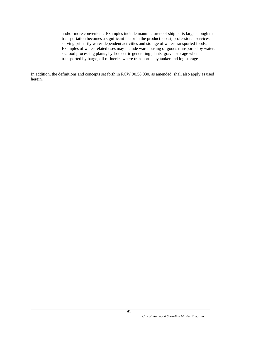and/or more convenient. Examples include manufacturers of ship parts large enough that transportation becomes a significant factor in the product's cost, professional services serving primarily water-dependent activities and storage of water-transported foods. Examples of water-related uses may include warehousing of goods transported by water, seafood processing plants, hydroelectric generating plants, gravel storage when transported by barge, oil refineries where transport is by tanker and log storage.

In addition, the definitions and concepts set forth in RCW 90.58.030, as amended, shall also apply as used herein.